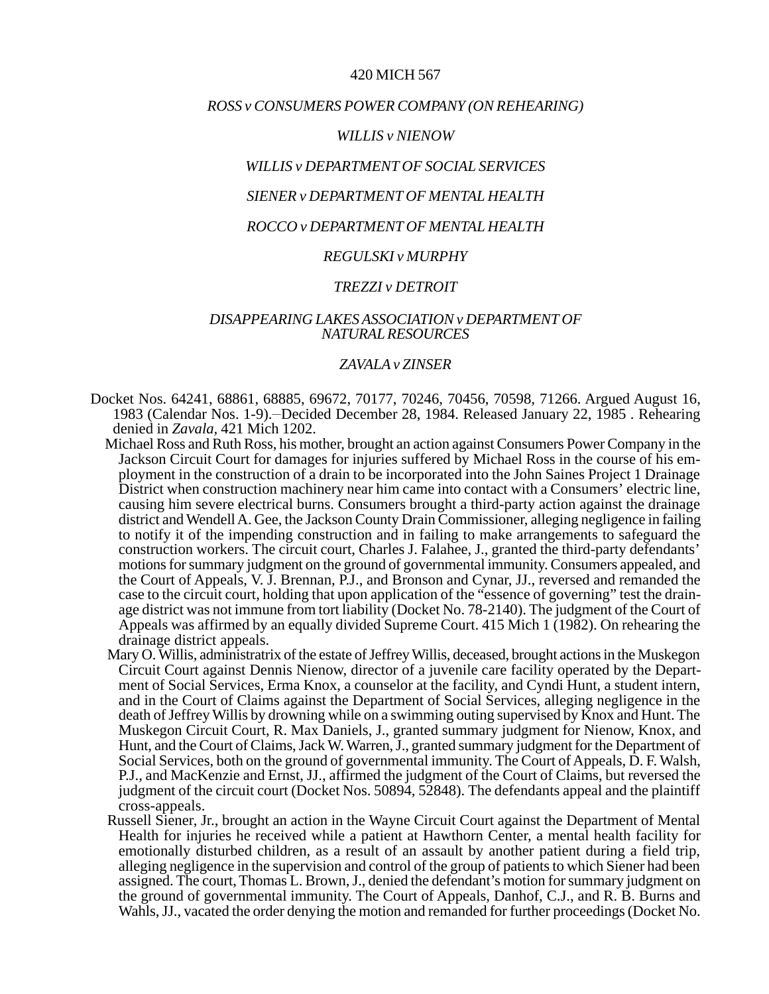## 420 MICH 567

### *ROSS v CONSUMERS POWER COMPANY (ON REHEARING)*

#### *WILLIS v NIENOW*

## *WILLIS v DEPARTMENT OF SOCIAL SERVICES*

# *SIENER v DEPARTMENT OF MENTAL HEALTH*

## *ROCCO v DEPARTMENT OF MENTAL HEALTH*

## *REGULSKI v MURPHY*

#### *TREZZI v DETROIT*

## *DISAPPEARING LAKES ASSOCIATION v DEPARTMENT OF NATURAL RESOURCES*

### *ZAVALA v ZINSER*

- Docket Nos. 64241, 68861, 68885, 69672, 70177, 70246, 70456, 70598, 71266. Argued August 16, 1983 (Calendar Nos. 1-9). - Decided December 28, 1984. Released January 22, 1985. Rehearing denied in *Zavala,* 421 Mich 1202.
	- Michael Ross and Ruth Ross, his mother, brought an action against Consumers Power Company in the Jackson Circuit Court for damages for injuries suffered by Michael Ross in the course of his employment in the construction of a drain to be incorporated into the John Saines Project 1 Drainage District when construction machinery near him came into contact with a Consumers' electric line, causing him severe electrical burns. Consumers brought a third-party action against the drainage district and Wendell A. Gee, the Jackson County Drain Commissioner, alleging negligence in failing to notify it of the impending construction and in failing to make arrangements to safeguard the construction workers. The circuit court, Charles J. Falahee, J., granted the third-party defendants' motions for summary judgment on the ground of governmental immunity. Consumers appealed, and the Court of Appeals, V. J. Brennan, P.J., and Bronson and Cynar, JJ., reversed and remanded the case to the circuit court, holding that upon application of the "essence of governing" test the drainage district was not immune from tort liability (Docket No. 78-2140). The judgment of the Court of Appeals was affirmed by an equally divided Supreme Court. 415 Mich 1 (1982). On rehearing the drainage district appeals.
	- Mary O. Willis, administratrix of the estate of Jeffrey Willis, deceased, brought actions in the Muskegon Circuit Court against Dennis Nienow, director of a juvenile care facility operated by the Department of Social Services, Erma Knox, a counselor at the facility, and Cyndi Hunt, a student intern, and in the Court of Claims against the Department of Social Services, alleging negligence in the death of Jeffrey Willis by drowning while on a swimming outing supervised by Knox and Hunt. The Muskegon Circuit Court, R. Max Daniels, J., granted summary judgment for Nienow, Knox, and Hunt, and the Court of Claims, Jack W. Warren, J., granted summary judgment for the Department of Social Services, both on the ground of governmental immunity. The Court of Appeals, D. F. Walsh, P.J., and MacKenzie and Ernst, JJ., affirmed the judgment of the Court of Claims, but reversed the judgment of the circuit court (Docket Nos. 50894, 52848). The defendants appeal and the plaintiff cross-appeals.
	- Russell Siener, Jr., brought an action in the Wayne Circuit Court against the Department of Mental Health for injuries he received while a patient at Hawthorn Center, a mental health facility for emotionally disturbed children, as a result of an assault by another patient during a field trip, alleging negligence in the supervision and control of the group of patients to which Siener had been assigned. The court, Thomas L. Brown, J., denied the defendant's motion for summary judgment on the ground of governmental immunity. The Court of Appeals, Danhof, C.J., and R. B. Burns and Wahls, JJ., vacated the order denying the motion and remanded for further proceedings (Docket No.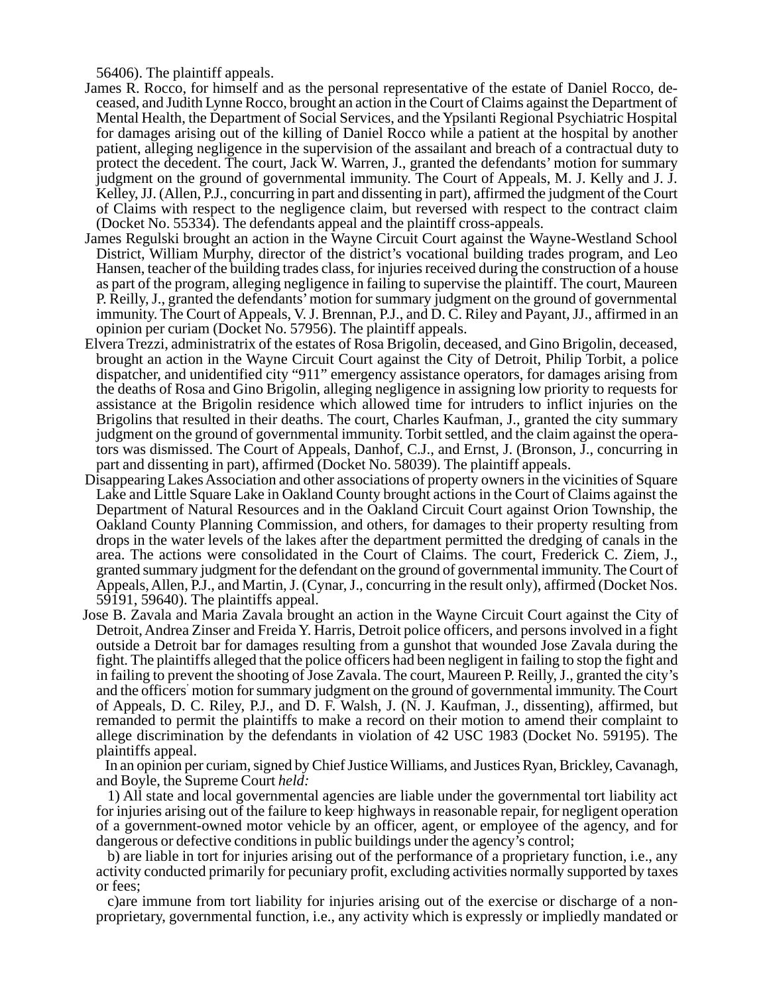56406). The plaintiff appeals.

- James R. Rocco, for himself and as the personal representative of the estate of Daniel Rocco, deceased, and Judith Lynne Rocco, brought an action in the Court of Claims against the Department of Mental Health, the Department of Social Services, and the Ypsilanti Regional Psychiatric Hospital for damages arising out of the killing of Daniel Rocco while a patient at the hospital by another patient, alleging negligence in the supervision of the assailant and breach of a contractual duty to protect the decedent. The court, Jack W. Warren, J., granted the defendants' motion for summary judgment on the ground of governmental immunity. The Court of Appeals, M. J. Kelly and J. J. Kelley, JJ. (Allen, P.J., concurring in part and dissenting in part), affirmed the judgment of the Court of Claims with respect to the negligence claim, but reversed with respect to the contract claim (Docket No. 55334). The defendants appeal and the plaintiff cross-appeals.
- James Regulski brought an action in the Wayne Circuit Court against the Wayne-Westland School District, William Murphy, director of the district's vocational building trades program, and Leo Hansen, teacher of the building trades class, for injuries received during the construction of a house as part of the program, alleging negligence in failing to supervise the plaintiff. The court, Maureen P. Reilly, J., granted the defendants' motion for summary judgment on the ground of governmental immunity. The Court of Appeals, V. J. Brennan, P.J., and D. C. Riley and Payant, JJ., affirmed in an opinion per curiam (Docket No. 57956). The plaintiff appeals.
- Elvera Trezzi, administratrix of the estates of Rosa Brigolin, deceased, and Gino Brigolin, deceased, brought an action in the Wayne Circuit Court against the City of Detroit, Philip Torbit, a police dispatcher, and unidentified city "911" emergency assistance operators, for damages arising from the deaths of Rosa and Gino Brigolin, alleging negligence in assigning low priority to requests for assistance at the Brigolin residence which allowed time for intruders to inflict injuries on the Brigolins that resulted in their deaths. The court, Charles Kaufman, J., granted the city summary judgment on the ground of governmental immunity. Torbit settled, and the claim against the operators was dismissed. The Court of Appeals, Danhof, C.J., and Ernst, J. (Bronson, J., concurring in part and dissenting in part), affirmed (Docket No. 58039). The plaintiff appeals.
- Disappearing Lakes Association and other associations of property owners in the vicinities of Square Lake and Little Square Lake in Oakland County brought actions in the Court of Claims against the Department of Natural Resources and in the Oakland Circuit Court against Orion Township, the Oakland County Planning Commission, and others, for damages to their property resulting from drops in the water levels of the lakes after the department permitted the dredging of canals in the area. The actions were consolidated in the Court of Claims. The court, Frederick C. Ziem, J., granted summary judgment for the defendant on the ground of governmental immunity. The Court of Appeals, Allen, P.J., and Martin, J. (Cynar, J., concurring in the result only), affirmed (Docket Nos. 59191, 59640). The plaintiffs appeal.
- Jose B. Zavala and Maria Zavala brought an action in the Wayne Circuit Court against the City of Detroit, Andrea Zinser and Freida Y. Harris, Detroit police officers, and persons involved in a fight outside a Detroit bar for damages resulting from a gunshot that wounded Jose Zavala during the fight. The plaintiffs alleged that the police officers had been negligent in failing to stop the fight and in failing to prevent the shooting of Jose Zavala. The court, Maureen P. Reilly, J., granted the city's and the officers' motion for summary judgment on the ground of governmental immunity. The Court of Appeals, D. C. Riley, P.J., and D. F. Walsh, J. (N. J. Kaufman, J., dissenting), affirmed, but remanded to permit the plaintiffs to make a record on their motion to amend their complaint to allege discrimination by the defendants in violation of 42 USC 1983 (Docket No. 59195). The plaintiffs appeal.

In an opinion per curiam, signed by Chief Justice Williams, and Justices Ryan, Brickley, Cavanagh, and Boyle, the Supreme Court *held:*

1) All state and local governmental agencies are liable under the governmental tort liability act for injuries arising out of the failure to keep. highways in reasonable repair, for negligent operation of a government-owned motor vehicle by an officer, agent, or employee of the agency, and for dangerous or defective conditions in public buildings under the agency's control;

b) are liable in tort for injuries arising out of the performance of a proprietary function, i.e., any activity conducted primarily for pecuniary profit, excluding activities normally supported by taxes or fees;

c)are immune from tort liability for injuries arising out of the exercise or discharge of a nonproprietary, governmental function, i.e., any activity which is expressly or impliedly mandated or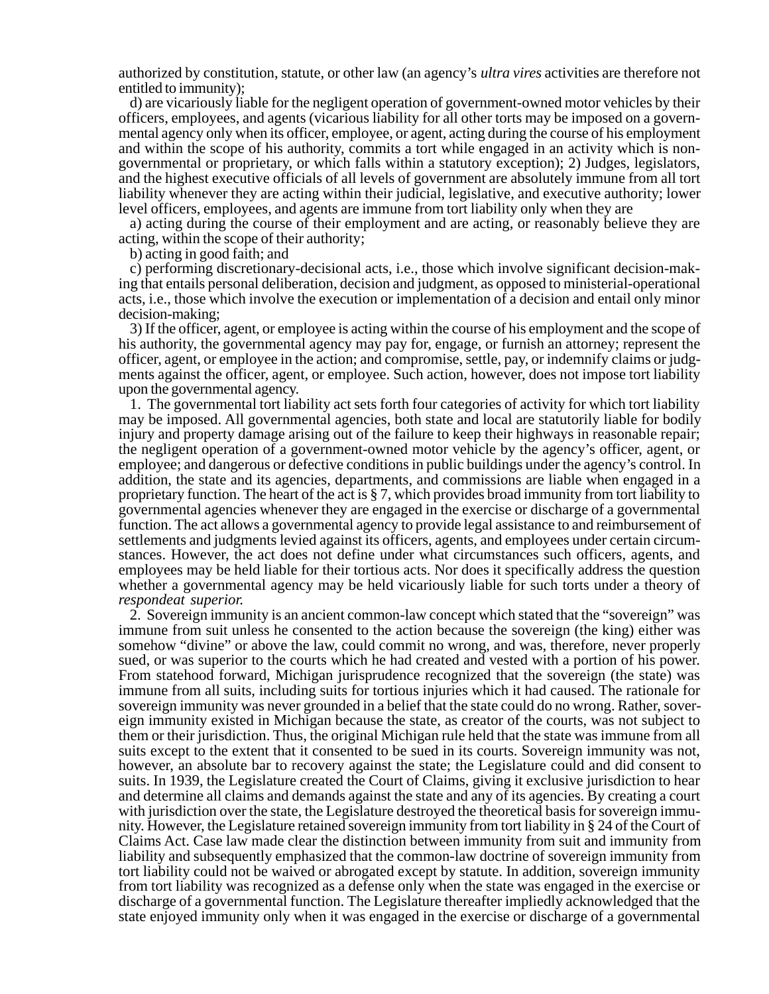authorized by constitution, statute, or other law (an agency's *ultra vires* activities are therefore not entitled to immunity);

d) are vicariously liable for the negligent operation of government-owned motor vehicles by their officers, employees, and agents (vicarious liability for all other torts may be imposed on a governmental agency only when its officer, employee, or agent, acting during the course of his employment and within the scope of his authority, commits a tort while engaged in an activity which is nongovernmental or proprietary, or which falls within a statutory exception); 2) Judges, legislators, and the highest executive officials of all levels of government are absolutely immune from all tort liability whenever they are acting within their judicial, legislative, and executive authority; lower level officers, employees, and agents are immune from tort liability only when they are

a) acting during the course of their employment and are acting, or reasonably believe they are acting, within the scope of their authority;

b) acting in good faith; and

c) performing discretionary-decisional acts, i.e., those which involve significant decision-making that entails personal deliberation, decision and judgment, as opposed to ministerial-operational acts, i.e., those which involve the execution or implementation of a decision and entail only minor decision-making;

3) If the officer, agent, or employee is acting within the course of his employment and the scope of his authority, the governmental agency may pay for, engage, or furnish an attorney; represent the officer, agent, or employee in the action; and compromise, settle, pay, or indemnify claims or judgments against the officer, agent, or employee. Such action, however, does not impose tort liability upon the governmental agency.

1. The governmental tort liability act sets forth four categories of activity for which tort liability may be imposed. All governmental agencies, both state and local are statutorily liable for bodily injury and property damage arising out of the failure to keep their highways in reasonable repair; the negligent operation of a government-owned motor vehicle by the agency's officer, agent, or employee; and dangerous or defective conditions in public buildings under the agency's control. In addition, the state and its agencies, departments, and commissions are liable when engaged in a proprietary function. The heart of the act is § 7, which provides broad immunity from tort liability to governmental agencies whenever they are engaged in the exercise or discharge of a governmental function. The act allows a governmental agency to provide legal assistance to and reimbursement of settlements and judgments levied against its officers, agents, and employees under certain circumstances. However, the act does not define under what circumstances such officers, agents, and employees may be held liable for their tortious acts. Nor does it specifically address the question whether a governmental agency may be held vicariously liable for such torts under a theory of *respondeat superior.*

2. Sovereign immunity is an ancient common-law concept which stated that the "sovereign" was immune from suit unless he consented to the action because the sovereign (the king) either was somehow "divine" or above the law, could commit no wrong, and was, therefore, never properly sued, or was superior to the courts which he had created and vested with a portion of his power. From statehood forward, Michigan jurisprudence recognized that the sovereign (the state) was immune from all suits, including suits for tortious injuries which it had caused. The rationale for sovereign immunity was never grounded in a belief that the state could do no wrong. Rather, sovereign immunity existed in Michigan because the state, as creator of the courts, was not subject to them or their jurisdiction. Thus, the original Michigan rule held that the state was immune from all suits except to the extent that it consented to be sued in its courts. Sovereign immunity was not, however, an absolute bar to recovery against the state; the Legislature could and did consent to suits. In 1939, the Legislature created the Court of Claims, giving it exclusive jurisdiction to hear and determine all claims and demands against the state and any of its agencies. By creating a court with jurisdiction over the state, the Legislature destroyed the theoretical basis for sovereign immunity. However, the Legislature retained sovereign immunity from tort liability in § 24 of the Court of Claims Act. Case law made clear the distinction between immunity from suit and immunity from liability and subsequently emphasized that the common-law doctrine of sovereign immunity from tort liability could not be waived or abrogated except by statute. In addition, sovereign immunity from tort liability was recognized as a defense only when the state was engaged in the exercise or discharge of a governmental function. The Legislature thereafter impliedly acknowledged that the state enjoyed immunity only when it was engaged in the exercise or discharge of a governmental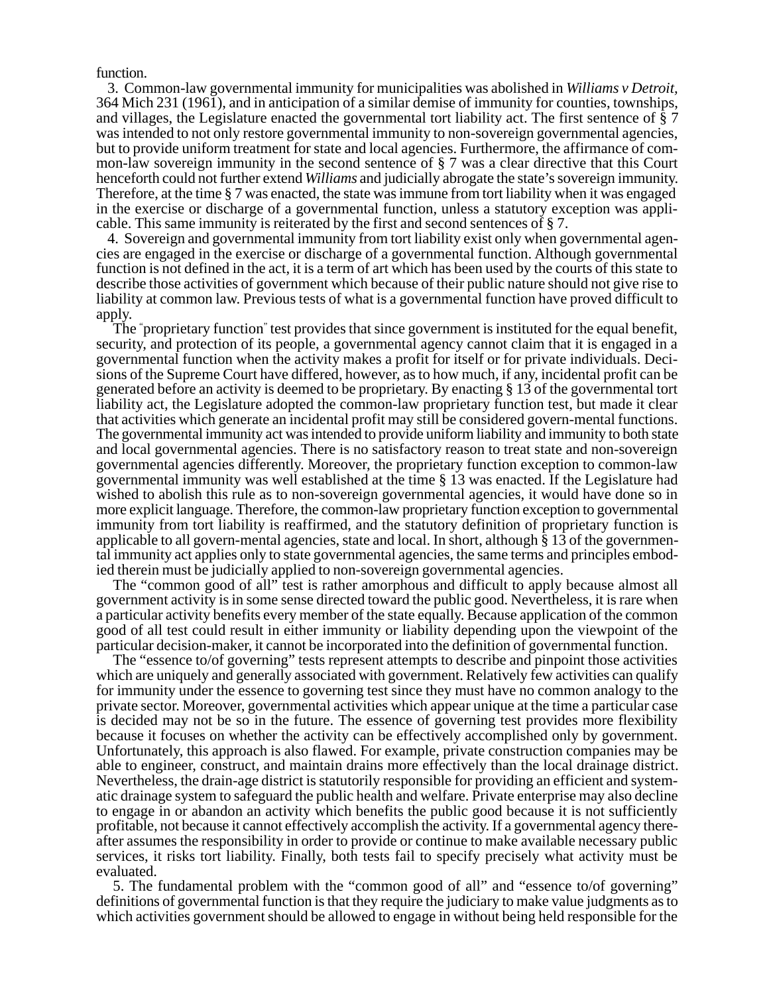function.

3. Common-law governmental immunity for municipalities was abolished in *Williams v Detroit,* 364 Mich 231 (1961), and in anticipation of a similar demise of immunity for counties, townships, and villages, the Legislature enacted the governmental tort liability act. The first sentence of § 7 was intended to not only restore governmental immunity to non-sovereign governmental agencies, but to provide uniform treatment for state and local agencies. Furthermore, the affirmance of common-law sovereign immunity in the second sentence of § 7 was a clear directive that this Court henceforth could not further extend *Williams* and judicially abrogate the state's sovereign immunity. Therefore, at the time § 7 was enacted, the state was immune from tort liability when it was engaged in the exercise or discharge of a governmental function, unless a statutory exception was applicable. This same immunity is reiterated by the first and second sentences of § 7.

4. Sovereign and governmental immunity from tort liability exist only when governmental agencies are engaged in the exercise or discharge of a governmental function. Although governmental function is not defined in the act, it is a term of art which has been used by the courts of this state to describe those activities of government which because of their public nature should not give rise to liability at common law. Previous tests of what is a governmental function have proved difficult to apply.

The " proprietary function" test provides that since government is instituted for the equal benefit, security, and protection of its people, a governmental agency cannot claim that it is engaged in a governmental function when the activity makes a profit for itself or for private individuals. Decisions of the Supreme Court have differed, however, as to how much, if any, incidental profit can be generated before an activity is deemed to be proprietary. By enacting § 13 of the governmental tort liability act, the Legislature adopted the common-law proprietary function test, but made it clear that activities which generate an incidental profit may still be considered govern-mental functions. The governmental immunity act was intended to provide uniform liability and immunity to both state and local governmental agencies. There is no satisfactory reason to treat state and non-sovereign governmental agencies differently. Moreover, the proprietary function exception to common-law governmental immunity was well established at the time § 13 was enacted. If the Legislature had wished to abolish this rule as to non-sovereign governmental agencies, it would have done so in more explicit language. Therefore, the common-law proprietary function exception to governmental immunity from tort liability is reaffirmed, and the statutory definition of proprietary function is applicable to all govern-mental agencies, state and local. In short, although § 13 of the governmental immunity act applies only to state governmental agencies, the same terms and principles embodied therein must be judicially applied to non-sovereign governmental agencies.

The "common good of all" test is rather amorphous and difficult to apply because almost all government activity is in some sense directed toward the public good. Nevertheless, it is rare when a particular activity benefits every member of the state equally. Because application of the common good of all test could result in either immunity or liability depending upon the viewpoint of the particular decision-maker, it cannot be incorporated into the definition of governmental function.

The "essence to/of governing" tests represent attempts to describe and pinpoint those activities which are uniquely and generally associated with government. Relatively few activities can qualify for immunity under the essence to governing test since they must have no common analogy to the private sector. Moreover, governmental activities which appear unique at the time a particular case is decided may not be so in the future. The essence of governing test provides more flexibility because it focuses on whether the activity can be effectively accomplished only by government. Unfortunately, this approach is also flawed. For example, private construction companies may be able to engineer, construct, and maintain drains more effectively than the local drainage district. Nevertheless, the drain-age district is statutorily responsible for providing an efficient and systematic drainage system to safeguard the public health and welfare. Private enterprise may also decline to engage in or abandon an activity which benefits the public good because it is not sufficiently profitable, not because it cannot effectively accomplish the activity. If a governmental agency thereafter assumes the responsibility in order to provide or continue to make available necessary public services, it risks tort liability. Finally, both tests fail to specify precisely what activity must be evaluated.

5. The fundamental problem with the "common good of all" and "essence to/of governing" definitions of governmental function is that they require the judiciary to make value judgments as to which activities government should be allowed to engage in without being held responsible for the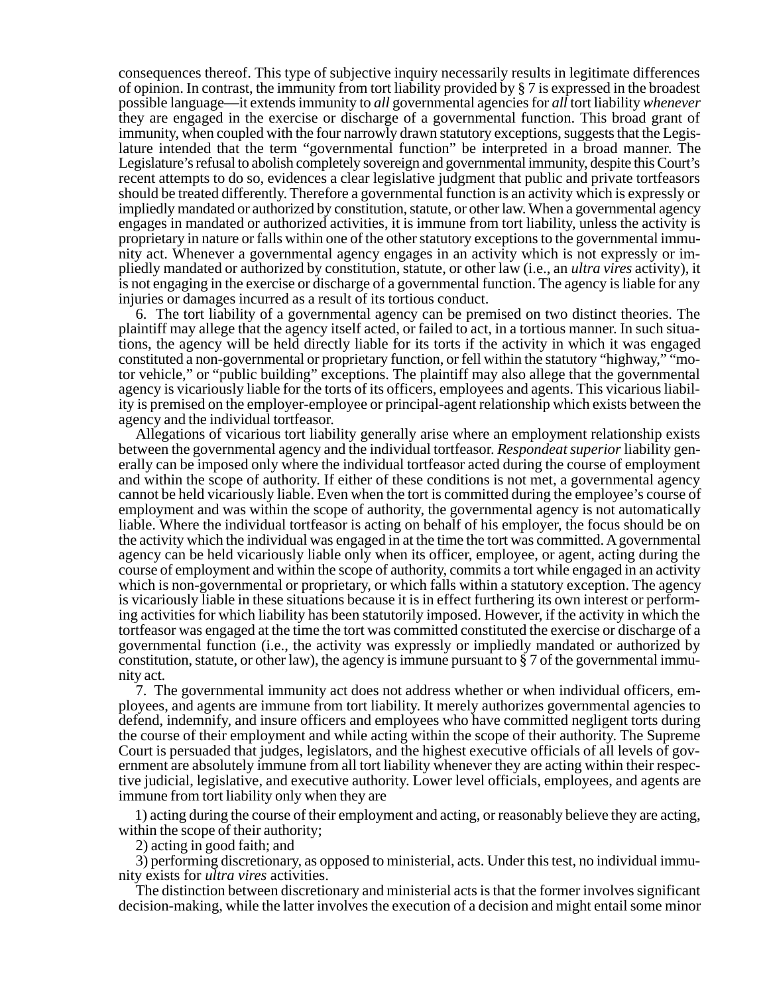consequences thereof. This type of subjective inquiry necessarily results in legitimate differences of opinion. In contrast, the immunity from tort liability provided by § 7 is expressed in the broadest possible language—it extends immunity to *all* governmental agencies for *all* tort liability *whenever* they are engaged in the exercise or discharge of a governmental function. This broad grant of immunity, when coupled with the four narrowly drawn statutory exceptions, suggests that the Legislature intended that the term "governmental function" be interpreted in a broad manner. The Legislature's refusal to abolish completely sovereign and governmental immunity, despite this Court's recent attempts to do so, evidences a clear legislative judgment that public and private tortfeasors should be treated differently. Therefore a governmental function is an activity which is expressly or impliedly mandated or authorized by constitution, statute, or other law. When a governmental agency engages in mandated or authorized activities, it is immune from tort liability, unless the activity is proprietary in nature or falls within one of the other statutory exceptions to the governmental immunity act. Whenever a governmental agency engages in an activity which is not expressly or impliedly mandated or authorized by constitution, statute, or other law (i.e., an *ultra vires* activity), it is not engaging in the exercise or discharge of a governmental function. The agency is liable for any injuries or damages incurred as a result of its tortious conduct.

6. The tort liability of a governmental agency can be premised on two distinct theories. The plaintiff may allege that the agency itself acted, or failed to act, in a tortious manner. In such situations, the agency will be held directly liable for its torts if the activity in which it was engaged constituted a non-governmental or proprietary function, or fell within the statutory "highway," "motor vehicle," or "public building" exceptions. The plaintiff may also allege that the governmental agency is vicariously liable for the torts of its officers, employees and agents. This vicarious liability is premised on the employer-employee or principal-agent relationship which exists between the agency and the individual tortfeasor.

Allegations of vicarious tort liability generally arise where an employment relationship exists between the governmental agency and the individual tortfeasor. *Respondeat superior* liability generally can be imposed only where the individual tortfeasor acted during the course of employment and within the scope of authority. If either of these conditions is not met, a governmental agency cannot be held vicariously liable. Even when the tort is committed during the employee's course of employment and was within the scope of authority, the governmental agency is not automatically liable. Where the individual tortfeasor is acting on behalf of his employer, the focus should be on the activity which the individual was engaged in at the time the tort was committed. A governmental agency can be held vicariously liable only when its officer, employee, or agent, acting during the course of employment and within the scope of authority, commits a tort while engaged in an activity which is non-governmental or proprietary, or which falls within a statutory exception. The agency is vicariously liable in these situations because it is in effect furthering its own interest or performing activities for which liability has been statutorily imposed. However, if the activity in which the tortfeasor was engaged at the time the tort was committed constituted the exercise or discharge of a governmental function (i.e., the activity was expressly or impliedly mandated or authorized by constitution, statute, or other law), the agency is immune pursuant to  $\S 7$  of the governmental immunity act.

7. The governmental immunity act does not address whether or when individual officers, employees, and agents are immune from tort liability. It merely authorizes governmental agencies to defend, indemnify, and insure officers and employees who have committed negligent torts during the course of their employment and while acting within the scope of their authority. The Supreme Court is persuaded that judges, legislators, and the highest executive officials of all levels of government are absolutely immune from all tort liability whenever they are acting within their respective judicial, legislative, and executive authority. Lower level officials, employees, and agents are immune from tort liability only when they are

 1) acting during the course of their employment and acting, or reasonably believe they are acting, within the scope of their authority;

2) acting in good faith; and

3) performing discretionary, as opposed to ministerial, acts. Under this test, no individual immunity exists for *ultra vires* activities.

The distinction between discretionary and ministerial acts is that the former involves significant decision-making, while the latter involves the execution of a decision and might entail some minor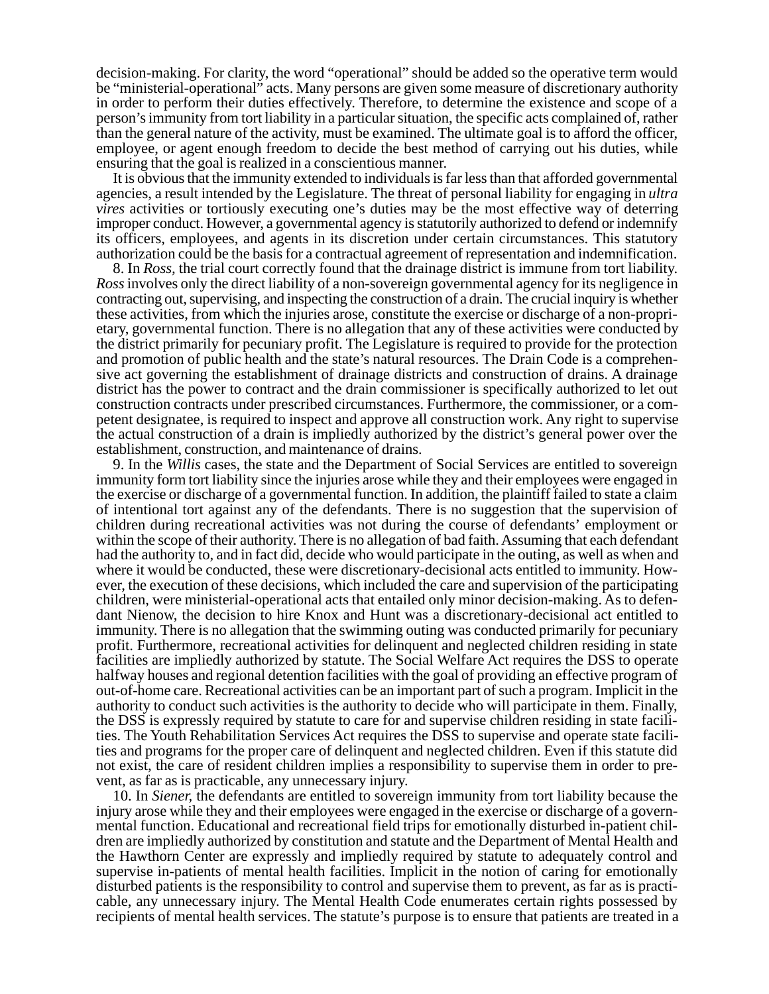decision-making. For clarity, the word "operational" should be added so the operative term would be "ministerial-operational" acts. Many persons are given some measure of discretionary authority in order to perform their duties effectively. Therefore, to determine the existence and scope of a person's immunity from tort liability in a particular situation, the specific acts complained of, rather than the general nature of the activity, must be examined. The ultimate goal is to afford the officer, employee, or agent enough freedom to decide the best method of carrying out his duties, while ensuring that the goal is realized in a conscientious manner.

It is obvious that the immunity extended to individuals is far less than that afforded governmental agencies, a result intended by the Legislature. The threat of personal liability for engaging in *ultra vires* activities or tortiously executing one's duties may be the most effective way of deterring improper conduct. However, a governmental agency is statutorily authorized to defend or indemnify its officers, employees, and agents in its discretion under certain circumstances. This statutory authorization could be the basis for a contractual agreement of representation and indemnification.

8. In *Ross,* the trial court correctly found that the drainage district is immune from tort liability. *Ross* involves only the direct liability of a non-sovereign governmental agency for its negligence in contracting out, supervising, and inspecting the construction of a drain. The crucial inquiry is whether these activities, from which the injuries arose, constitute the exercise or discharge of a non-proprietary, governmental function. There is no allegation that any of these activities were conducted by the district primarily for pecuniary profit. The Legislature is required to provide for the protection and promotion of public health and the state's natural resources. The Drain Code is a comprehensive act governing the establishment of drainage districts and construction of drains. A drainage district has the power to contract and the drain commissioner is specifically authorized to let out construction contracts under prescribed circumstances. Furthermore, the commissioner, or a competent designatee, is required to inspect and approve all construction work. Any right to supervise the actual construction of a drain is impliedly authorized by the district's general power over the establishment, construction, and maintenance of drains.

9. In the *Willis* cases, the state and the Department of Social Services are entitled to sovereign immunity form tort liability since the injuries arose while they and their employees were engaged in the exercise or discharge of a governmental function. In addition, the plaintiff failed to state a claim of intentional tort against any of the defendants. There is no suggestion that the supervision of children during recreational activities was not during the course of defendants' employment or within the scope of their authority. There is no allegation of bad faith. Assuming that each defendant had the authority to, and in fact did, decide who would participate in the outing, as well as when and where it would be conducted, these were discretionary-decisional acts entitled to immunity. However, the execution of these decisions, which included the care and supervision of the participating children, were ministerial-operational acts that entailed only minor decision-making. As to defendant Nienow, the decision to hire Knox and Hunt was a discretionary-decisional act entitled to immunity. There is no allegation that the swimming outing was conducted primarily for pecuniary profit. Furthermore, recreational activities for delinquent and neglected children residing in state facilities are impliedly authorized by statute. The Social Welfare Act requires the DSS to operate halfway houses and regional detention facilities with the goal of providing an effective program of out-of-home care. Recreational activities can be an important part of such a program. Implicit in the authority to conduct such activities is the authority to decide who will participate in them. Finally, the DSS is expressly required by statute to care for and supervise children residing in state facilities. The Youth Rehabilitation Services Act requires the DSS to supervise and operate state facilities and programs for the proper care of delinquent and neglected children. Even if this statute did not exist, the care of resident children implies a responsibility to supervise them in order to prevent, as far as is practicable, any unnecessary injury.

10. In *Siener,* the defendants are entitled to sovereign immunity from tort liability because the injury arose while they and their employees were engaged in the exercise or discharge of a governmental function. Educational and recreational field trips for emotionally disturbed in-patient children are impliedly authorized by constitution and statute and the Department of Mental Health and the Hawthorn Center are expressly and impliedly required by statute to adequately control and supervise in-patients of mental health facilities. Implicit in the notion of caring for emotionally disturbed patients is the responsibility to control and supervise them to prevent, as far as is practicable, any unnecessary injury. The Mental Health Code enumerates certain rights possessed by recipients of mental health services. The statute's purpose is to ensure that patients are treated in a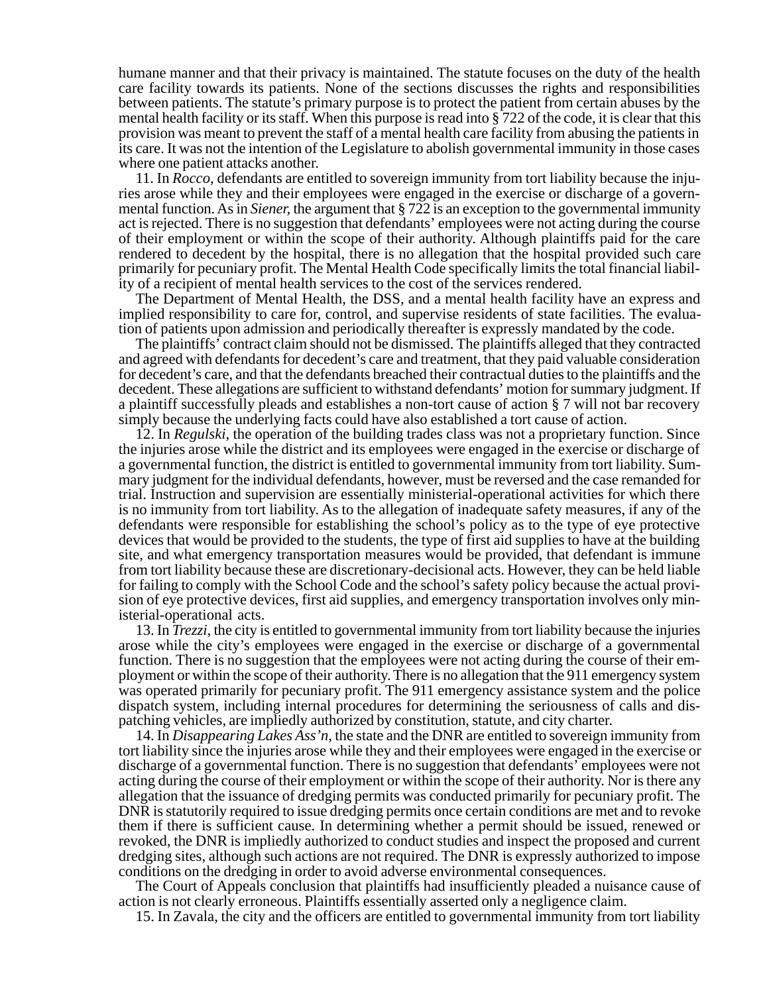humane manner and that their privacy is maintained. The statute focuses on the duty of the health care facility towards its patients. None of the sections discusses the rights and responsibilities between patients. The statute's primary purpose is to protect the patient from certain abuses by the mental health facility or its staff. When this purpose is read into § 722 of the code, it is clear that this provision was meant to prevent the staff of a mental health care facility from abusing the patients in its care. It was not the intention of the Legislature to abolish governmental immunity in those cases where one patient attacks another.

11. In *Rocco,* defendants are entitled to sovereign immunity from tort liability because the injuries arose while they and their employees were engaged in the exercise or discharge of a governmental function. As in *Siener,* the argument that § 722 is an exception to the governmental immunity act is rejected. There is no suggestion that defendants' employees were not acting during the course of their employment or within the scope of their authority. Although plaintiffs paid for the care rendered to decedent by the hospital, there is no allegation that the hospital provided such care primarily for pecuniary profit. The Mental Health Code specifically limits the total financial liability of a recipient of mental health services to the cost of the services rendered.

The Department of Mental Health, the DSS, and a mental health facility have an express and implied responsibility to care for, control, and supervise residents of state facilities. The evaluation of patients upon admission and periodically thereafter is expressly mandated by the code.

The plaintiffs' contract claim should not be dismissed. The plaintiffs alleged that they contracted and agreed with defendants for decedent's care and treatment, that they paid valuable consideration for decedent's care, and that the defendants breached their contractual duties to the plaintiffs and the decedent. These allegations are sufficient to withstand defendants' motion for summary judgment. If a plaintiff successfully pleads and establishes a non-tort cause of action § 7 will not bar recovery simply because the underlying facts could have also established a tort cause of action.

12. In *Regulski,* the operation of the building trades class was not a proprietary function. Since the injuries arose while the district and its employees were engaged in the exercise or discharge of a governmental function, the district is entitled to governmental immunity from tort liability. Summary judgment for the individual defendants, however, must be reversed and the case remanded for trial. Instruction and supervision are essentially ministerial-operational activities for which there is no immunity from tort liability. As to the allegation of inadequate safety measures, if any of the defendants were responsible for establishing the school's policy as to the type of eye protective devices that would be provided to the students, the type of first aid supplies to have at the building site, and what emergency transportation measures would be provided, that defendant is immune from tort liability because these are discretionary-decisional acts. However, they can be held liable for failing to comply with the School Code and the school's safety policy because the actual provision of eye protective devices, first aid supplies, and emergency transportation involves only ministerial-operational acts.

13. In *Trezzi,* the city is entitled to governmental immunity from tort liability because the injuries arose while the city's employees were engaged in the exercise or discharge of a governmental function. There is no suggestion that the employees were not acting during the course of their employment or within the scope of their authority. There is no allegation that the 911 emergency system was operated primarily for pecuniary profit. The 911 emergency assistance system and the police dispatch system, including internal procedures for determining the seriousness of calls and dispatching vehicles, are impliedly authorized by constitution, statute, and city charter.

14. In *Disappearing Lakes Ass'n,* the state and the DNR are entitled to sovereign immunity from tort liability since the injuries arose while they and their employees were engaged in the exercise or discharge of a governmental function. There is no suggestion that defendants' employees were not acting during the course of their employment or within the scope of their authority. Nor is there any allegation that the issuance of dredging permits was conducted primarily for pecuniary profit. The DNR is statutorily required to issue dredging permits once certain conditions are met and to revoke them if there is sufficient cause. In determining whether a permit should be issued, renewed or revoked, the DNR is impliedly authorized to conduct studies and inspect the proposed and current dredging sites, although such actions are not required. The DNR is expressly authorized to impose conditions on the dredging in order to avoid adverse environmental consequences.

The Court of Appeals conclusion that plaintiffs had insufficiently pleaded a nuisance cause of action is not clearly erroneous. Plaintiffs essentially asserted only a negligence claim.

15. In Zavala, the city and the officers are entitled to governmental immunity from tort liability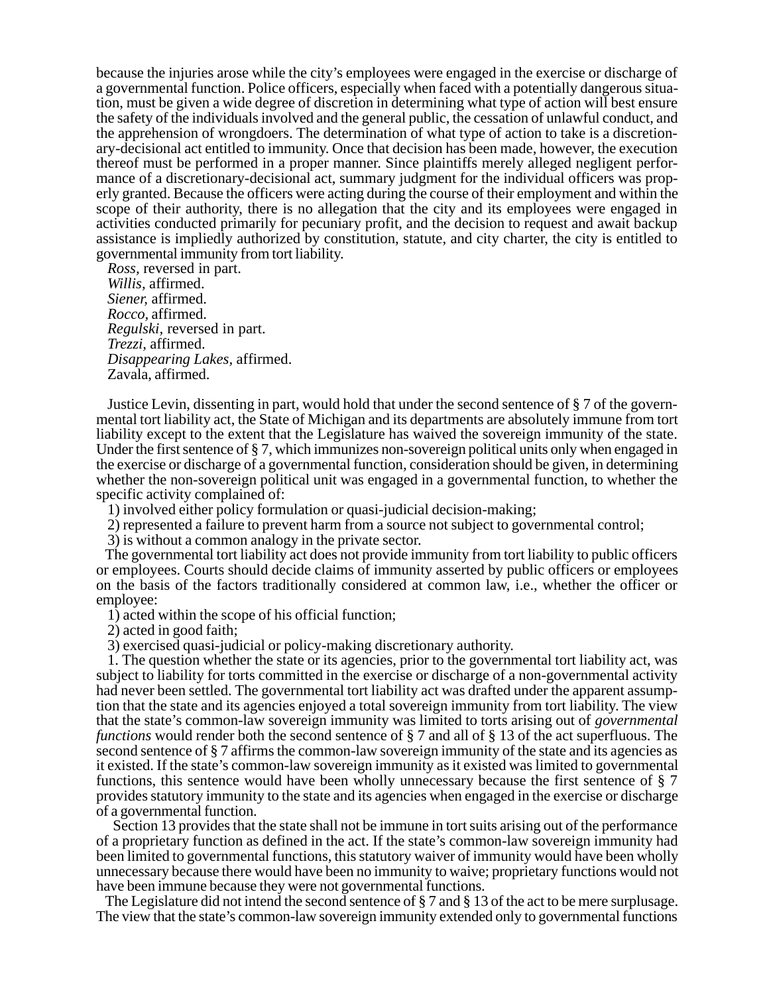because the injuries arose while the city's employees were engaged in the exercise or discharge of a governmental function. Police officers, especially when faced with a potentially dangerous situation, must be given a wide degree of discretion in determining what type of action will best ensure the safety of the individuals involved and the general public, the cessation of unlawful conduct, and the apprehension of wrongdoers. The determination of what type of action to take is a discretionary-decisional act entitled to immunity. Once that decision has been made, however, the execution thereof must be performed in a proper manner. Since plaintiffs merely alleged negligent performance of a discretionary-decisional act, summary judgment for the individual officers was properly granted. Because the officers were acting during the course of their employment and within the scope of their authority, there is no allegation that the city and its employees were engaged in activities conducted primarily for pecuniary profit, and the decision to request and await backup assistance is impliedly authorized by constitution, statute, and city charter, the city is entitled to governmental immunity from tort liability.

*Ross,* reversed in part. *Willis,* affirmed. *Siener,* affirmed. *Rocco,* affirmed. *Regulski,* reversed in part. *Trezzi,* affirmed. *Disappearing Lakes,* affirmed. Zavala, affirmed.

Justice Levin, dissenting in part, would hold that under the second sentence of § 7 of the governmental tort liability act, the State of Michigan and its departments are absolutely immune from tort liability except to the extent that the Legislature has waived the sovereign immunity of the state. Under the first sentence of § 7, which immunizes non-sovereign political units only when engaged in the exercise or discharge of a governmental function, consideration should be given, in determining whether the non-sovereign political unit was engaged in a governmental function, to whether the specific activity complained of:

1) involved either policy formulation or quasi-judicial decision-making;

2) represented a failure to prevent harm from a source not subject to governmental control;

3) is without a common analogy in the private sector.

The governmental tort liability act does not provide immunity from tort liability to public officers or employees. Courts should decide claims of immunity asserted by public officers or employees on the basis of the factors traditionally considered at common law, i.e., whether the officer or employee:

1) acted within the scope of his official function;

2) acted in good faith;

3) exercised quasi-judicial or policy-making discretionary authority.

1. The question whether the state or its agencies, prior to the governmental tort liability act, was subject to liability for torts committed in the exercise or discharge of a non-governmental activity had never been settled. The governmental tort liability act was drafted under the apparent assumption that the state and its agencies enjoyed a total sovereign immunity from tort liability. The view that the state's common-law sovereign immunity was limited to torts arising out of *governmental functions* would render both the second sentence of § 7 and all of § 13 of the act superfluous. The second sentence of § 7 affirms the common-law sovereign immunity of the state and its agencies as it existed. If the state's common-law sovereign immunity as it existed was limited to governmental functions, this sentence would have been wholly unnecessary because the first sentence of § 7 provides statutory immunity to the state and its agencies when engaged in the exercise or discharge of a governmental function.

Section 13 provides that the state shall not be immune in tort suits arising out of the performance of a proprietary function as defined in the act. If the state's common-law sovereign immunity had been limited to governmental functions, this statutory waiver of immunity would have been wholly unnecessary because there would have been no immunity to waive; proprietary functions would not have been immune because they were not governmental functions.

The Legislature did not intend the second sentence of § 7 and § 13 of the act to be mere surplusage. The view that the state's common-law sovereign immunity extended only to governmental functions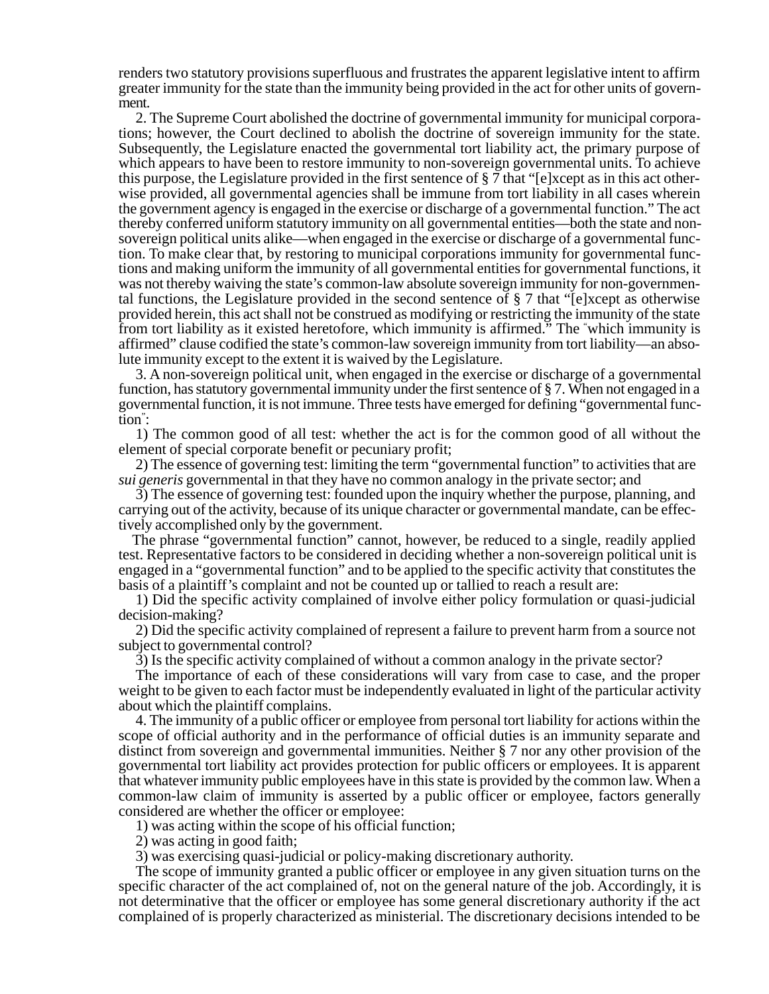renders two statutory provisions superfluous and frustrates the apparent legislative intent to affirm greater immunity for the state than the immunity being provided in the act for other units of government.

2. The Supreme Court abolished the doctrine of governmental immunity for municipal corporations; however, the Court declined to abolish the doctrine of sovereign immunity for the state. Subsequently, the Legislature enacted the governmental tort liability act, the primary purpose of which appears to have been to restore immunity to non-sovereign governmental units. To achieve this purpose, the Legislature provided in the first sentence of § 7 that "[e]xcept as in this act otherwise provided, all governmental agencies shall be immune from tort liability in all cases wherein the government agency is engaged in the exercise or discharge of a governmental function." The act thereby conferred uniform statutory immunity on all governmental entities—both the state and nonsovereign political units alike—when engaged in the exercise or discharge of a governmental function. To make clear that, by restoring to municipal corporations immunity for governmental functions and making uniform the immunity of all governmental entities for governmental functions, it was not thereby waiving the state's common-law absolute sovereign immunity for non-governmental functions, the Legislature provided in the second sentence of § 7 that "[e]xcept as otherwise provided herein, this act shall not be construed as modifying or restricting the immunity of the state from tort liability as it existed heretofore, which immunity is affirmed." The " which immunity is affirmed" clause codified the state's common-law sovereign immunity from tort liability—an absolute immunity except to the extent it is waived by the Legislature.

3. A non-sovereign political unit, when engaged in the exercise or discharge of a governmental function, has statutory governmental immunity under the first sentence of § 7. When not engaged in a governmental function, it is not immune. Three tests have emerged for defining "governmental function" :

1) The common good of all test: whether the act is for the common good of all without the element of special corporate benefit or pecuniary profit;

2) The essence of governing test: limiting the term "governmental function" to activities that are *sui generis* governmental in that they have no common analogy in the private sector; and

3) The essence of governing test: founded upon the inquiry whether the purpose, planning, and carrying out of the activity, because of its unique character or governmental mandate, can be effectively accomplished only by the government.

The phrase "governmental function" cannot, however, be reduced to a single, readily applied test. Representative factors to be considered in deciding whether a non-sovereign political unit is engaged in a "governmental function" and to be applied to the specific activity that constitutes the basis of a plaintiff's complaint and not be counted up or tallied to reach a result are:

1) Did the specific activity complained of involve either policy formulation or quasi-judicial decision-making?

2) Did the specific activity complained of represent a failure to prevent harm from a source not subject to governmental control?

3) Is the specific activity complained of without a common analogy in the private sector?

The importance of each of these considerations will vary from case to case, and the proper weight to be given to each factor must be independently evaluated in light of the particular activity about which the plaintiff complains.

4. The immunity of a public officer or employee from personal tort liability for actions within the scope of official authority and in the performance of official duties is an immunity separate and distinct from sovereign and governmental immunities. Neither § 7 nor any other provision of the governmental tort liability act provides protection for public officers or employees. It is apparent that whatever immunity public employees have in this state is provided by the common law. When a common-law claim of immunity is asserted by a public officer or employee, factors generally considered are whether the officer or employee:

1) was acting within the scope of his official function;

2) was acting in good faith;

3) was exercising quasi-judicial or policy-making discretionary authority.

The scope of immunity granted a public officer or employee in any given situation turns on the specific character of the act complained of, not on the general nature of the job. Accordingly, it is not determinative that the officer or employee has some general discretionary authority if the act complained of is properly characterized as ministerial. The discretionary decisions intended to be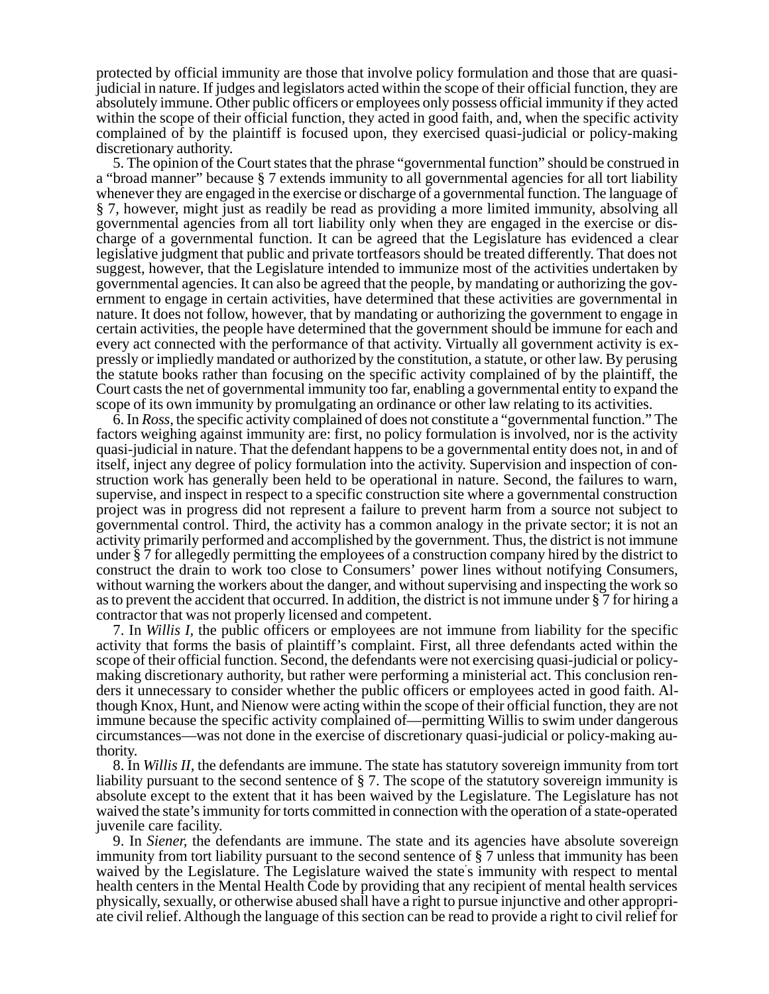protected by official immunity are those that involve policy formulation and those that are quasijudicial in nature. If judges and legislators acted within the scope of their official function, they are absolutely immune. Other public officers or employees only possess official immunity if they acted within the scope of their official function, they acted in good faith, and, when the specific activity complained of by the plaintiff is focused upon, they exercised quasi-judicial or policy-making discretionary authority.

5. The opinion of the Court states that the phrase "governmental function" should be construed in a "broad manner" because § 7 extends immunity to all governmental agencies for all tort liability whenever they are engaged in the exercise or discharge of a governmental function. The language of § 7, however, might just as readily be read as providing a more limited immunity, absolving all governmental agencies from all tort liability only when they are engaged in the exercise or discharge of a governmental function. It can be agreed that the Legislature has evidenced a clear legislative judgment that public and private tortfeasors should be treated differently. That does not suggest, however, that the Legislature intended to immunize most of the activities undertaken by governmental agencies. It can also be agreed that the people, by mandating or authorizing the government to engage in certain activities, have determined that these activities are governmental in nature. It does not follow, however, that by mandating or authorizing the government to engage in certain activities, the people have determined that the government should be immune for each and every act connected with the performance of that activity. Virtually all government activity is expressly or impliedly mandated or authorized by the constitution, a statute, or other law. By perusing the statute books rather than focusing on the specific activity complained of by the plaintiff, the Court casts the net of governmental immunity too far, enabling a governmental entity to expand the scope of its own immunity by promulgating an ordinance or other law relating to its activities.

6. In *Ross,* the specific activity complained of does not constitute a "governmental function." The factors weighing against immunity are: first, no policy formulation is involved, nor is the activity quasi-judicial in nature. That the defendant happens to be a governmental entity does not, in and of itself, inject any degree of policy formulation into the activity. Supervision and inspection of construction work has generally been held to be operational in nature. Second, the failures to warn, supervise, and inspect in respect to a specific construction site where a governmental construction project was in progress did not represent a failure to prevent harm from a source not subject to governmental control. Third, the activity has a common analogy in the private sector; it is not an activity primarily performed and accomplished by the government. Thus, the district is not immune under § 7 for allegedly permitting the employees of a construction company hired by the district to construct the drain to work too close to Consumers' power lines without notifying Consumers, without warning the workers about the danger, and without supervising and inspecting the work so as to prevent the accident that occurred. In addition, the district is not immune under § 7 for hiring a contractor that was not properly licensed and competent.

7. In *Willis I,* the public officers or employees are not immune from liability for the specific activity that forms the basis of plaintiff's complaint. First, all three defendants acted within the scope of their official function. Second, the defendants were not exercising quasi-judicial or policymaking discretionary authority, but rather were performing a ministerial act. This conclusion renders it unnecessary to consider whether the public officers or employees acted in good faith. Although Knox, Hunt, and Nienow were acting within the scope of their official function, they are not immune because the specific activity complained of—permitting Willis to swim under dangerous circumstances—was not done in the exercise of discretionary quasi-judicial or policy-making authority.

8. In *Willis II,* the defendants are immune. The state has statutory sovereign immunity from tort liability pursuant to the second sentence of § 7. The scope of the statutory sovereign immunity is absolute except to the extent that it has been waived by the Legislature. The Legislature has not waived the state's immunity for torts committed in connection with the operation of a state-operated juvenile care facility.

9. In *Siener,* the defendants are immune. The state and its agencies have absolute sovereign immunity from tort liability pursuant to the second sentence of § 7 unless that immunity has been waived by the Legislature. The Legislature waived the state' s immunity with respect to mental health centers in the Mental Health Code by providing that any recipient of mental health services physically, sexually, or otherwise abused shall have a right to pursue injunctive and other appropriate civil relief. Although the language of this section can be read to provide a right to civil relief for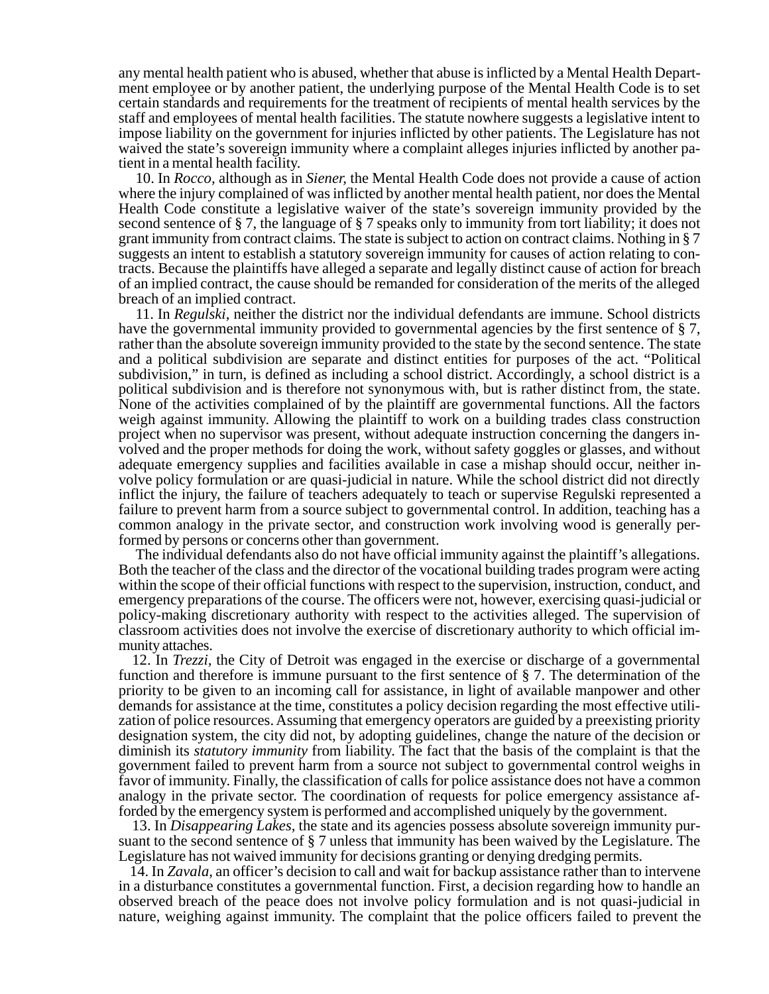any mental health patient who is abused, whether that abuse is inflicted by a Mental Health Department employee or by another patient, the underlying purpose of the Mental Health Code is to set certain standards and requirements for the treatment of recipients of mental health services by the staff and employees of mental health facilities. The statute nowhere suggests a legislative intent to impose liability on the government for injuries inflicted by other patients. The Legislature has not waived the state's sovereign immunity where a complaint alleges injuries inflicted by another patient in a mental health facility.

10. In *Rocco,* although as in *Siener,* the Mental Health Code does not provide a cause of action where the injury complained of was inflicted by another mental health patient, nor does the Mental Health Code constitute a legislative waiver of the state's sovereign immunity provided by the second sentence of § 7, the language of § 7 speaks only to immunity from tort liability; it does not grant immunity from contract claims. The state is subject to action on contract claims. Nothing in § 7 suggests an intent to establish a statutory sovereign immunity for causes of action relating to contracts. Because the plaintiffs have alleged a separate and legally distinct cause of action for breach of an implied contract, the cause should be remanded for consideration of the merits of the alleged breach of an implied contract.

11. In *Regulski,* neither the district nor the individual defendants are immune. School districts have the governmental immunity provided to governmental agencies by the first sentence of § 7, rather than the absolute sovereign immunity provided to the state by the second sentence. The state and a political subdivision are separate and distinct entities for purposes of the act. "Political subdivision," in turn, is defined as including a school district. Accordingly, a school district is a political subdivision and is therefore not synonymous with, but is rather distinct from, the state. None of the activities complained of by the plaintiff are governmental functions. All the factors weigh against immunity. Allowing the plaintiff to work on a building trades class construction project when no supervisor was present, without adequate instruction concerning the dangers involved and the proper methods for doing the work, without safety goggles or glasses, and without adequate emergency supplies and facilities available in case a mishap should occur, neither involve policy formulation or are quasi-judicial in nature. While the school district did not directly inflict the injury, the failure of teachers adequately to teach or supervise Regulski represented a failure to prevent harm from a source subject to governmental control. In addition, teaching has a common analogy in the private sector, and construction work involving wood is generally performed by persons or concerns other than government.

The individual defendants also do not have official immunity against the plaintiff's allegations. Both the teacher of the class and the director of the vocational building trades program were acting within the scope of their official functions with respect to the supervision, instruction, conduct, and emergency preparations of the course. The officers were not, however, exercising quasi-judicial or policy-making discretionary authority with respect to the activities alleged. The supervision of classroom activities does not involve the exercise of discretionary authority to which official immunity attaches.

12. In *Trezzi,* the City of Detroit was engaged in the exercise or discharge of a governmental function and therefore is immune pursuant to the first sentence of § 7. The determination of the priority to be given to an incoming call for assistance, in light of available manpower and other demands for assistance at the time, constitutes a policy decision regarding the most effective utilization of police resources. Assuming that emergency operators are guided by a preexisting priority designation system, the city did not, by adopting guidelines, change the nature of the decision or diminish its *statutory immunity* from liability. The fact that the basis of the complaint is that the government failed to prevent harm from a source not subject to governmental control weighs in favor of immunity. Finally, the classification of calls for police assistance does not have a common analogy in the private sector. The coordination of requests for police emergency assistance afforded by the emergency system is performed and accomplished uniquely by the government.

13. In *Disappearing Lakes,* the state and its agencies possess absolute sovereign immunity pursuant to the second sentence of § 7 unless that immunity has been waived by the Legislature. The Legislature has not waived immunity for decisions granting or denying dredging permits.

14. In *Zavala,* an officer's decision to call and wait for backup assistance rather than to intervene in a disturbance constitutes a governmental function. First, a decision regarding how to handle an observed breach of the peace does not involve policy formulation and is not quasi-judicial in nature, weighing against immunity. The complaint that the police officers failed to prevent the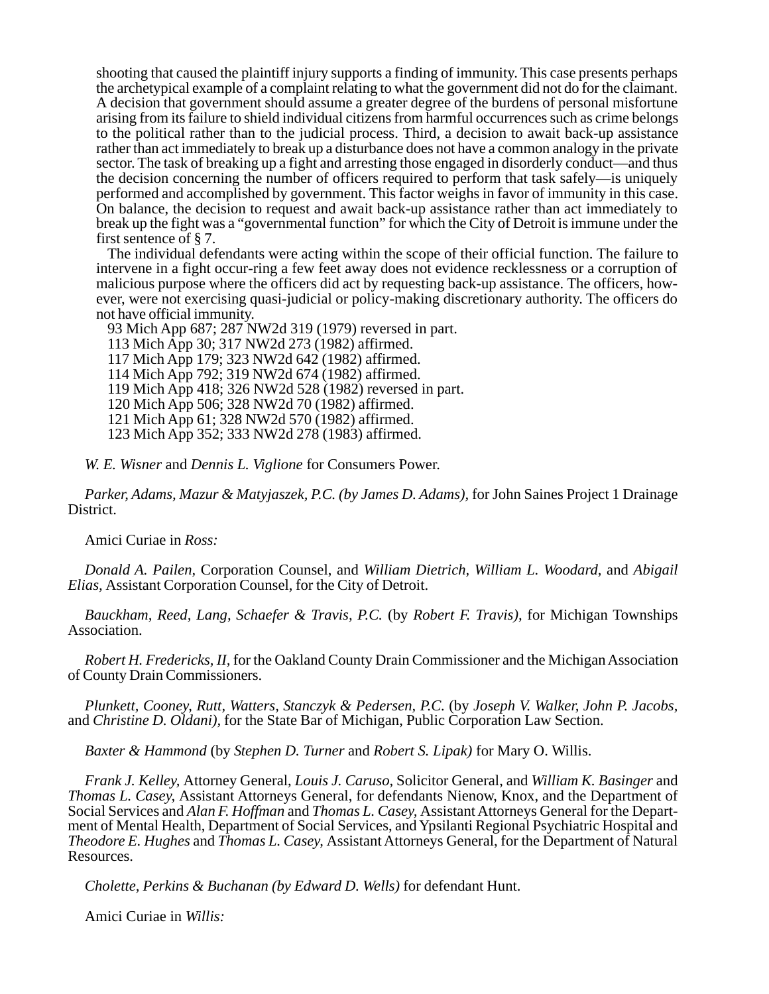shooting that caused the plaintiff injury supports a finding of immunity. This case presents perhaps the archetypical example of a complaint relating to what the government did not do for the claimant. A decision that government should assume a greater degree of the burdens of personal misfortune arising from its failure to shield individual citizens from harmful occurrences such as crime belongs to the political rather than to the judicial process. Third, a decision to await back-up assistance rather than act immediately to break up a disturbance does not have a common analogy in the private sector. The task of breaking up a fight and arresting those engaged in disorderly conduct—and thus the decision concerning the number of officers required to perform that task safely—is uniquely performed and accomplished by government. This factor weighs in favor of immunity in this case. On balance, the decision to request and await back-up assistance rather than act immediately to break up the fight was a "governmental function" for which the City of Detroit is immune under the first sentence of § 7.

The individual defendants were acting within the scope of their official function. The failure to intervene in a fight occur-ring a few feet away does not evidence recklessness or a corruption of malicious purpose where the officers did act by requesting back-up assistance. The officers, however, were not exercising quasi-judicial or policy-making discretionary authority. The officers do not have official immunity.

93 Mich App 687; 287 NW2d 319 (1979) reversed in part. 113 Mich App 30; 317 NW2d 273 (1982) affirmed. 117 Mich App 179; 323 NW2d 642 (1982) affirmed. 114 Mich App 792; 319 NW2d 674 (1982) affirmed. 119 Mich App 418; 326 NW2d 528 (1982) reversed in part. 120 Mich App 506; 328 NW2d 70 (1982) affirmed. 121 Mich App 61; 328 NW2d 570 (1982) affirmed. 123 Mich App 352; 333 NW2d 278 (1983) affirmed.

*W. E. Wisner* and *Dennis L. Viglione* for Consumers Power.

*Parker, Adams, Mazur & Matyjaszek, P.C. (by James D. Adams),* for John Saines Project 1 Drainage District.

Amici Curiae in *Ross:*

*Donald A. Pailen,* Corporation Counsel, and *William Dietrich, William L. Woodard,* and *Abigail Elias,* Assistant Corporation Counsel, for the City of Detroit.

*Bauckham, Reed, Lang, Schaefer & Travis, P.C.* (by *Robert F. Travis),* for Michigan Townships Association.

*Robert H. Fredericks, II,* for the Oakland County Drain Commissioner and the Michigan Association of County Drain Commissioners.

*Plunkett, Cooney, Rutt, Watters, Stanczyk & Pedersen, P.C.* (by *Joseph V. Walker, John P. Jacobs,* and *Christine D. Oldani),* for the State Bar of Michigan, Public Corporation Law Section.

*Baxter & Hammond* (by *Stephen D. Turner* and *Robert S. Lipak)* for Mary O. Willis.

*Frank J. Kelley,* Attorney General, *Louis J. Caruso,* Solicitor General, and *William K. Basinger* and *Thomas L. Casey,* Assistant Attorneys General, for defendants Nienow, Knox, and the Department of Social Services and *Alan F. Hoffman* and *Thomas L. Casey,* Assistant Attorneys General for the Department of Mental Health, Department of Social Services, and Ypsilanti Regional Psychiatric Hospital and *Theodore E. Hughes* and *Thomas L. Casey,* Assistant Attorneys General, for the Department of Natural Resources.

*Cholette, Perkins & Buchanan (by Edward D. Wells)* for defendant Hunt.

Amici Curiae in *Willis:*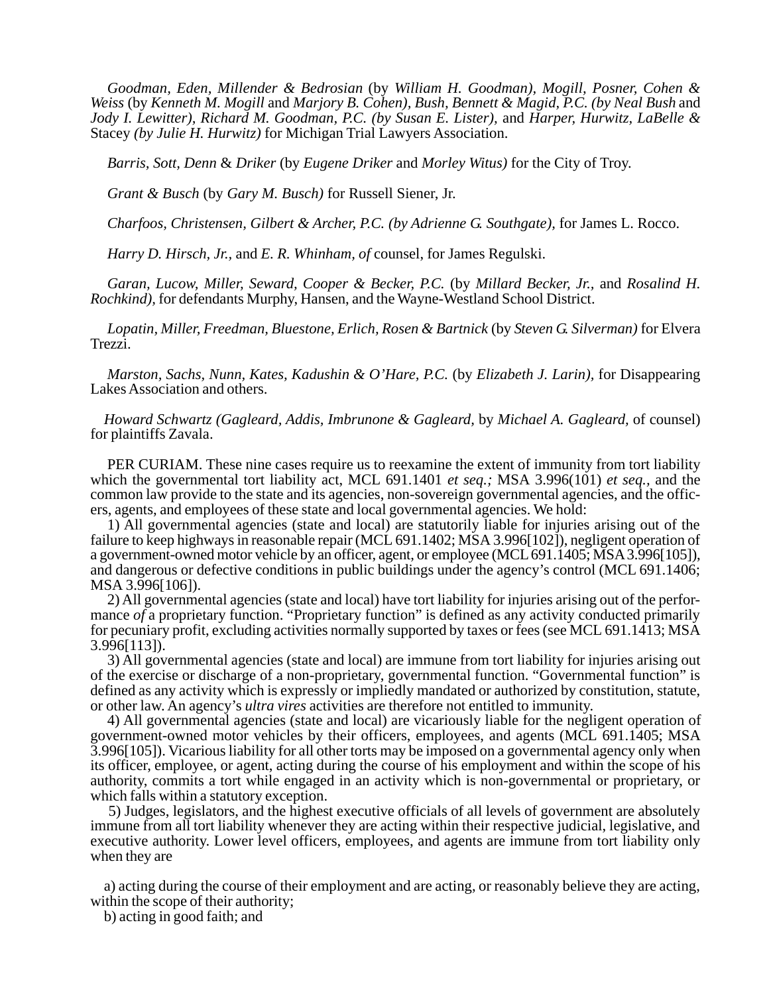*Goodman, Eden, Millender & Bedrosian* (by *William H. Goodman), Mogill, Posner, Cohen & Weiss* (by *Kenneth M. Mogill* and *Marjory B. Cohen), Bush, Bennett & Magid, P.C. (by Neal Bush* and *Jody I. Lewitter), Richard M. Goodman, P.C. (by Susan E. Lister),* and *Harper, Hurwitz, LaBelle &* Stacey *(by Julie H. Hurwitz)* for Michigan Trial Lawyers Association.

*Barris, Sott, Denn* & *Driker* (by *Eugene Driker* and *Morley Witus)* for the City of Troy.

*Grant & Busch* (by *Gary M. Busch)* for Russell Siener, Jr.

*Charfoos, Christensen, Gilbert & Archer, P.C. (by Adrienne G. Southgate),* for James L. Rocco.

*Harry D. Hirsch, Jr.,* and *E. R. Whinham, of* counsel, for James Regulski.

*Garan, Lucow, Miller, Seward, Cooper & Becker, P.C.* (by *Millard Becker, Jr.,* and *Rosalind H. Rochkind),* for defendants Murphy, Hansen, and the Wayne-Westland School District.

*Lopatin, Miller, Freedman, Bluestone, Erlich, Rosen & Bartnick* (by *Steven G. Silverman)* for Elvera Trezzi.

*Marston, Sachs, Nunn, Kates, Kadushin & O'Hare, P.C.* (by *Elizabeth J. Larin),* for Disappearing Lakes Association and others.

*Howard Schwartz (Gagleard, Addis, Imbrunone & Gagleard,* by *Michael A. Gagleard,* of counsel) for plaintiffs Zavala.

PER CURIAM. These nine cases require us to reexamine the extent of immunity from tort liability which the governmental tort liability act, MCL 691.1401 *et seq.;* MSA 3.996(101) *et seq.,* and the common law provide to the state and its agencies, non-sovereign governmental agencies, and the officers, agents, and employees of these state and local governmental agencies. We hold:

1) All governmental agencies (state and local) are statutorily liable for injuries arising out of the failure to keep highways in reasonable repair (MCL 691.1402; MSA 3.996[102]), negligent operation of a government-owned motor vehicle by an officer, agent, or employee (MCL 691.1405; MSA 3.996[105]), and dangerous or defective conditions in public buildings under the agency's control (MCL 691.1406; MSA 3.996[106]).

2) All governmental agencies (state and local) have tort liability for injuries arising out of the performance *of* a proprietary function. "Proprietary function" is defined as any activity conducted primarily for pecuniary profit, excluding activities normally supported by taxes or fees (see MCL 691.1413; MSA 3.996[113]).

3) All governmental agencies (state and local) are immune from tort liability for injuries arising out of the exercise or discharge of a non-proprietary, governmental function. "Governmental function" is defined as any activity which is expressly or impliedly mandated or authorized by constitution, statute, or other law. An agency's *ultra vires* activities are therefore not entitled to immunity.

4) All governmental agencies (state and local) are vicariously liable for the negligent operation of government-owned motor vehicles by their officers, employees, and agents (MCL 691.1405; MSA 3.996[105]). Vicarious liability for all other torts may be imposed on a governmental agency only when its officer, employee, or agent, acting during the course of his employment and within the scope of his authority, commits a tort while engaged in an activity which is non-governmental or proprietary, or which falls within a statutory exception.

5) Judges, legislators, and the highest executive officials of all levels of government are absolutely immune from all tort liability whenever they are acting within their respective judicial, legislative, and executive authority. Lower level officers, employees, and agents are immune from tort liability only when they are

a) acting during the course of their employment and are acting, or reasonably believe they are acting, within the scope of their authority;

b) acting in good faith; and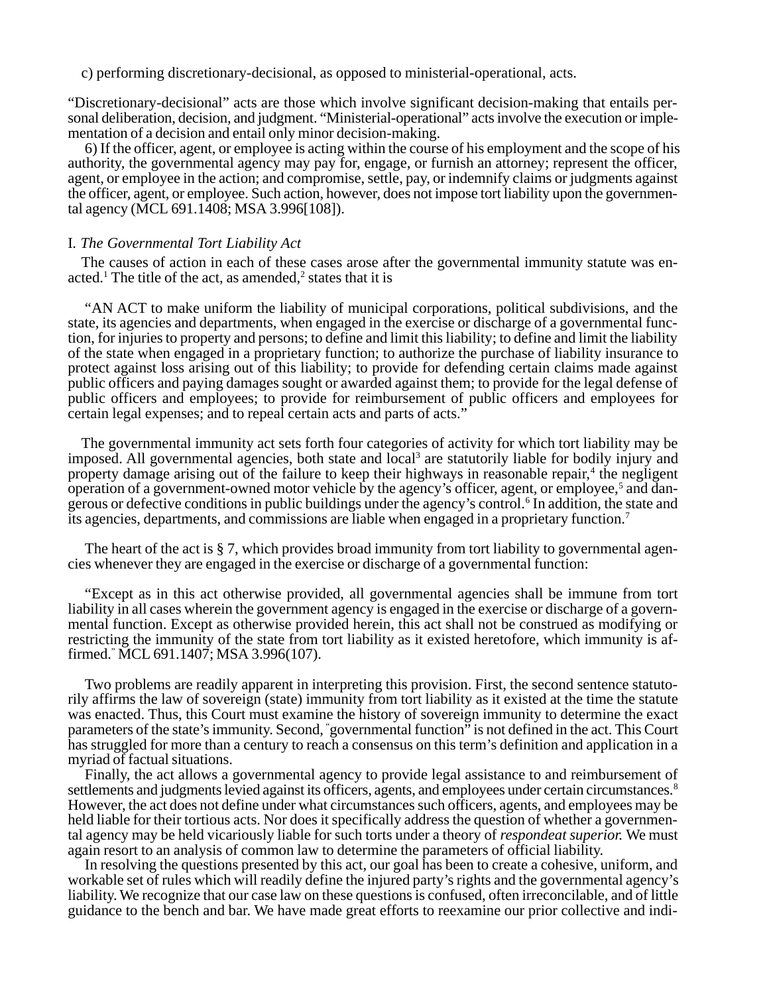c) performing discretionary-decisional, as opposed to ministerial-operational, acts.

"Discretionary-decisional" acts are those which involve significant decision-making that entails personal deliberation, decision, and judgment. "Ministerial-operational" acts involve the execution or implementation of a decision and entail only minor decision-making.

6) If the officer, agent, or employee is acting within the course of his employment and the scope of his authority, the governmental agency may pay for, engage, or furnish an attorney; represent the officer, agent, or employee in the action; and compromise, settle, pay, or indemnify claims or judgments against the officer, agent, or employee. Such action, however, does not impose tort liability upon the governmental agency (MCL 691.1408; MSA 3.996[108]).

## I*. The Governmental Tort Liability Act*

The causes of action in each of these cases arose after the governmental immunity statute was enacted.<sup>1</sup> The title of the act, as amended, $2$  states that it is

"AN ACT to make uniform the liability of municipal corporations, political subdivisions, and the state, its agencies and departments, when engaged in the exercise or discharge of a governmental function, for injuries to property and persons; to define and limit this liability; to define and limit the liability of the state when engaged in a proprietary function; to authorize the purchase of liability insurance to protect against loss arising out of this liability; to provide for defending certain claims made against public officers and paying damages sought or awarded against them; to provide for the legal defense of public officers and employees; to provide for reimbursement of public officers and employees for certain legal expenses; and to repeal certain acts and parts of acts."

The governmental immunity act sets forth four categories of activity for which tort liability may be imposed. All governmental agencies, both state and local<sup>3</sup> are statutorily liable for bodily injury and property damage arising out of the failure to keep their highways in reasonable repair,<sup>4</sup> the negligent operation of a government-owned motor vehicle by the agency's officer, agent, or employee,<sup>5</sup> and dangerous or defective conditions in public buildings under the agency's control.<sup>6</sup> In addition, the state and its agencies, departments, and commissions are liable when engaged in a proprietary function.7

The heart of the act is § 7, which provides broad immunity from tort liability to governmental agencies whenever they are engaged in the exercise or discharge of a governmental function:

"Except as in this act otherwise provided, all governmental agencies shall be immune from tort liability in all cases wherein the government agency is engaged in the exercise or discharge of a governmental function. Except as otherwise provided herein, this act shall not be construed as modifying or restricting the immunity of the state from tort liability as it existed heretofore, which immunity is affirmed." MCL 691.1407; MSA 3.996(107).

Two problems are readily apparent in interpreting this provision. First, the second sentence statutorily affirms the law of sovereign (state) immunity from tort liability as it existed at the time the statute was enacted. Thus, this Court must examine the history of sovereign immunity to determine the exact parameters of the state's immunity. Second, " governmental function" is not defined in the act. This Court has struggled for more than a century to reach a consensus on this term's definition and application in a myriad of factual situations.

Finally, the act allows a governmental agency to provide legal assistance to and reimbursement of settlements and judgments levied against its officers, agents, and employees under certain circumstances.<sup>8</sup> However, the act does not define under what circumstances such officers, agents, and employees may be held liable for their tortious acts. Nor does it specifically address the question of whether a governmental agency may be held vicariously liable for such torts under a theory of *respondeat superior.* We must again resort to an analysis of common law to determine the parameters of official liability.

In resolving the questions presented by this act, our goal has been to create a cohesive, uniform, and workable set of rules which will readily define the injured party's rights and the governmental agency's liability. We recognize that our case law on these questions is confused, often irreconcilable, and of little guidance to the bench and bar. We have made great efforts to reexamine our prior collective and indi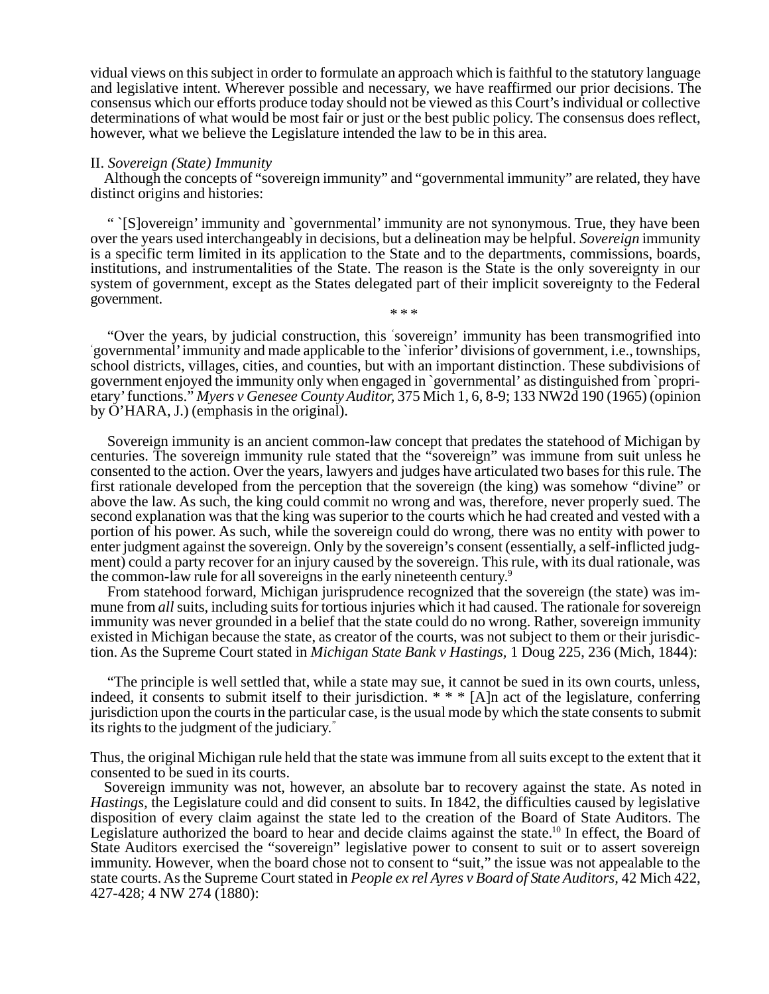vidual views on this subject in order to formulate an approach which is faithful to the statutory language and legislative intent. Wherever possible and necessary, we have reaffirmed our prior decisions. The consensus which our efforts produce today should not be viewed as this Court's individual or collective determinations of what would be most fair or just or the best public policy. The consensus does reflect, however, what we believe the Legislature intended the law to be in this area.

#### II. *Sovereign (State) Immunity*

Although the concepts of "sovereign immunity" and "governmental immunity" are related, they have distinct origins and histories:

" `[S]overeign' immunity and `governmental' immunity are not synonymous. True, they have been over the years used interchangeably in decisions, but a delineation may be helpful. *Sovereign* immunity is a specific term limited in its application to the State and to the departments, commissions, boards, institutions, and instrumentalities of the State. The reason is the State is the only sovereignty in our system of government, except as the States delegated part of their implicit sovereignty to the Federal government. \* \* \*

"Over the years, by judicial construction, this ' sovereign' immunity has been transmogrified into ' governmental' immunity and made applicable to the `inferior' divisions of government, i.e., townships, school districts, villages, cities, and counties, but with an important distinction. These subdivisions of government enjoyed the immunity only when engaged in `governmental' as distinguished from `proprietary' functions." *Myers v Genesee County Auditor,* 375 Mich 1, 6, 8-9; 133 NW2d 190 (1965) (opinion by O'HARA, J.) (emphasis in the original).

Sovereign immunity is an ancient common-law concept that predates the statehood of Michigan by centuries. The sovereign immunity rule stated that the "sovereign" was immune from suit unless he consented to the action. Over the years, lawyers and judges have articulated two bases for this rule. The first rationale developed from the perception that the sovereign (the king) was somehow "divine" or above the law. As such, the king could commit no wrong and was, therefore, never properly sued. The second explanation was that the king was superior to the courts which he had created and vested with a portion of his power. As such, while the sovereign could do wrong, there was no entity with power to enter judgment against the sovereign. Only by the sovereign's consent (essentially, a self-inflicted judgment) could a party recover for an injury caused by the sovereign. This rule, with its dual rationale, was the common-law rule for all sovereigns in the early nineteenth century.9

From statehood forward, Michigan jurisprudence recognized that the sovereign (the state) was immune from *all* suits, including suits for tortious injuries which it had caused. The rationale for sovereign immunity was never grounded in a belief that the state could do no wrong. Rather, sovereign immunity existed in Michigan because the state, as creator of the courts, was not subject to them or their jurisdiction. As the Supreme Court stated in *Michigan State Bank v Hastings,* 1 Doug 225, 236 (Mich, 1844):

"The principle is well settled that, while a state may sue, it cannot be sued in its own courts, unless, indeed, it consents to submit itself to their jurisdiction.  $* * * [A]$ n act of the legislature, conferring jurisdiction upon the courts in the particular case, is the usual mode by which the state consents to submit its rights to the judgment of the judiciary."

Thus, the original Michigan rule held that the state was immune from all suits except to the extent that it consented to be sued in its courts.

Sovereign immunity was not, however, an absolute bar to recovery against the state. As noted in *Hastings,* the Legislature could and did consent to suits. In 1842, the difficulties caused by legislative disposition of every claim against the state led to the creation of the Board of State Auditors. The Legislature authorized the board to hear and decide claims against the state.<sup>10</sup> In effect, the Board of State Auditors exercised the "sovereign" legislative power to consent to suit or to assert sovereign immunity. However, when the board chose not to consent to "suit," the issue was not appealable to the state courts. As the Supreme Court stated in *People ex rel Ayres v Board of State Auditors,* 42 Mich 422, 427-428; 4 NW 274 (1880):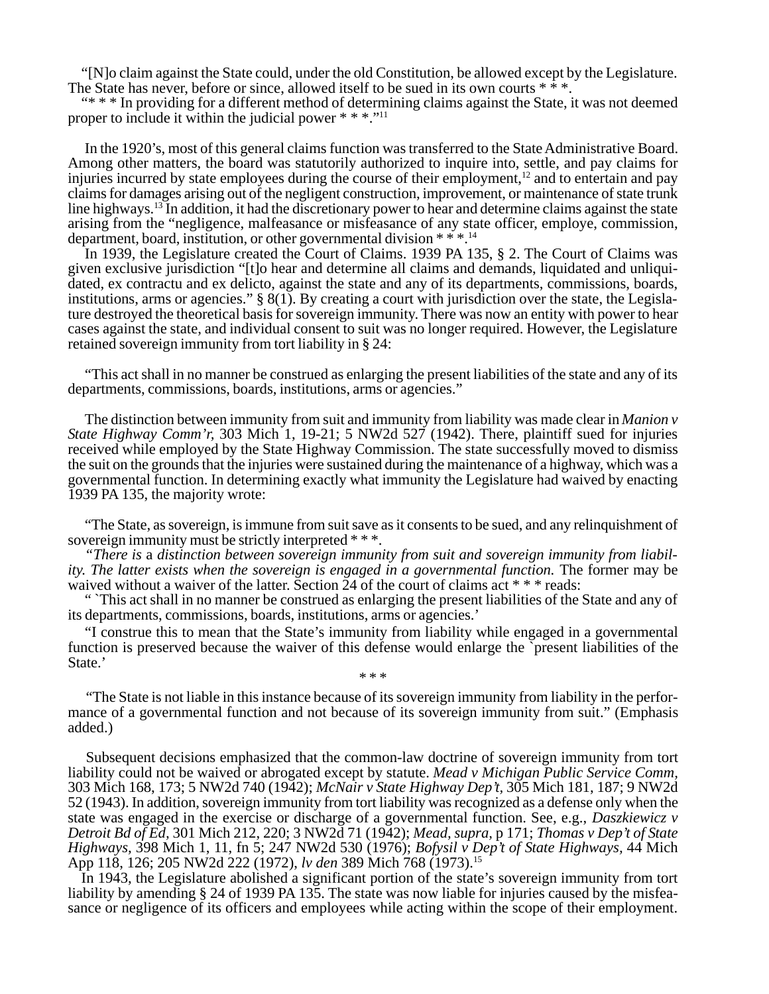"[N]o claim against the State could, under the old Constitution, be allowed except by the Legislature. The State has never, before or since, allowed itself to be sued in its own courts \* \* \*.

"\* \* \* In providing for a different method of determining claims against the State, it was not deemed proper to include it within the judicial power \* \* \*."<sup>11</sup>

In the 1920's, most of this general claims function was transferred to the State Administrative Board. Among other matters, the board was statutorily authorized to inquire into, settle, and pay claims for injuries incurred by state employees during the course of their employment,<sup>12</sup> and to entertain and pay claims for damages arising out of the negligent construction, improvement, or maintenance of state trunk line highways.13 In addition, it had the discretionary power to hear and determine claims against the state arising from the "negligence, malfeasance or misfeasance of any state officer, employe, commission, department, board, institution, or other governmental division \* \* \*.14

In 1939, the Legislature created the Court of Claims. 1939 PA 135, § 2. The Court of Claims was given exclusive jurisdiction "[t]o hear and determine all claims and demands, liquidated and unliquidated, ex contractu and ex delicto, against the state and any of its departments, commissions, boards, institutions, arms or agencies."  $\S 8(1)$ . By creating a court with jurisdiction over the state, the Legislature destroyed the theoretical basis for sovereign immunity. There was now an entity with power to hear cases against the state, and individual consent to suit was no longer required. However, the Legislature retained sovereign immunity from tort liability in § 24:

"This act shall in no manner be construed as enlarging the present liabilities of the state and any of its departments, commissions, boards, institutions, arms or agencies."

The distinction between immunity from suit and immunity from liability was made clear in *Manion v State Highway Comm'r,* 303 Mich 1, 19-21; 5 NW2d 527 (1942). There, plaintiff sued for injuries received while employed by the State Highway Commission. The state successfully moved to dismiss the suit on the grounds that the injuries were sustained during the maintenance of a highway, which was a governmental function. In determining exactly what immunity the Legislature had waived by enacting 1939 PA 135, the majority wrote:

"The State, as sovereign, is immune from suit save as it consents to be sued, and any relinquishment of sovereign immunity must be strictly interpreted \* \* \*.

*"There is* a *distinction between sovereign immunity from suit and sovereign immunity from liability. The latter exists when the sovereign is engaged in a governmental function.* The former may be waived without a waiver of the latter. Section 24 of the court of claims act \* \* \* reads:

" `This act shall in no manner be construed as enlarging the present liabilities of the State and any of its departments, commissions, boards, institutions, arms or agencies.'

"I construe this to mean that the State's immunity from liability while engaged in a governmental function is preserved because the waiver of this defense would enlarge the `present liabilities of the State.' \* \* \*

"The State is not liable in this instance because of its sovereign immunity from liability in the performance of a governmental function and not because of its sovereign immunity from suit." (Emphasis added.)

Subsequent decisions emphasized that the common-law doctrine of sovereign immunity from tort liability could not be waived or abrogated except by statute. *Mead v Michigan Public Service Comm,* 303 Mich 168, 173; 5 NW2d 740 (1942); *McNair v State Highway Dep't,* 305 Mich 181, 187; 9 NW2d 52 (1943). In addition, sovereign immunity from tort liability was recognized as a defense only when the state was engaged in the exercise or discharge of a governmental function. See, e.g., *Daszkiewicz v Detroit Bd of Ed,* 301 Mich 212, 220; 3 NW2d 71 (1942); *Mead, supra,* p 171; *Thomas v Dep't of State Highways,* 398 Mich 1, 11, fn 5; 247 NW2d 530 (1976); *Bofysil v Dep't of State Highways,* 44 Mich App 118, 126; 205 NW2d 222 (1972), *lv den* 389 Mich 768 (1973).15

In 1943, the Legislature abolished a significant portion of the state's sovereign immunity from tort liability by amending § 24 of 1939 PA 135. The state was now liable for injuries caused by the misfeasance or negligence of its officers and employees while acting within the scope of their employment.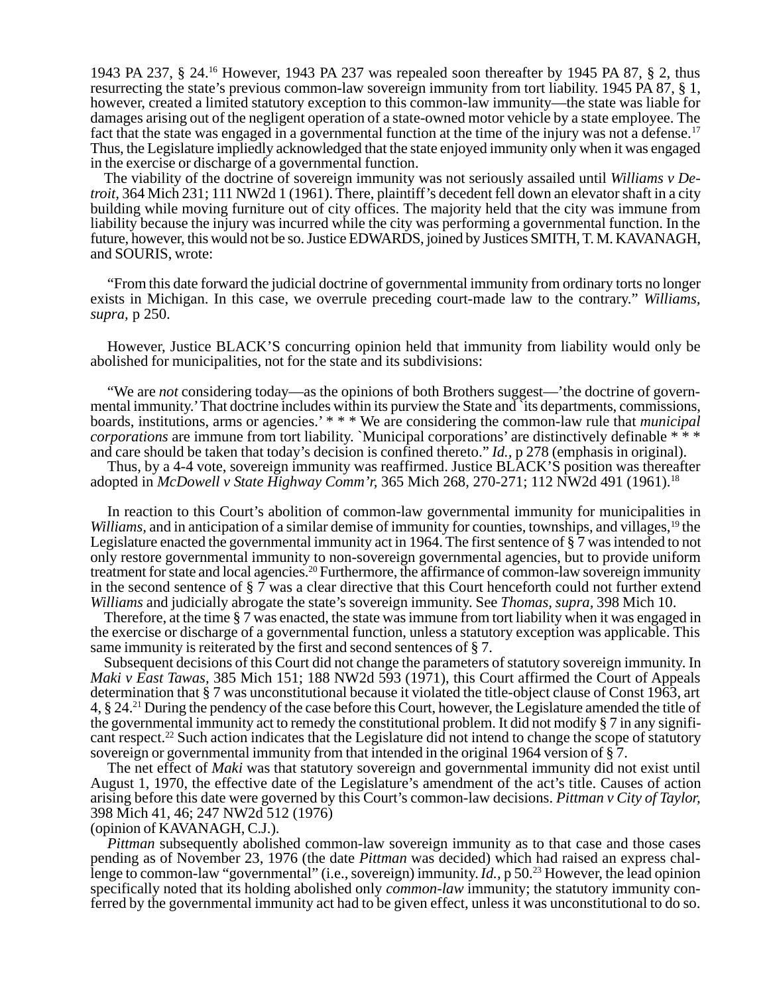1943 PA 237, § 24.16 However, 1943 PA 237 was repealed soon thereafter by 1945 PA 87, § 2, thus resurrecting the state's previous common-law sovereign immunity from tort liability. 1945 PA 87, § 1, however, created a limited statutory exception to this common-law immunity—the state was liable for damages arising out of the negligent operation of a state-owned motor vehicle by a state employee. The fact that the state was engaged in a governmental function at the time of the injury was not a defense.<sup>17</sup> Thus, the Legislature impliedly acknowledged that the state enjoyed immunity only when it was engaged in the exercise or discharge of a governmental function.

The viability of the doctrine of sovereign immunity was not seriously assailed until *Williams v Detroit,* 364 Mich 231; 111 NW2d 1 (1961). There, plaintiff's decedent fell down an elevator shaft in a city building while moving furniture out of city offices. The majority held that the city was immune from liability because the injury was incurred while the city was performing a governmental function. In the future, however, this would not be so. Justice EDWARDS, joined by Justices SMITH, T. M. KAVANAGH, and SOURIS, wrote:

"From this date forward the judicial doctrine of governmental immunity from ordinary torts no longer exists in Michigan. In this case, we overrule preceding court-made law to the contrary." *Williams, supra,* p 250.

However, Justice BLACK'S concurring opinion held that immunity from liability would only be abolished for municipalities, not for the state and its subdivisions:

"We are *not* considering today—as the opinions of both Brothers suggest—'the doctrine of governmental immunity.' That doctrine includes within its purview the State and `its departments, commissions, boards, institutions, arms or agencies.' \* \* \* We are considering the common-law rule that *municipal corporations* are immune from tort liability. `Municipal corporations' are distinctively definable \* \* \* and care should be taken that today's decision is confined thereto." *Id.,* p 278 (emphasis in original).

Thus, by a 4-4 vote, sovereign immunity was reaffirmed. Justice BLACK'S position was thereafter adopted in *McDowell v State Highway Comm'r,* 365 Mich 268, 270-271; 112 NW2d 491 (1961).18

In reaction to this Court's abolition of common-law governmental immunity for municipalities in *Williams,* and in anticipation of a similar demise of immunity for counties, townships, and villages,<sup>19</sup> the Legislature enacted the governmental immunity act in 1964. The first sentence of § 7 was intended to not only restore governmental immunity to non-sovereign governmental agencies, but to provide uniform treatment for state and local agencies.20 Furthermore, the affirmance of common-law sovereign immunity in the second sentence of  $\S$  7 was a clear directive that this Court henceforth could not further extend *Williams* and judicially abrogate the state's sovereign immunity. See *Thomas, supra,* 398 Mich 10.

Therefore, at the time § 7 was enacted, the state was immune from tort liability when it was engaged in the exercise or discharge of a governmental function, unless a statutory exception was applicable. This same immunity is reiterated by the first and second sentences of § 7.

Subsequent decisions of this Court did not change the parameters of statutory sovereign immunity. In *Maki v East Tawas,* 385 Mich 151; 188 NW2d 593 (1971), this Court affirmed the Court of Appeals determination that § 7 was unconstitutional because it violated the title-object clause of Const 1963, art 4, § 24.21 During the pendency of the case before this Court, however, the Legislature amended the title of the governmental immunity act to remedy the constitutional problem. It did not modify § 7 in any significant respect.22 Such action indicates that the Legislature did not intend to change the scope of statutory sovereign or governmental immunity from that intended in the original 1964 version of § 7.

The net effect of *Maki* was that statutory sovereign and governmental immunity did not exist until August 1, 1970, the effective date of the Legislature's amendment of the act's title. Causes of action arising before this date were governed by this Court's common-law decisions. *Pittman v City of Taylor,* 398 Mich 41, 46; 247 NW2d 512 (1976)

(opinion of KAVANAGH, C.J.).

*Pittman* subsequently abolished common-law sovereign immunity as to that case and those cases pending as of November 23, 1976 (the date *Pittman* was decided) which had raised an express challenge to common-law "governmental" (i.e., sovereign) immunity. *Id.,* p 50.23 However, the lead opinion specifically noted that its holding abolished only *common-law* immunity; the statutory immunity conferred by the governmental immunity act had to be given effect, unless it was unconstitutional to do so.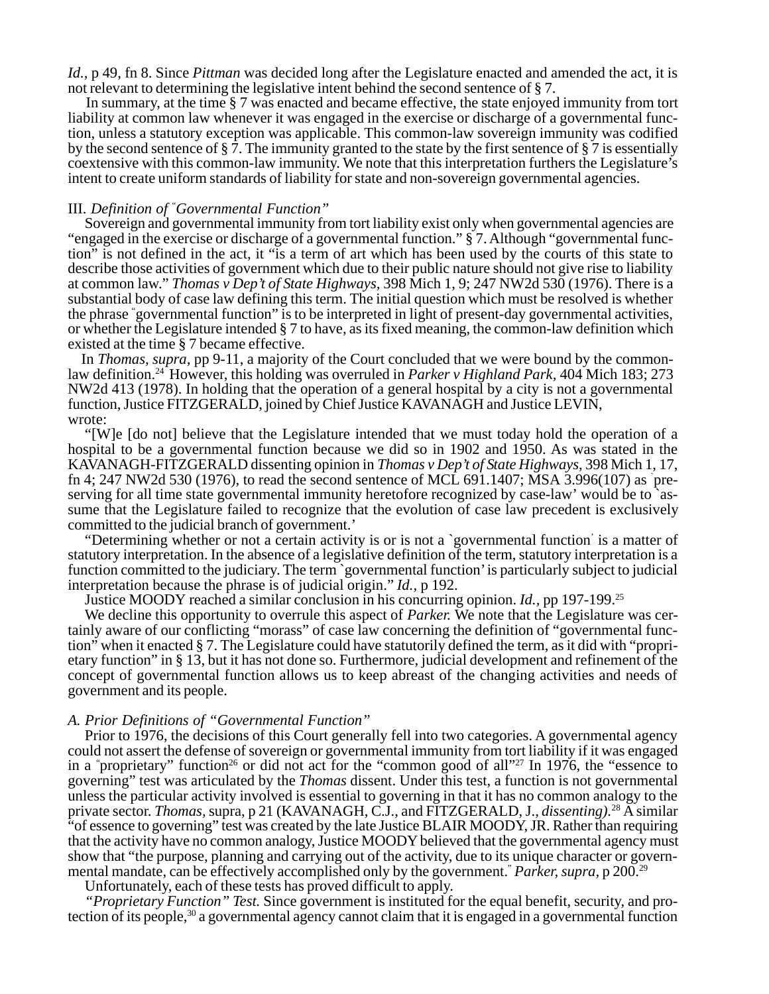*Id., p* 49, fn 8. Since *Pittman* was decided long after the Legislature enacted and amended the act, it is not relevant to determining the legislative intent behind the second sentence of § 7.

In summary, at the time § 7 was enacted and became effective, the state enjoyed immunity from tort liability at common law whenever it was engaged in the exercise or discharge of a governmental function, unless a statutory exception was applicable. This common-law sovereign immunity was codified by the second sentence of § 7. The immunity granted to the state by the first sentence of § 7 is essentially coextensive with this common-law immunity. We note that this interpretation furthers the Legislature's intent to create uniform standards of liability for state and non-sovereign governmental agencies.

## III. *Definition of* " *Governmental Function"*

Sovereign and governmental immunity from tort liability exist only when governmental agencies are "engaged in the exercise or discharge of a governmental function." § 7. Although "governmental function" is not defined in the act, it "is a term of art which has been used by the courts of this state to describe those activities of government which due to their public nature should not give rise to liability at common law." *Thomas v Dep't of State Highways,* 398 Mich 1, 9; 247 NW2d 530 (1976). There is a substantial body of case law defining this term. The initial question which must be resolved is whether the phrase " governmental function" is to be interpreted in light of present-day governmental activities, or whether the Legislature intended § 7 to have, as its fixed meaning, the common-law definition which existed at the time § 7 became effective.

In *Thomas, supra,* pp 9-11, a majority of the Court concluded that we were bound by the commonlaw definition.24 However, this holding was overruled in *Parker v Highland Park,* 404 Mich 183; 273 NW2d 413 (1978). In holding that the operation of a general hospital by a city is not a governmental function, Justice FITZGERALD, joined by Chief Justice KAVANAGH and Justice LEVIN, wrote:

"[W]e [do not] believe that the Legislature intended that we must today hold the operation of a hospital to be a governmental function because we did so in 1902 and 1950. As was stated in the KAVANAGH-FITZGERALD dissenting opinion in *Thomas v Dep't of State Highways,* 398 Mich 1, 17, fn 4; 247 NW2d 530 (1976), to read the second sentence of MCL 691.1407; MSA 3.996(107) as ` preserving for all time state governmental immunity heretofore recognized by case-law' would be to `assume that the Legislature failed to recognize that the evolution of case law precedent is exclusively committed to the judicial branch of government.'

"Determining whether or not a certain activity is or is not a `governmental function' is a matter of statutory interpretation. In the absence of a legislative definition of the term, statutory interpretation is a function committed to the judiciary. The term `governmental function' is particularly subject to judicial interpretation because the phrase is of judicial origin." *Id.,* p 192.

Justice MOODY reached a similar conclusion in his concurring opinion. *Id.,* pp 197-199.25

We decline this opportunity to overrule this aspect of *Parker.* We note that the Legislature was certainly aware of our conflicting "morass" of case law concerning the definition of "governmental function" when it enacted § 7. The Legislature could have statutorily defined the term, as it did with "proprietary function" in § 13, but it has not done so. Furthermore, judicial development and refinement of the concept of governmental function allows us to keep abreast of the changing activities and needs of government and its people.

### *A. Prior Definitions of "Governmental Function"*

Prior to 1976, the decisions of this Court generally fell into two categories. A governmental agency could not assert the defense of sovereign or governmental immunity from tort liability if it was engaged in a "proprietary" function<sup>26</sup> or did not act for the "common good of all"<sup>27</sup> In 1976, the "essence to governing" test was articulated by the *Thomas* dissent. Under this test, a function is not governmental unless the particular activity involved is essential to governing in that it has no common analogy to the private sector. *Thomas,* supra, p 21 (KAVANAGH, C.J., and FITZGERALD, J., *dissenting).*<sup>28</sup> A similar "of essence to governing" test was created by the late Justice BLAIR MOODY, JR. Rather than requiring that the activity have no common analogy, Justice MOODY believed that the governmental agency must show that "the purpose, planning and carrying out of the activity, due to its unique character or governmental mandate, can be effectively accomplished only by the government." *Parker, supra,* p 200.29

Unfortunately, each of these tests has proved difficult to apply.

*"Proprietary Function" Test.* Since government is instituted for the equal benefit, security, and protection of its people,<sup>30</sup> a governmental agency cannot claim that it is engaged in a governmental function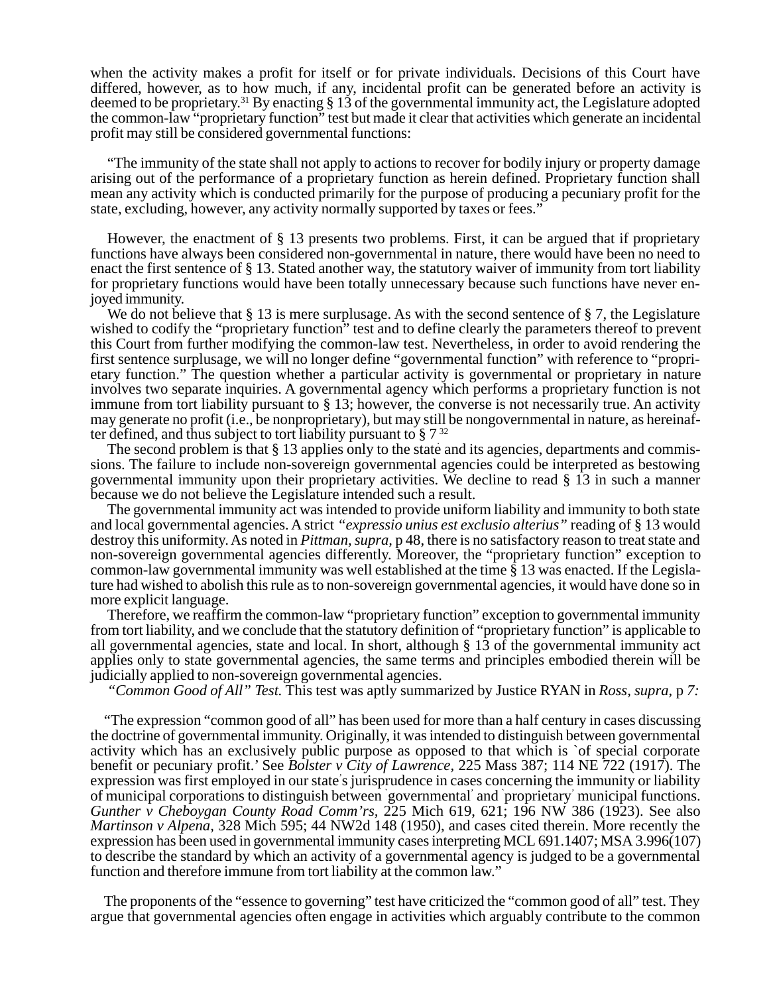when the activity makes a profit for itself or for private individuals. Decisions of this Court have differed, however, as to how much, if any, incidental profit can be generated before an activity is deemed to be proprietary.31 By enacting § 13 of the governmental immunity act, the Legislature adopted the common-law "proprietary function" test but made it clear that activities which generate an incidental profit may still be considered governmental functions:

"The immunity of the state shall not apply to actions to recover for bodily injury or property damage arising out of the performance of a proprietary function as herein defined. Proprietary function shall mean any activity which is conducted primarily for the purpose of producing a pecuniary profit for the state, excluding, however, any activity normally supported by taxes or fees."

However, the enactment of § 13 presents two problems. First, it can be argued that if proprietary functions have always been considered non-governmental in nature, there would have been no need to enact the first sentence of § 13. Stated another way, the statutory waiver of immunity from tort liability for proprietary functions would have been totally unnecessary because such functions have never enjoyed immunity.

We do not believe that  $\S 13$  is mere surplusage. As with the second sentence of  $\S 7$ , the Legislature wished to codify the "proprietary function" test and to define clearly the parameters thereof to prevent this Court from further modifying the common-law test. Nevertheless, in order to avoid rendering the first sentence surplusage, we will no longer define "governmental function" with reference to "proprietary function." The question whether a particular activity is governmental or proprietary in nature involves two separate inquiries. A governmental agency which performs a proprietary function is not immune from tort liability pursuant to § 13; however, the converse is not necessarily true. An activity may generate no profit (i.e., be nonproprietary), but may still be nongovernmental in nature, as hereinafter defined, and thus subject to tort liability pursuant to  $\S 7^{32}$ 

The second problem is that  $\S 13$  applies only to the state and its agencies, departments and commissions. The failure to include non-sovereign governmental agencies could be interpreted as bestowing governmental immunity upon their proprietary activities. We decline to read § 13 in such a manner because we do not believe the Legislature intended such a result.

The governmental immunity act was intended to provide uniform liability and immunity to both state and local governmental agencies. A strict *"expressio unius est exclusio alterius"* reading of § 13 would destroy this uniformity. As noted in *Pittman, supra,* p 48, there is no satisfactory reason to treat state and non-sovereign governmental agencies differently. Moreover, the "proprietary function" exception to common-law governmental immunity was well established at the time § 13 was enacted. If the Legislature had wished to abolish this rule as to non-sovereign governmental agencies, it would have done so in more explicit language.

Therefore, we reaffirm the common-law "proprietary function" exception to governmental immunity from tort liability, and we conclude that the statutory definition of "proprietary function" is applicable to all governmental agencies, state and local. In short, although § 13 of the governmental immunity act applies only to state governmental agencies, the same terms and principles embodied therein will be judicially applied to non-sovereign governmental agencies.

*"Common Good of All" Test.* This test was aptly summarized by Justice RYAN in *Ross, supra,* p *7:*

"The expression "common good of all" has been used for more than a half century in cases discussing the doctrine of governmental immunity. Originally, it was intended to distinguish between governmental activity which has an exclusively public purpose as opposed to that which is `of special corporate benefit or pecuniary profit.' See *Bolster v City of Lawrence,* 225 Mass 387; 114 NE 722 (1917). The expression was first employed in our state' s jurisprudence in cases concerning the immunity or liability of municipal corporations to distinguish between ` governmental' and ` proprietary' municipal functions. *Gunther v Cheboygan County Road Comm'rs,* 225 Mich 619, 621; 196 NW 386 (1923). See also *Martinson v Alpena,* 328 Mich 595; 44 NW2d 148 (1950), and cases cited therein. More recently the expression has been used in governmental immunity cases interpreting MCL 691.1407; MSA 3.996(107) to describe the standard by which an activity of a governmental agency is judged to be a governmental function and therefore immune from tort liability at the common law."

The proponents of the "essence to governing" test have criticized the "common good of all" test. They argue that governmental agencies often engage in activities which arguably contribute to the common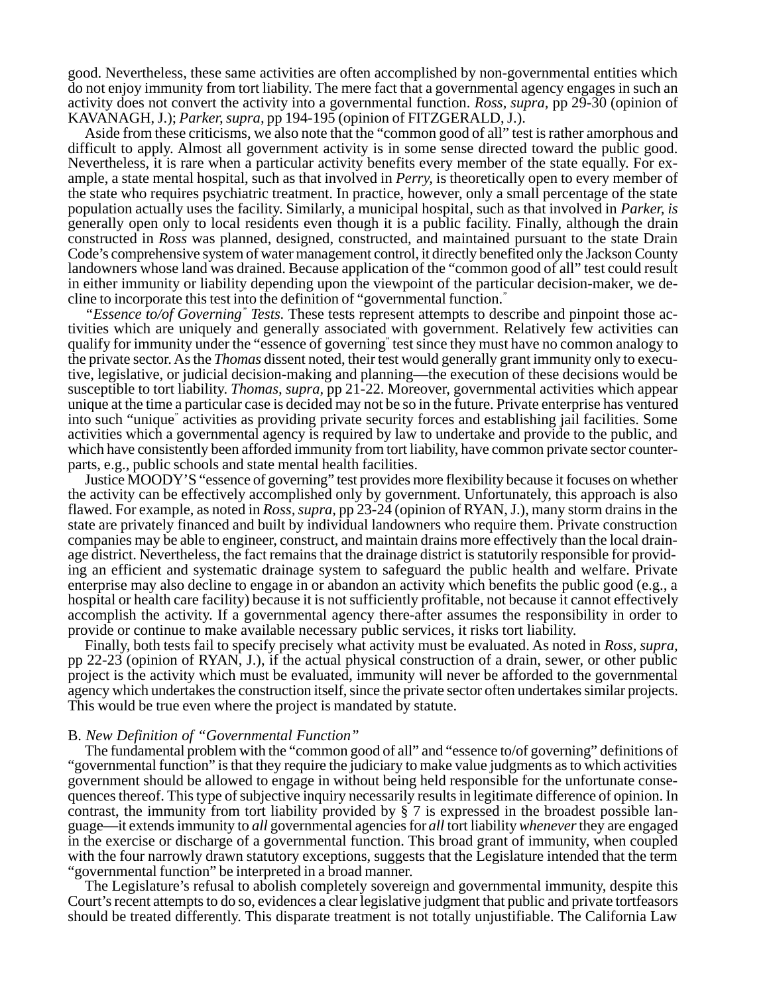good. Nevertheless, these same activities are often accomplished by non-governmental entities which do not enjoy immunity from tort liability. The mere fact that a governmental agency engages in such an activity does not convert the activity into a governmental function. *Ross, supra,* pp 29-30 (opinion of KAVANAGH, J.); *Parker, supra,* pp 194-195 (opinion of FITZGERALD, J.).

Aside from these criticisms, we also note that the "common good of all" test is rather amorphous and difficult to apply. Almost all government activity is in some sense directed toward the public good. Nevertheless, it is rare when a particular activity benefits every member of the state equally. For example, a state mental hospital, such as that involved in *Perry,* is theoretically open to every member of the state who requires psychiatric treatment. In practice, however, only a small percentage of the state population actually uses the facility. Similarly, a municipal hospital, such as that involved in *Parker, is* generally open only to local residents even though it is a public facility. Finally, although the drain constructed in *Ross* was planned, designed, constructed, and maintained pursuant to the state Drain Code's comprehensive system of water management control, it directly benefited only the Jackson County landowners whose land was drained. Because application of the "common good of all" test could result in either immunity or liability depending upon the viewpoint of the particular decision-maker, we decline to incorporate this test into the definition of "governmental function."

"Essence to/of Governing" Tests. These tests represent attempts to describe and pinpoint those activities which are uniquely and generally associated with government. Relatively few activities can qualify for immunity under the "essence of governing" test since they must have no common analogy to the private sector. As the *Thomas* dissent noted, their test would generally grant immunity only to executive, legislative, or judicial decision-making and planning—the execution of these decisions would be susceptible to tort liability. *Thomas, supra,* pp 21-22. Moreover, governmental activities which appear unique at the time a particular case is decided may not be so in the future. Private enterprise has ventured into such "unique" activities as providing private security forces and establishing jail facilities. Some activities which a governmental agency is required by law to undertake and provide to the public, and which have consistently been afforded immunity from tort liability, have common private sector counterparts, e.g., public schools and state mental health facilities.

Justice MOODY'S "essence of governing" test provides more flexibility because it focuses on whether the activity can be effectively accomplished only by government. Unfortunately, this approach is also flawed. For example, as noted in *Ross, supra,* pp 23-24 (opinion of RYAN, J.), many storm drains in the state are privately financed and built by individual landowners who require them. Private construction companies may be able to engineer, construct, and maintain drains more effectively than the local drainage district. Nevertheless, the fact remains that the drainage district is statutorily responsible for providing an efficient and systematic drainage system to safeguard the public health and welfare. Private enterprise may also decline to engage in or abandon an activity which benefits the public good (e.g., a hospital or health care facility) because it is not sufficiently profitable, not because it cannot effectively accomplish the activity. If a governmental agency there-after assumes the responsibility in order to provide or continue to make available necessary public services, it risks tort liability.

Finally, both tests fail to specify precisely what activity must be evaluated. As noted in *Ross, supra,* pp 22-23 (opinion of RYAN, J.), if the actual physical construction of a drain, sewer, or other public project is the activity which must be evaluated, immunity will never be afforded to the governmental agency which undertakes the construction itself, since the private sector often undertakes similar projects. This would be true even where the project is mandated by statute.

#### B. *New Definition of "Governmental Function"*

The fundamental problem with the "common good of all" and "essence to/of governing" definitions of "governmental function" is that they require the judiciary to make value judgments as to which activities government should be allowed to engage in without being held responsible for the unfortunate consequences thereof. This type of subjective inquiry necessarily results in legitimate difference of opinion. In contrast, the immunity from tort liability provided by  $\S 7$  is expressed in the broadest possible language—it extends immunity to *all* governmental agencies for *all* tort liability *whenever* they are engaged in the exercise or discharge of a governmental function. This broad grant of immunity, when coupled with the four narrowly drawn statutory exceptions, suggests that the Legislature intended that the term "governmental function" be interpreted in a broad manner.

The Legislature's refusal to abolish completely sovereign and governmental immunity, despite this Court's recent attempts to do so, evidences a clear legislative judgment that public and private tortfeasors should be treated differently. This disparate treatment is not totally unjustifiable. The California Law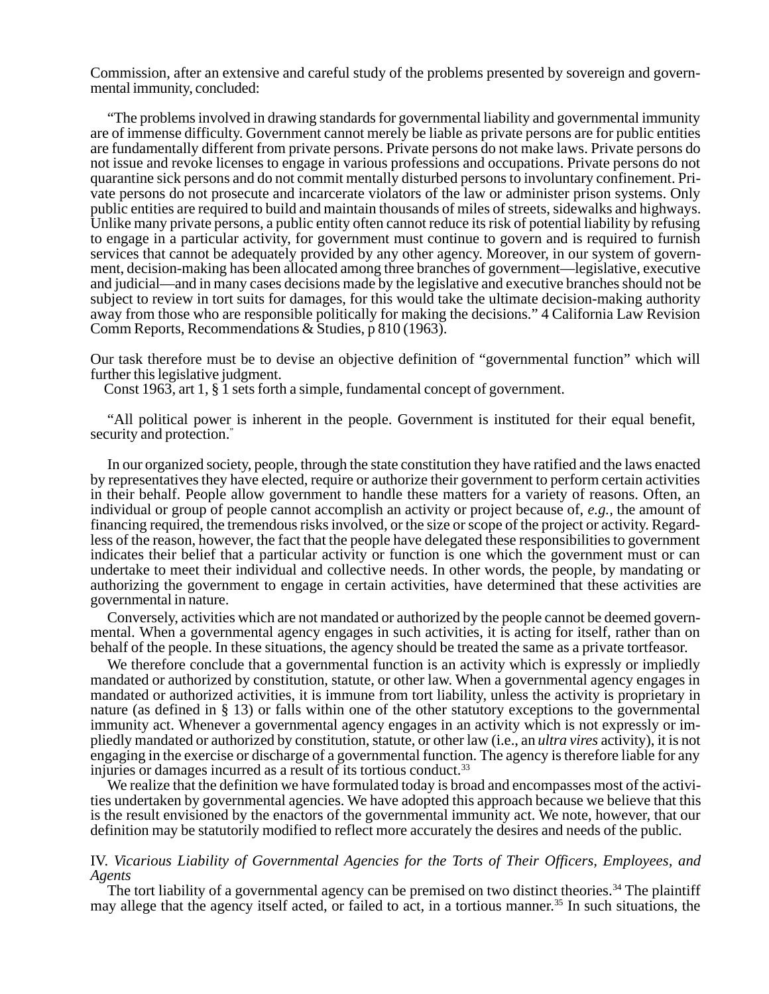Commission, after an extensive and careful study of the problems presented by sovereign and governmental immunity, concluded:

"The problems involved in drawing standards for governmental liability and governmental immunity are of immense difficulty. Government cannot merely be liable as private persons are for public entities are fundamentally different from private persons. Private persons do not make laws. Private persons do not issue and revoke licenses to engage in various professions and occupations. Private persons do not quarantine sick persons and do not commit mentally disturbed persons to involuntary confinement. Private persons do not prosecute and incarcerate violators of the law or administer prison systems. Only public entities are required to build and maintain thousands of miles of streets, sidewalks and highways. Unlike many private persons, a public entity often cannot reduce its risk of potential liability by refusing to engage in a particular activity, for government must continue to govern and is required to furnish services that cannot be adequately provided by any other agency. Moreover, in our system of government, decision-making has been allocated among three branches of government—legislative, executive and judicial—and in many cases decisions made by the legislative and executive branches should not be subject to review in tort suits for damages, for this would take the ultimate decision-making authority away from those who are responsible politically for making the decisions." 4 California Law Revision Comm Reports, Recommendations & Studies, p 810 (1963).

Our task therefore must be to devise an objective definition of "governmental function" which will further this legislative judgment.

Const 1963, art 1, § 1 sets forth a simple, fundamental concept of government.

"All political power is inherent in the people. Government is instituted for their equal benefit, security and protection."

In our organized society, people, through the state constitution they have ratified and the laws enacted by representatives they have elected, require or authorize their government to perform certain activities in their behalf. People allow government to handle these matters for a variety of reasons. Often, an individual or group of people cannot accomplish an activity or project because of, *e.g.,* the amount of financing required, the tremendous risks involved, or the size or scope of the project or activity. Regardless of the reason, however, the fact that the people have delegated these responsibilities to government indicates their belief that a particular activity or function is one which the government must or can undertake to meet their individual and collective needs. In other words, the people, by mandating or authorizing the government to engage in certain activities, have determined that these activities are governmental in nature.

Conversely, activities which are not mandated or authorized by the people cannot be deemed governmental. When a governmental agency engages in such activities, it is acting for itself, rather than on behalf of the people. In these situations, the agency should be treated the same as a private tortfeasor.

We therefore conclude that a governmental function is an activity which is expressly or impliedly mandated or authorized by constitution, statute, or other law. When a governmental agency engages in mandated or authorized activities, it is immune from tort liability, unless the activity is proprietary in nature (as defined in § 13) or falls within one of the other statutory exceptions to the governmental immunity act. Whenever a governmental agency engages in an activity which is not expressly or impliedly mandated or authorized by constitution, statute, or other law (i.e., an *ultra vires* activity), it is not engaging in the exercise or discharge of a governmental function. The agency is therefore liable for any injuries or damages incurred as a result of its tortious conduct.<sup>33</sup>

We realize that the definition we have formulated today is broad and encompasses most of the activities undertaken by governmental agencies. We have adopted this approach because we believe that this is the result envisioned by the enactors of the governmental immunity act. We note, however, that our definition may be statutorily modified to reflect more accurately the desires and needs of the public.

### IV. *Vicarious Liability of Governmental Agencies for the Torts of Their Officers, Employees, and Agents*

The tort liability of a governmental agency can be premised on two distinct theories.<sup>34</sup> The plaintiff may allege that the agency itself acted, or failed to act, in a tortious manner.<sup>35</sup> In such situations, the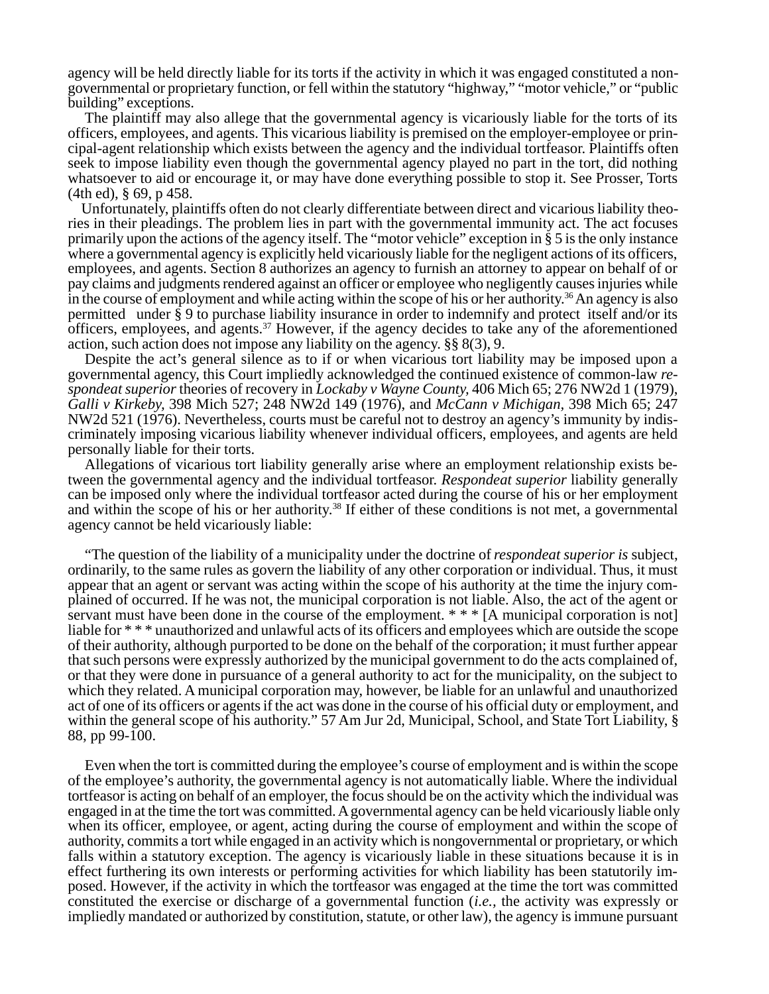agency will be held directly liable for its torts if the activity in which it was engaged constituted a nongovernmental or proprietary function, or fell within the statutory "highway," "motor vehicle," or "public building" exceptions.

The plaintiff may also allege that the governmental agency is vicariously liable for the torts of its officers, employees, and agents. This vicarious liability is premised on the employer-employee or principal-agent relationship which exists between the agency and the individual tortfeasor. Plaintiffs often seek to impose liability even though the governmental agency played no part in the tort, did nothing whatsoever to aid or encourage it, or may have done everything possible to stop it. See Prosser, Torts (4th ed), § 69, p 458.

Unfortunately, plaintiffs often do not clearly differentiate between direct and vicarious liability theories in their pleadings. The problem lies in part with the governmental immunity act. The act focuses primarily upon the actions of the agency itself. The "motor vehicle" exception in § 5 is the only instance where a governmental agency is explicitly held vicariously liable for the negligent actions of its officers, employees, and agents. Section 8 authorizes an agency to furnish an attorney to appear on behalf of or pay claims and judgments rendered against an officer or employee who negligently causes injuries while in the course of employment and while acting within the scope of his or her authority.<sup>36</sup> An agency is also permitted under § 9 to purchase liability insurance in order to indemnify and protect itself and/or its officers, employees, and agents.37 However, if the agency decides to take any of the aforementioned action, such action does not impose any liability on the agency. §§ 8(3), 9.

Despite the act's general silence as to if or when vicarious tort liability may be imposed upon a governmental agency, this Court impliedly acknowledged the continued existence of common-law *respondeat superior* theories of recovery in *Lockaby v Wayne County,* 406 Mich 65; 276 NW2d 1 (1979), *Galli v Kirkeby,* 398 Mich 527; 248 NW2d 149 (1976), and *McCann v Michigan,* 398 Mich 65; 247 NW2d 521 (1976). Nevertheless, courts must be careful not to destroy an agency's immunity by indiscriminately imposing vicarious liability whenever individual officers, employees, and agents are held personally liable for their torts.

Allegations of vicarious tort liability generally arise where an employment relationship exists between the governmental agency and the individual tortfeasor. *Respondeat superior* liability generally can be imposed only where the individual tortfeasor acted during the course of his or her employment and within the scope of his or her authority.<sup>38</sup> If either of these conditions is not met, a governmental agency cannot be held vicariously liable:

"The question of the liability of a municipality under the doctrine of *respondeat superior is* subject, ordinarily, to the same rules as govern the liability of any other corporation or individual. Thus, it must appear that an agent or servant was acting within the scope of his authority at the time the injury complained of occurred. If he was not, the municipal corporation is not liable. Also, the act of the agent or servant must have been done in the course of the employment. \* \* \* [A municipal corporation is not] liable for \* \* \* unauthorized and unlawful acts of its officers and employees which are outside the scope of their authority, although purported to be done on the behalf of the corporation; it must further appear that such persons were expressly authorized by the municipal government to do the acts complained of, or that they were done in pursuance of a general authority to act for the municipality, on the subject to which they related. A municipal corporation may, however, be liable for an unlawful and unauthorized act of one of its officers or agents if the act was done in the course of his official duty or employment, and within the general scope of his authority." 57 Am Jur 2d, Municipal, School, and State Tort Liability, § 88, pp 99-100.

Even when the tort is committed during the employee's course of employment and is within the scope of the employee's authority, the governmental agency is not automatically liable. Where the individual tortfeasor is acting on behalf of an employer, the focus should be on the activity which the individual was engaged in at the time the tort was committed. A governmental agency can be held vicariously liable only when its officer, employee, or agent, acting during the course of employment and within the scope of authority, commits a tort while engaged in an activity which is nongovernmental or proprietary, or which falls within a statutory exception. The agency is vicariously liable in these situations because it is in effect furthering its own interests or performing activities for which liability has been statutorily imposed. However, if the activity in which the tortfeasor was engaged at the time the tort was committed constituted the exercise or discharge of a governmental function (*i.e.,* the activity was expressly or impliedly mandated or authorized by constitution, statute, or other law), the agency is immune pursuant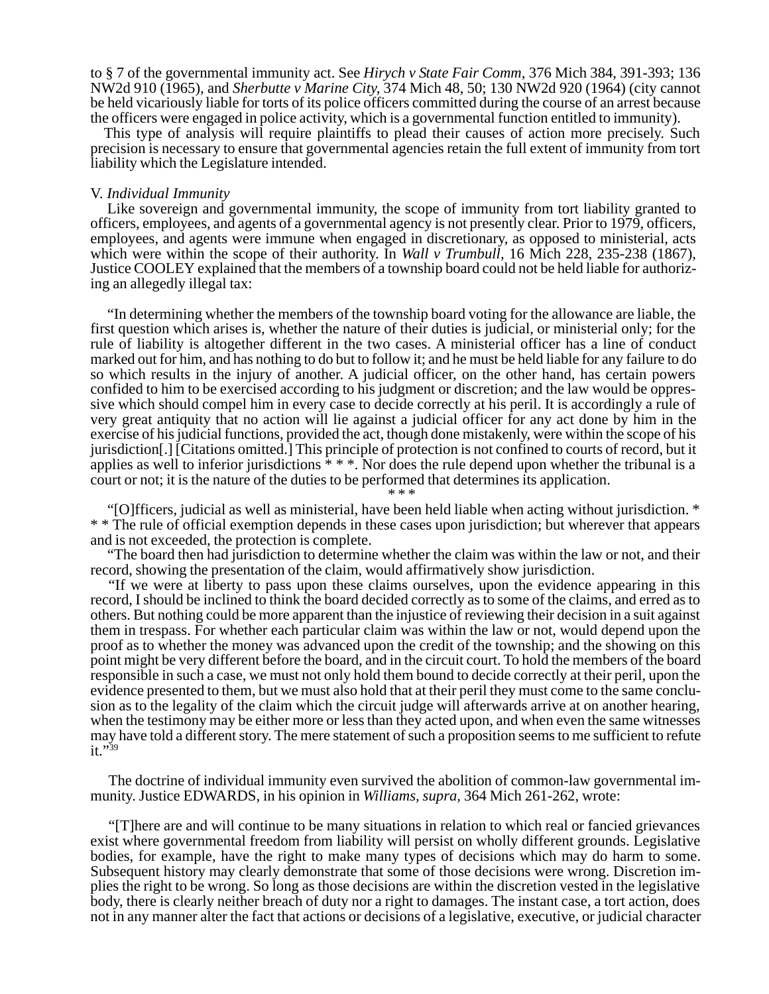to § 7 of the governmental immunity act. See *Hirych v State Fair Comm,* 376 Mich 384, 391-393; 136 NW2d 910 (1965), and *Sherbutte v Marine City,* 374 Mich 48, 50; 130 NW2d 920 (1964) (city cannot be held vicariously liable for torts of its police officers committed during the course of an arrest because the officers were engaged in police activity, which is a governmental function entitled to immunity).

This type of analysis will require plaintiffs to plead their causes of action more precisely. Such precision is necessary to ensure that governmental agencies retain the full extent of immunity from tort liability which the Legislature intended.

#### V. *Individual Immunity*

Like sovereign and governmental immunity, the scope of immunity from tort liability granted to officers, employees, and agents of a governmental agency is not presently clear. Prior to 1979, officers, employees, and agents were immune when engaged in discretionary, as opposed to ministerial, acts which were within the scope of their authority. In *Wall v Trumbull,* 16 Mich 228, 235-238 (1867), Justice COOLEY explained that the members of a township board could not be held liable for authorizing an allegedly illegal tax:

"In determining whether the members of the township board voting for the allowance are liable, the first question which arises is, whether the nature of their duties is judicial, or ministerial only; for the rule of liability is altogether different in the two cases. A ministerial officer has a line of conduct marked out for him, and has nothing to do but to follow it; and he must be held liable for any failure to do so which results in the injury of another. A judicial officer, on the other hand, has certain powers confided to him to be exercised according to his judgment or discretion; and the law would be oppressive which should compel him in every case to decide correctly at his peril. It is accordingly a rule of very great antiquity that no action will lie against a judicial officer for any act done by him in the exercise of his judicial functions, provided the act, though done mistakenly, were within the scope of his jurisdiction[.] [Citations omitted.] This principle of protection is not confined to courts of record, but it applies as well to inferior jurisdictions  $* * *$ . Nor does the rule depend upon whether the tribunal is a court or not; it is the nature of the duties to be performed that determines its application. \* \* \*

"[O]fficers, judicial as well as ministerial, have been held liable when acting without jurisdiction. \* \* \* The rule of official exemption depends in these cases upon jurisdiction; but wherever that appears and is not exceeded, the protection is complete.

"The board then had jurisdiction to determine whether the claim was within the law or not, and their record, showing the presentation of the claim, would affirmatively show jurisdiction.

"If we were at liberty to pass upon these claims ourselves, upon the evidence appearing in this record, I should be inclined to think the board decided correctly as to some of the claims, and erred as to others. But nothing could be more apparent than the injustice of reviewing their decision in a suit against them in trespass. For whether each particular claim was within the law or not, would depend upon the proof as to whether the money was advanced upon the credit of the township; and the showing on this point might be very different before the board, and in the circuit court. To hold the members of the board responsible in such a case, we must not only hold them bound to decide correctly at their peril, upon the evidence presented to them, but we must also hold that at their peril they must come to the same conclusion as to the legality of the claim which the circuit judge will afterwards arrive at on another hearing, when the testimony may be either more or less than they acted upon, and when even the same witnesses may have told a different story. The mere statement of such a proposition seems to me sufficient to refute it."<sup>39</sup>

The doctrine of individual immunity even survived the abolition of common-law governmental immunity. Justice EDWARDS, in his opinion in *Williams, supra,* 364 Mich 261-262, wrote:

"[T]here are and will continue to be many situations in relation to which real or fancied grievances exist where governmental freedom from liability will persist on wholly different grounds. Legislative bodies, for example, have the right to make many types of decisions which may do harm to some. Subsequent history may clearly demonstrate that some of those decisions were wrong. Discretion implies the right to be wrong. So long as those decisions are within the discretion vested in the legislative body, there is clearly neither breach of duty nor a right to damages. The instant case, a tort action, does not in any manner alter the fact that actions or decisions of a legislative, executive, or judicial character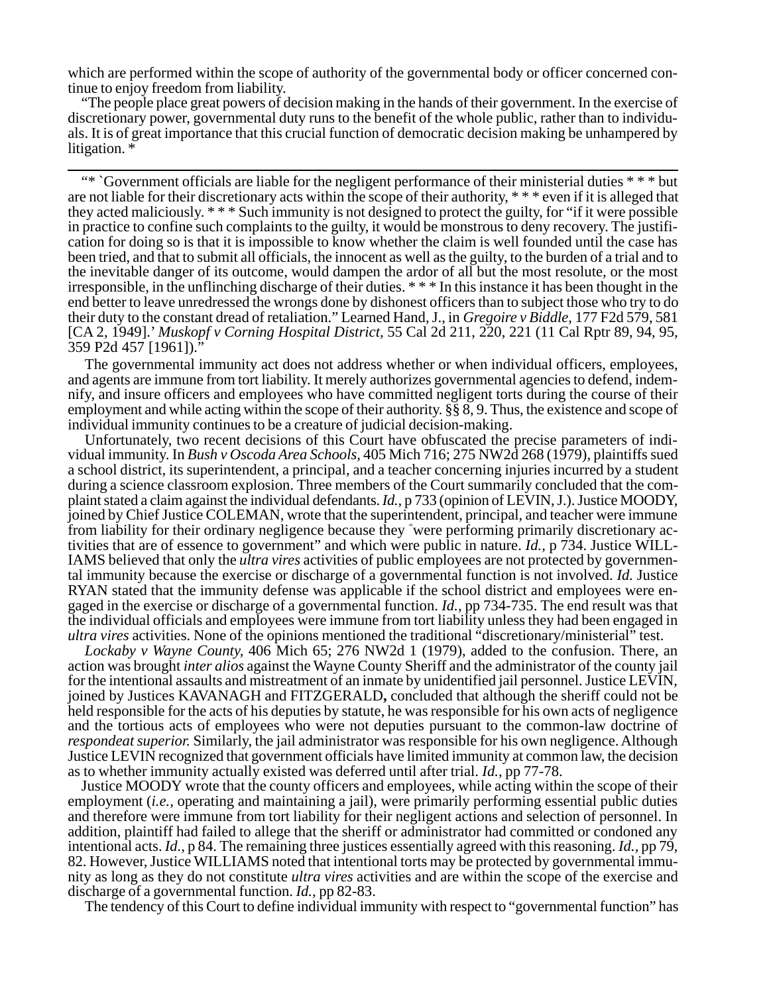which are performed within the scope of authority of the governmental body or officer concerned continue to enjoy freedom from liability.

"The people place great powers of decision making in the hands of their government. In the exercise of discretionary power, governmental duty runs to the benefit of the whole public, rather than to individuals. It is of great importance that this crucial function of democratic decision making be unhampered by litigation. \*

"\* `Government officials are liable for the negligent performance of their ministerial duties \* \* \* but are not liable for their discretionary acts within the scope of their authority, \* \* \* even if it is alleged that they acted maliciously. \* \* \* Such immunity is not designed to protect the guilty, for "if it were possible in practice to confine such complaints to the guilty, it would be monstrous to deny recovery. The justification for doing so is that it is impossible to know whether the claim is well founded until the case has been tried, and that to submit all officials, the innocent as well as the guilty, to the burden of a trial and to the inevitable danger of its outcome, would dampen the ardor of all but the most resolute, or the most irresponsible, in the unflinching discharge of their duties. \* \* \* In this instance it has been thought in the end better to leave unredressed the wrongs done by dishonest officers than to subject those who try to do their duty to the constant dread of retaliation." Learned Hand, J., in *Gregoire v Biddle,* 177 F2d 579, 581 [CA 2, 1949].' *Muskopf v Corning Hospital District,* 55 Cal 2d 211, 220, 221 (11 Cal Rptr 89, 94, 95, 359 P2d 457 [1961])."

The governmental immunity act does not address whether or when individual officers, employees, and agents are immune from tort liability. It merely authorizes governmental agencies to defend, indemnify, and insure officers and employees who have committed negligent torts during the course of their employment and while acting within the scope of their authority. §§ 8, 9. Thus, the existence and scope of individual immunity continues to be a creature of judicial decision-making.

Unfortunately, two recent decisions of this Court have obfuscated the precise parameters of individual immunity. In *Bush v Oscoda Area Schools,* 405 Mich 716; 275 NW2d 268 (1979), plaintiffs sued a school district, its superintendent, a principal, and a teacher concerning injuries incurred by a student during a science classroom explosion. Three members of the Court summarily concluded that the complaint stated a claim against the individual defendants. *Id.,* p 733 (opinion of LEVIN, J.). Justice MOODY, joined by Chief Justice COLEMAN, wrote that the superintendent, principal, and teacher were immune from liability for their ordinary negligence because they " were performing primarily discretionary activities that are of essence to government" and which were public in nature. *Id.,* p 734. Justice WILL-IAMS believed that only the *ultra vires* activities of public employees are not protected by governmental immunity because the exercise or discharge of a governmental function is not involved. *Id.* Justice RYAN stated that the immunity defense was applicable if the school district and employees were engaged in the exercise or discharge of a governmental function. *Id.,* pp 734-735. The end result was that the individual officials and employees were immune from tort liability unless they had been engaged in *ultra vires* activities. None of the opinions mentioned the traditional "discretionary/ministerial" test.

*Lockaby v Wayne County,* 406 Mich 65; 276 NW2d 1 (1979), added to the confusion. There, an action was brought *inter alios* against the Wayne County Sheriff and the administrator of the county jail for the intentional assaults and mistreatment of an inmate by unidentified jail personnel. Justice LEVIN, joined by Justices KAVANAGH and FITZGERALD**,** concluded that although the sheriff could not be held responsible for the acts of his deputies by statute, he was responsible for his own acts of negligence and the tortious acts of employees who were not deputies pursuant to the common-law doctrine of *respondeat superior.* Similarly, the jail administrator was responsible for his own negligence. Although Justice LEVIN recognized that government officials have limited immunity at common law, the decision as to whether immunity actually existed was deferred until after trial. *Id.,* pp 77-78.

Justice MOODY wrote that the county officers and employees, while acting within the scope of their employment *(i.e., operating and maintaining a jail)*, were primarily performing essential public duties and therefore were immune from tort liability for their negligent actions and selection of personnel. In addition, plaintiff had failed to allege that the sheriff or administrator had committed or condoned any intentional acts. *Id.,* p 84. The remaining three justices essentially agreed with this reasoning. *Id.,* pp 79, 82. However, Justice WILLIAMS noted that intentional torts may be protected by governmental immunity as long as they do not constitute *ultra vires* activities and are within the scope of the exercise and discharge of a governmental function. *Id.,* pp 82-83.

The tendency of this Court to define individual immunity with respect to "governmental function" has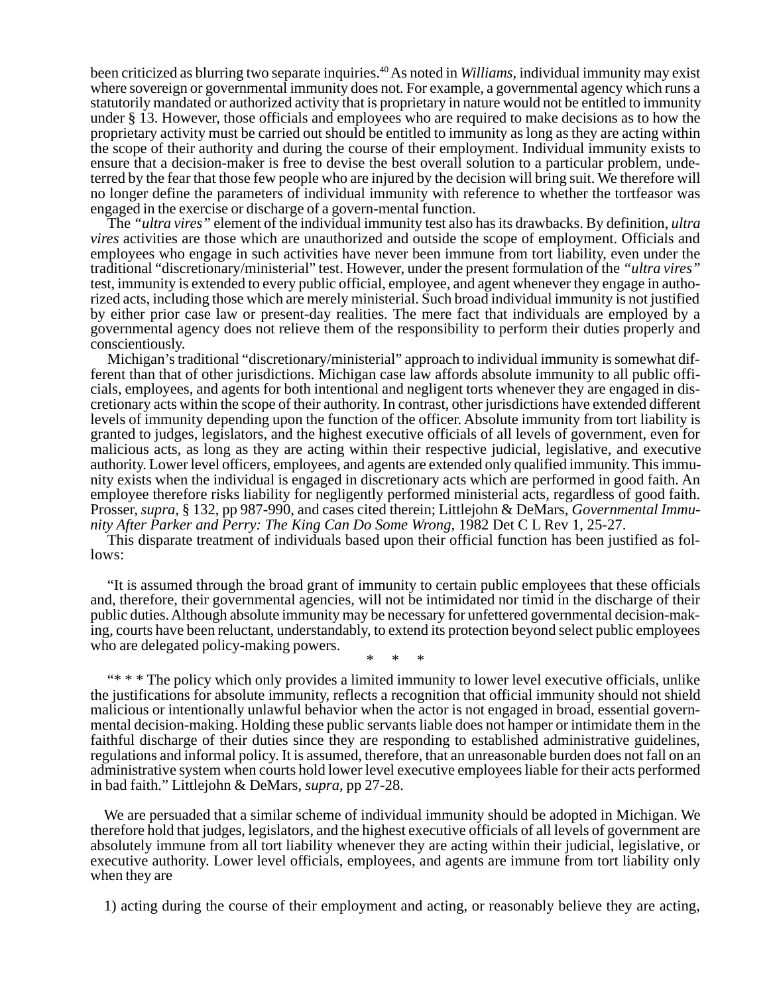been criticized as blurring two separate inquiries.40 As noted in *Williams,* individual immunity may exist where sovereign or governmental immunity does not. For example, a governmental agency which runs a statutorily mandated or authorized activity that is proprietary in nature would not be entitled to immunity under § 13. However, those officials and employees who are required to make decisions as to how the proprietary activity must be carried out should be entitled to immunity as long as they are acting within the scope of their authority and during the course of their employment. Individual immunity exists to ensure that a decision-maker is free to devise the best overall solution to a particular problem, undeterred by the fear that those few people who are injured by the decision will bring suit. We therefore will no longer define the parameters of individual immunity with reference to whether the tortfeasor was engaged in the exercise or discharge of a govern-mental function.

The *"ultra vires"* element of the individual immunity test also has its drawbacks. By definition, *ultra vires* activities are those which are unauthorized and outside the scope of employment. Officials and employees who engage in such activities have never been immune from tort liability, even under the traditional "discretionary/ministerial" test. However, under the present formulation of the *"ultra vires"* test, immunity is extended to every public official, employee, and agent whenever they engage in authorized acts, including those which are merely ministerial. Such broad individual immunity is not justified by either prior case law or present-day realities. The mere fact that individuals are employed by a governmental agency does not relieve them of the responsibility to perform their duties properly and conscientiously.

Michigan's traditional "discretionary/ministerial" approach to individual immunity is somewhat different than that of other jurisdictions. Michigan case law affords absolute immunity to all public officials, employees, and agents for both intentional and negligent torts whenever they are engaged in discretionary acts within the scope of their authority. In contrast, other jurisdictions have extended different levels of immunity depending upon the function of the officer. Absolute immunity from tort liability is granted to judges, legislators, and the highest executive officials of all levels of government, even for malicious acts, as long as they are acting within their respective judicial, legislative, and executive authority. Lower level officers, employees, and agents are extended only qualified immunity. This immunity exists when the individual is engaged in discretionary acts which are performed in good faith. An employee therefore risks liability for negligently performed ministerial acts, regardless of good faith. Prosser, *supra,* § 132, pp 987-990, and cases cited therein; Littlejohn & DeMars, *Governmental Immunity After Parker and Perry: The King Can Do Some Wrong,* 1982 Det C L Rev 1, 25-27.

This disparate treatment of individuals based upon their official function has been justified as follows:

"It is assumed through the broad grant of immunity to certain public employees that these officials and, therefore, their governmental agencies, will not be intimidated nor timid in the discharge of their public duties. Although absolute immunity may be necessary for unfettered governmental decision-making, courts have been reluctant, understandably, to extend its protection beyond select public employees who are delegated policy-making powers.

\* \* \*

"\* \* \* The policy which only provides a limited immunity to lower level executive officials, unlike the justifications for absolute immunity, reflects a recognition that official immunity should not shield malicious or intentionally unlawful behavior when the actor is not engaged in broad, essential governmental decision-making. Holding these public servants liable does not hamper or intimidate them in the faithful discharge of their duties since they are responding to established administrative guidelines, regulations and informal policy. It is assumed, therefore, that an unreasonable burden does not fall on an administrative system when courts hold lower level executive employees liable for their acts performed in bad faith." Littlejohn & DeMars, *supra,* pp 27-28.

We are persuaded that a similar scheme of individual immunity should be adopted in Michigan. We therefore hold that judges, legislators, and the highest executive officials of all levels of government are absolutely immune from all tort liability whenever they are acting within their judicial, legislative, or executive authority. Lower level officials, employees, and agents are immune from tort liability only when they are

1) acting during the course of their employment and acting, or reasonably believe they are acting,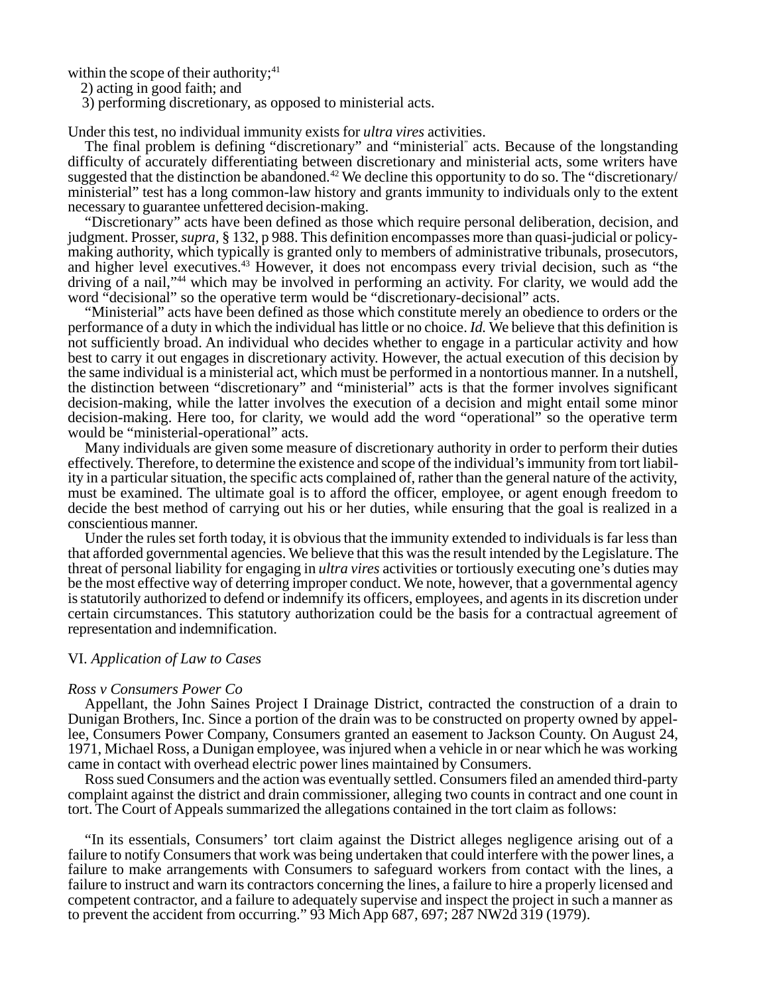within the scope of their authority; $41$ 

2) acting in good faith; and

3) performing discretionary, as opposed to ministerial acts.

Under this test, no individual immunity exists for *ultra vires* activities.

The final problem is defining "discretionary" and "ministerial" acts. Because of the longstanding difficulty of accurately differentiating between discretionary and ministerial acts, some writers have suggested that the distinction be abandoned.<sup>42</sup> We decline this opportunity to do so. The "discretionary/ ministerial" test has a long common-law history and grants immunity to individuals only to the extent necessary to guarantee unfettered decision-making.

"Discretionary" acts have been defined as those which require personal deliberation, decision, and judgment. Prosser, *supra,* § 132, p 988. This definition encompasses more than quasi-judicial or policymaking authority, which typically is granted only to members of administrative tribunals, prosecutors, and higher level executives.43 However, it does not encompass every trivial decision, such as "the driving of a nail,"44 which may be involved in performing an activity. For clarity, we would add the word "decisional" so the operative term would be "discretionary-decisional" acts.

"Ministerial" acts have been defined as those which constitute merely an obedience to orders or the performance of a duty in which the individual has little or no choice. *Id.* We believe that this definition is not sufficiently broad. An individual who decides whether to engage in a particular activity and how best to carry it out engages in discretionary activity. However, the actual execution of this decision by the same individual is a ministerial act, which must be performed in a nontortious manner. In a nutshell, the distinction between "discretionary" and "ministerial" acts is that the former involves significant decision-making, while the latter involves the execution of a decision and might entail some minor decision-making. Here too, for clarity, we would add the word "operational" so the operative term would be "ministerial-operational" acts.

Many individuals are given some measure of discretionary authority in order to perform their duties effectively. Therefore, to determine the existence and scope of the individual's immunity from tort liability in a particular situation, the specific acts complained of, rather than the general nature of the activity, must be examined. The ultimate goal is to afford the officer, employee, or agent enough freedom to decide the best method of carrying out his or her duties, while ensuring that the goal is realized in a conscientious manner.

Under the rules set forth today, it is obvious that the immunity extended to individuals is far less than that afforded governmental agencies. We believe that this was the result intended by the Legislature. The threat of personal liability for engaging in *ultra vires* activities or tortiously executing one's duties may be the most effective way of deterring improper conduct. We note, however, that a governmental agency is statutorily authorized to defend or indemnify its officers, employees, and agents in its discretion under certain circumstances. This statutory authorization could be the basis for a contractual agreement of representation and indemnification.

### VI. *Application of Law to Cases*

#### *Ross v Consumers Power Co*

Appellant, the John Saines Project I Drainage District, contracted the construction of a drain to Dunigan Brothers, Inc. Since a portion of the drain was to be constructed on property owned by appellee, Consumers Power Company, Consumers granted an easement to Jackson County. On August 24, 1971, Michael Ross, a Dunigan employee, was injured when a vehicle in or near which he was working came in contact with overhead electric power lines maintained by Consumers.

Ross sued Consumers and the action was eventually settled. Consumers filed an amended third-party complaint against the district and drain commissioner, alleging two counts in contract and one count in tort. The Court of Appeals summarized the allegations contained in the tort claim as follows:

"In its essentials, Consumers' tort claim against the District alleges negligence arising out of a failure to notify Consumers that work was being undertaken that could interfere with the power lines, a failure to make arrangements with Consumers to safeguard workers from contact with the lines, a failure to instruct and warn its contractors concerning the lines, a failure to hire a properly licensed and competent contractor, and a failure to adequately supervise and inspect the project in such a manner as to prevent the accident from occurring." 93 Mich App 687, 697; 287 NW2d 319 (1979).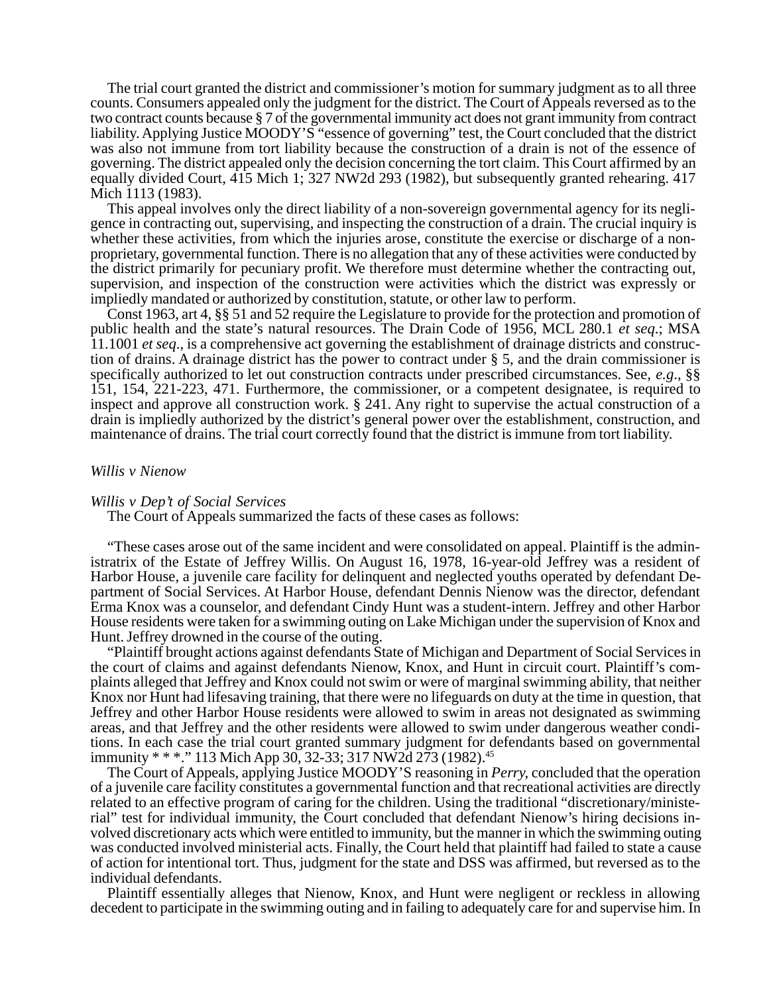The trial court granted the district and commissioner's motion for summary judgment as to all three counts. Consumers appealed only the judgment for the district. The Court of Appeals reversed as to the two contract counts because § 7 of the governmental immunity act does not grant immunity from contract liability. Applying Justice MOODY'S "essence of governing" test, the Court concluded that the district was also not immune from tort liability because the construction of a drain is not of the essence of governing. The district appealed only the decision concerning the tort claim. This Court affirmed by an equally divided Court, 415 Mich 1; 327 NW2d 293 (1982), but subsequently granted rehearing. 417 Mich 1113 (1983).

This appeal involves only the direct liability of a non-sovereign governmental agency for its negligence in contracting out, supervising, and inspecting the construction of a drain. The crucial inquiry is whether these activities, from which the injuries arose, constitute the exercise or discharge of a nonproprietary, governmental function. There is no allegation that any of these activities were conducted by the district primarily for pecuniary profit. We therefore must determine whether the contracting out, supervision, and inspection of the construction were activities which the district was expressly or impliedly mandated or authorized by constitution, statute, or other law to perform.

Const 1963, art 4, §§ 51 and 52 require the Legislature to provide for the protection and promotion of public health and the state's natural resources. The Drain Code of 1956, MCL 280.1 *et seq*.; MSA 11.1001 *et seq*., is a comprehensive act governing the establishment of drainage districts and construction of drains. A drainage district has the power to contract under § 5, and the drain commissioner is specifically authorized to let out construction contracts under prescribed circumstances. See, *e.g*., §§ 151, 154, 221-223, 471. Furthermore, the commissioner, or a competent designatee, is required to inspect and approve all construction work. § 241. Any right to supervise the actual construction of a drain is impliedly authorized by the district's general power over the establishment, construction, and maintenance of drains. The trial court correctly found that the district is immune from tort liability.

## *Willis v Nienow*

## *Willis v Dep't of Social Services*

The Court of Appeals summarized the facts of these cases as follows:

"These cases arose out of the same incident and were consolidated on appeal. Plaintiff is the administratrix of the Estate of Jeffrey Willis. On August 16, 1978, 16-year-old Jeffrey was a resident of Harbor House, a juvenile care facility for delinquent and neglected youths operated by defendant Department of Social Services. At Harbor House, defendant Dennis Nienow was the director, defendant Erma Knox was a counselor, and defendant Cindy Hunt was a student-intern. Jeffrey and other Harbor House residents were taken for a swimming outing on Lake Michigan under the supervision of Knox and Hunt. Jeffrey drowned in the course of the outing.

"Plaintiff brought actions against defendants State of Michigan and Department of Social Services in the court of claims and against defendants Nienow, Knox, and Hunt in circuit court. Plaintiff's complaints alleged that Jeffrey and Knox could not swim or were of marginal swimming ability, that neither Knox nor Hunt had lifesaving training, that there were no lifeguards on duty at the time in question, that Jeffrey and other Harbor House residents were allowed to swim in areas not designated as swimming areas, and that Jeffrey and the other residents were allowed to swim under dangerous weather conditions. In each case the trial court granted summary judgment for defendants based on governmental immunity \* \* \*." 113 Mich App 30, 32-33; 317 NW2d 273 (1982).<sup>45</sup>

The Court of Appeals, applying Justice MOODY'S reasoning in *Perry,* concluded that the operation of a juvenile care facility constitutes a governmental function and that recreational activities are directly related to an effective program of caring for the children. Using the traditional "discretionary/ministerial" test for individual immunity, the Court concluded that defendant Nienow's hiring decisions involved discretionary acts which were entitled to immunity, but the manner in which the swimming outing was conducted involved ministerial acts. Finally, the Court held that plaintiff had failed to state a cause of action for intentional tort. Thus, judgment for the state and DSS was affirmed, but reversed as to the individual defendants.

Plaintiff essentially alleges that Nienow, Knox, and Hunt were negligent or reckless in allowing decedent to participate in the swimming outing and in failing to adequately care for and supervise him. In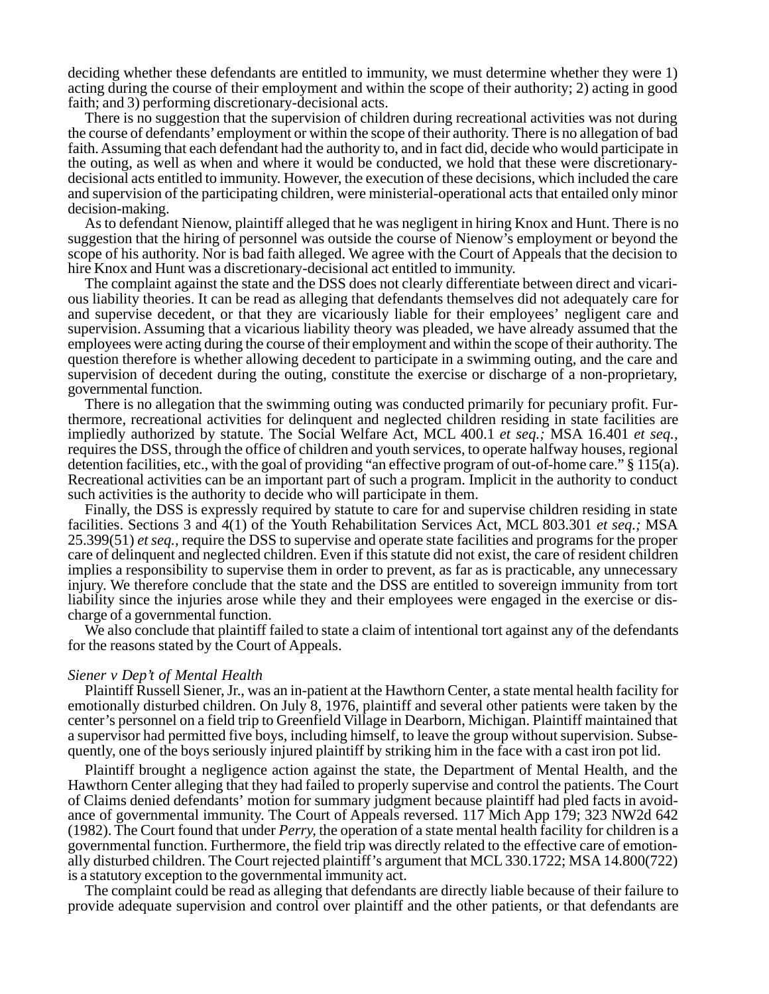deciding whether these defendants are entitled to immunity, we must determine whether they were 1) acting during the course of their employment and within the scope of their authority; 2) acting in good faith; and 3) performing discretionary-decisional acts.

There is no suggestion that the supervision of children during recreational activities was not during the course of defendants' employment or within the scope of their authority. There is no allegation of bad faith. Assuming that each defendant had the authority to, and in fact did, decide who would participate in the outing, as well as when and where it would be conducted, we hold that these were discretionarydecisional acts entitled to immunity. However, the execution of these decisions, which included the care and supervision of the participating children, were ministerial-operational acts that entailed only minor decision-making.

As to defendant Nienow, plaintiff alleged that he was negligent in hiring Knox and Hunt. There is no suggestion that the hiring of personnel was outside the course of Nienow's employment or beyond the scope of his authority. Nor is bad faith alleged. We agree with the Court of Appeals that the decision to hire Knox and Hunt was a discretionary-decisional act entitled to immunity.

The complaint against the state and the DSS does not clearly differentiate between direct and vicarious liability theories. It can be read as alleging that defendants themselves did not adequately care for and supervise decedent, or that they are vicariously liable for their employees' negligent care and supervision. Assuming that a vicarious liability theory was pleaded, we have already assumed that the employees were acting during the course of their employment and within the scope of their authority. The question therefore is whether allowing decedent to participate in a swimming outing, and the care and supervision of decedent during the outing, constitute the exercise or discharge of a non-proprietary, governmental function.

There is no allegation that the swimming outing was conducted primarily for pecuniary profit. Furthermore, recreational activities for delinquent and neglected children residing in state facilities are impliedly authorized by statute. The Social Welfare Act, MCL 400.1 *et seq.;* MSA 16.401 *et seq.,* requires the DSS, through the office of children and youth services, to operate halfway houses, regional detention facilities, etc., with the goal of providing "an effective program of out-of-home care." § 115(a). Recreational activities can be an important part of such a program. Implicit in the authority to conduct such activities is the authority to decide who will participate in them.

Finally, the DSS is expressly required by statute to care for and supervise children residing in state facilities. Sections 3 and 4(1) of the Youth Rehabilitation Services Act, MCL 803.301 *et seq.;* MSA 25.399(51) *et seq.,* require the DSS to supervise and operate state facilities and programs for the proper care of delinquent and neglected children. Even if this statute did not exist, the care of resident children implies a responsibility to supervise them in order to prevent, as far as is practicable, any unnecessary injury. We therefore conclude that the state and the DSS are entitled to sovereign immunity from tort liability since the injuries arose while they and their employees were engaged in the exercise or discharge of a governmental function.

We also conclude that plaintiff failed to state a claim of intentional tort against any of the defendants for the reasons stated by the Court of Appeals.

#### *Siener v Dep't of Mental Health*

Plaintiff Russell Siener, Jr., was an in-patient at the Hawthorn Center, a state mental health facility for emotionally disturbed children. On July 8, 1976, plaintiff and several other patients were taken by the center's personnel on a field trip to Greenfield Village in Dearborn, Michigan. Plaintiff maintained that a supervisor had permitted five boys, including himself, to leave the group without supervision. Subsequently, one of the boys seriously injured plaintiff by striking him in the face with a cast iron pot lid.

Plaintiff brought a negligence action against the state, the Department of Mental Health, and the Hawthorn Center alleging that they had failed to properly supervise and control the patients. The Court of Claims denied defendants' motion for summary judgment because plaintiff had pled facts in avoidance of governmental immunity. The Court of Appeals reversed. 117 Mich App 179; 323 NW2d 642 (1982). The Court found that under *Perry,* the operation of a state mental health facility for children is a governmental function. Furthermore, the field trip was directly related to the effective care of emotionally disturbed children. The Court rejected plaintiff's argument that MCL 330.1722; MSA 14.800(722) is a statutory exception to the governmental immunity act.

The complaint could be read as alleging that defendants are directly liable because of their failure to provide adequate supervision and control over plaintiff and the other patients, or that defendants are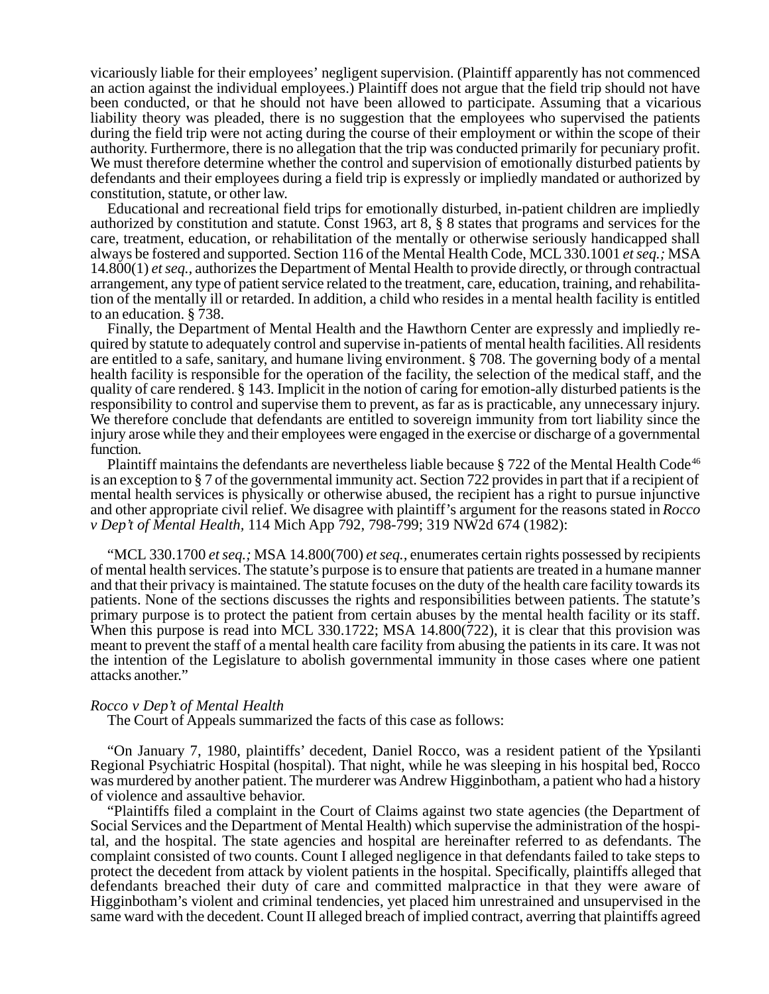vicariously liable for their employees' negligent supervision. (Plaintiff apparently has not commenced an action against the individual employees.) Plaintiff does not argue that the field trip should not have been conducted, or that he should not have been allowed to participate. Assuming that a vicarious liability theory was pleaded, there is no suggestion that the employees who supervised the patients during the field trip were not acting during the course of their employment or within the scope of their authority. Furthermore, there is no allegation that the trip was conducted primarily for pecuniary profit. We must therefore determine whether the control and supervision of emotionally disturbed patients by defendants and their employees during a field trip is expressly or impliedly mandated or authorized by constitution, statute, or other law.

Educational and recreational field trips for emotionally disturbed, in-patient children are impliedly authorized by constitution and statute. Const 1963, art 8, § 8 states that programs and services for the care, treatment, education, or rehabilitation of the mentally or otherwise seriously handicapped shall always be fostered and supported. Section 116 of the Mental Health Code, MCL 330.1001 *et seq.;* MSA 14.800(1) *et seq.,* authorizes the Department of Mental Health to provide directly, or through contractual arrangement, any type of patient service related to the treatment, care, education, training, and rehabilitation of the mentally ill or retarded. In addition, a child who resides in a mental health facility is entitled to an education. § 738.

Finally, the Department of Mental Health and the Hawthorn Center are expressly and impliedly required by statute to adequately control and supervise in-patients of mental health facilities. All residents are entitled to a safe, sanitary, and humane living environment. § 708. The governing body of a mental health facility is responsible for the operation of the facility, the selection of the medical staff, and the quality of care rendered. § 143. Implicit in the notion of caring for emotion-ally disturbed patients is the responsibility to control and supervise them to prevent, as far as is practicable, any unnecessary injury. We therefore conclude that defendants are entitled to sovereign immunity from tort liability since the injury arose while they and their employees were engaged in the exercise or discharge of a governmental function.

Plaintiff maintains the defendants are nevertheless liable because  $\S 722$  of the Mental Health Code<sup>46</sup> is an exception to § 7 of the governmental immunity act. Section 722 provides in part that if a recipient of mental health services is physically or otherwise abused, the recipient has a right to pursue injunctive and other appropriate civil relief. We disagree with plaintiff's argument for the reasons stated in *Rocco v Dep't of Mental Health,* 114 Mich App 792, 798-799; 319 NW2d 674 (1982):

"MCL 330.1700 *et seq.;* MSA 14.800(700) *et seq.,* enumerates certain rights possessed by recipients of mental health services. The statute's purpose is to ensure that patients are treated in a humane manner and that their privacy is maintained. The statute focuses on the duty of the health care facility towards its patients. None of the sections discusses the rights and responsibilities between patients. The statute's primary purpose is to protect the patient from certain abuses by the mental health facility or its staff. When this purpose is read into MCL 330.1722; MSA 14.800(722), it is clear that this provision was meant to prevent the staff of a mental health care facility from abusing the patients in its care. It was not the intention of the Legislature to abolish governmental immunity in those cases where one patient attacks another."

#### *Rocco v Dep't of Mental Health*

The Court of Appeals summarized the facts of this case as follows:

"On January 7, 1980, plaintiffs' decedent, Daniel Rocco, was a resident patient of the Ypsilanti Regional Psychiatric Hospital (hospital). That night, while he was sleeping in his hospital bed, Rocco was murdered by another patient. The murderer was Andrew Higginbotham, a patient who had a history of violence and assaultive behavior.

"Plaintiffs filed a complaint in the Court of Claims against two state agencies (the Department of Social Services and the Department of Mental Health) which supervise the administration of the hospital, and the hospital. The state agencies and hospital are hereinafter referred to as defendants. The complaint consisted of two counts. Count I alleged negligence in that defendants failed to take steps to protect the decedent from attack by violent patients in the hospital. Specifically, plaintiffs alleged that defendants breached their duty of care and committed malpractice in that they were aware of Higginbotham's violent and criminal tendencies, yet placed him unrestrained and unsupervised in the same ward with the decedent. Count II alleged breach of implied contract, averring that plaintiffs agreed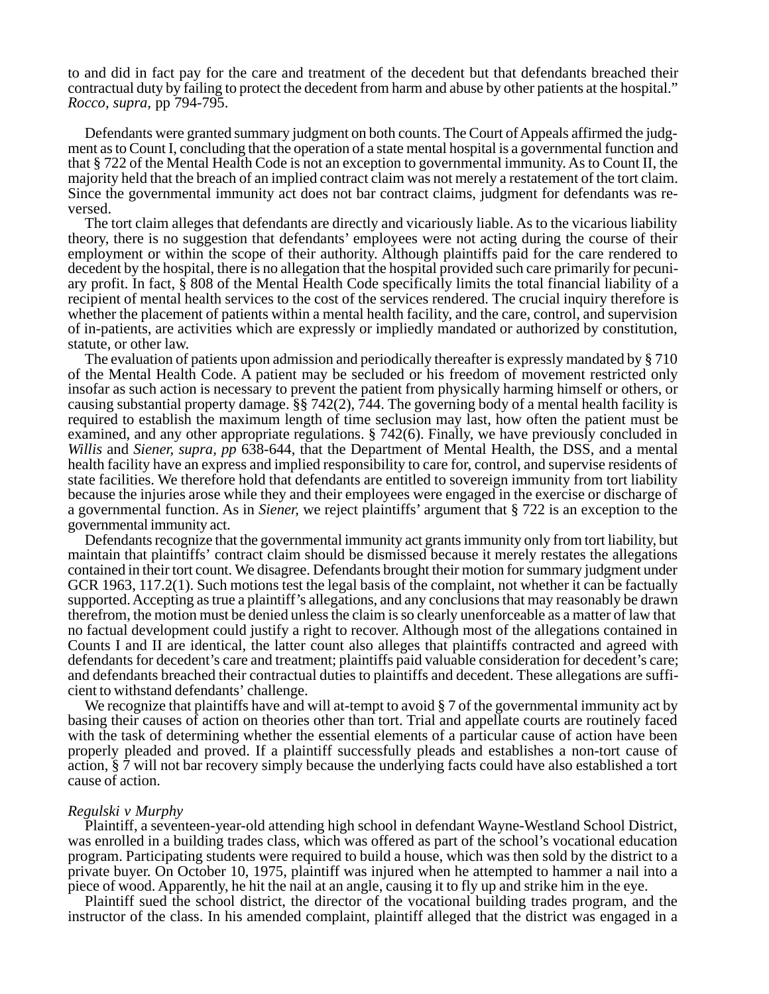to and did in fact pay for the care and treatment of the decedent but that defendants breached their contractual duty by failing to protect the decedent from harm and abuse by other patients at the hospital." *Rocco, supra,* pp 794-795.

Defendants were granted summary judgment on both counts. The Court of Appeals affirmed the judgment as to Count I, concluding that the operation of a state mental hospital is a governmental function and that § 722 of the Mental Health Code is not an exception to governmental immunity. As to Count II, the majority held that the breach of an implied contract claim was not merely a restatement of the tort claim. Since the governmental immunity act does not bar contract claims, judgment for defendants was reversed.

The tort claim alleges that defendants are directly and vicariously liable. As to the vicarious liability theory, there is no suggestion that defendants' employees were not acting during the course of their employment or within the scope of their authority. Although plaintiffs paid for the care rendered to decedent by the hospital, there is no allegation that the hospital provided such care primarily for pecuniary profit. In fact, § 808 of the Mental Health Code specifically limits the total financial liability of a recipient of mental health services to the cost of the services rendered. The crucial inquiry therefore is whether the placement of patients within a mental health facility, and the care, control, and supervision of in-patients, are activities which are expressly or impliedly mandated or authorized by constitution, statute, or other law.

The evaluation of patients upon admission and periodically thereafter is expressly mandated by § 710 of the Mental Health Code. A patient may be secluded or his freedom of movement restricted only insofar as such action is necessary to prevent the patient from physically harming himself or others, or causing substantial property damage. §§ 742(2), 744. The governing body of a mental health facility is required to establish the maximum length of time seclusion may last, how often the patient must be examined, and any other appropriate regulations. § 742(6). Finally, we have previously concluded in *Willis* and *Siener, supra, pp* 638-644, that the Department of Mental Health, the DSS, and a mental health facility have an express and implied responsibility to care for, control, and supervise residents of state facilities. We therefore hold that defendants are entitled to sovereign immunity from tort liability because the injuries arose while they and their employees were engaged in the exercise or discharge of a governmental function. As in *Siener,* we reject plaintiffs' argument that § 722 is an exception to the governmental immunity act.

Defendants recognize that the governmental immunity act grants immunity only from tort liability, but maintain that plaintiffs' contract claim should be dismissed because it merely restates the allegations contained in their tort count. We disagree. Defendants brought their motion for summary judgment under GCR 1963, 117.2(1). Such motions test the legal basis of the complaint, not whether it can be factually supported. Accepting as true a plaintiff's allegations, and any conclusions that may reasonably be drawn therefrom, the motion must be denied unless the claim is so clearly unenforceable as a matter of law that no factual development could justify a right to recover. Although most of the allegations contained in Counts I and II are identical, the latter count also alleges that plaintiffs contracted and agreed with defendants for decedent's care and treatment; plaintiffs paid valuable consideration for decedent's care; and defendants breached their contractual duties to plaintiffs and decedent. These allegations are sufficient to withstand defendants' challenge.

We recognize that plaintiffs have and will at-tempt to avoid  $\S 7$  of the governmental immunity act by basing their causes of action on theories other than tort. Trial and appellate courts are routinely faced with the task of determining whether the essential elements of a particular cause of action have been properly pleaded and proved. If a plaintiff successfully pleads and establishes a non-tort cause of action, § 7 will not bar recovery simply because the underlying facts could have also established a tort cause of action.

#### *Regulski v Murphy*

Plaintiff, a seventeen-year-old attending high school in defendant Wayne-Westland School District, was enrolled in a building trades class, which was offered as part of the school's vocational education program. Participating students were required to build a house, which was then sold by the district to a private buyer. On October 10, 1975, plaintiff was injured when he attempted to hammer a nail into a piece of wood. Apparently, he hit the nail at an angle, causing it to fly up and strike him in the eye.

Plaintiff sued the school district, the director of the vocational building trades program, and the instructor of the class. In his amended complaint, plaintiff alleged that the district was engaged in a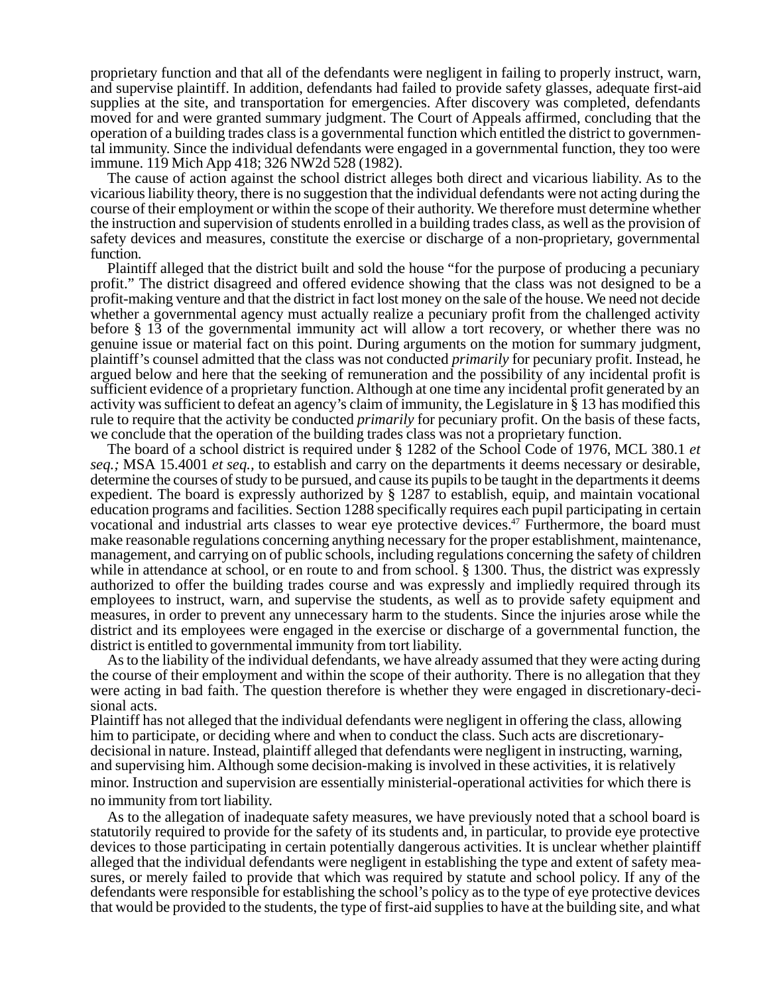proprietary function and that all of the defendants were negligent in failing to properly instruct, warn, and supervise plaintiff. In addition, defendants had failed to provide safety glasses, adequate first-aid supplies at the site, and transportation for emergencies. After discovery was completed, defendants moved for and were granted summary judgment. The Court of Appeals affirmed, concluding that the operation of a building trades class is a governmental function which entitled the district to governmental immunity. Since the individual defendants were engaged in a governmental function, they too were immune. 119 Mich App 418; 326 NW2d 528 (1982).

The cause of action against the school district alleges both direct and vicarious liability. As to the vicarious liability theory, there is no suggestion that the individual defendants were not acting during the course of their employment or within the scope of their authority. We therefore must determine whether the instruction and supervision of students enrolled in a building trades class, as well as the provision of safety devices and measures, constitute the exercise or discharge of a non-proprietary, governmental function.

Plaintiff alleged that the district built and sold the house "for the purpose of producing a pecuniary profit." The district disagreed and offered evidence showing that the class was not designed to be a profit-making venture and that the district in fact lost money on the sale of the house. We need not decide whether a governmental agency must actually realize a pecuniary profit from the challenged activity before § 13 of the governmental immunity act will allow a tort recovery, or whether there was no genuine issue or material fact on this point. During arguments on the motion for summary judgment, plaintiff's counsel admitted that the class was not conducted *primarily* for pecuniary profit. Instead, he argued below and here that the seeking of remuneration and the possibility of any incidental profit is sufficient evidence of a proprietary function. Although at one time any incidental profit generated by an activity was sufficient to defeat an agency's claim of immunity, the Legislature in § 13 has modified this rule to require that the activity be conducted *primarily* for pecuniary profit. On the basis of these facts, we conclude that the operation of the building trades class was not a proprietary function.

The board of a school district is required under § 1282 of the School Code of 1976, MCL 380.1 *et seq.;* MSA 15.4001 *et seq.,* to establish and carry on the departments it deems necessary or desirable, determine the courses of study to be pursued, and cause its pupils to be taught in the departments it deems expedient. The board is expressly authorized by § 1287 to establish, equip, and maintain vocational education programs and facilities. Section 1288 specifically requires each pupil participating in certain vocational and industrial arts classes to wear eye protective devices.<sup>47</sup> Furthermore, the board must make reasonable regulations concerning anything necessary for the proper establishment, maintenance, management, and carrying on of public schools, including regulations concerning the safety of children while in attendance at school, or en route to and from school. § 1300. Thus, the district was expressly authorized to offer the building trades course and was expressly and impliedly required through its employees to instruct, warn, and supervise the students, as well as to provide safety equipment and measures, in order to prevent any unnecessary harm to the students. Since the injuries arose while the district and its employees were engaged in the exercise or discharge of a governmental function, the district is entitled to governmental immunity from tort liability.

As to the liability of the individual defendants, we have already assumed that they were acting during the course of their employment and within the scope of their authority. There is no allegation that they were acting in bad faith. The question therefore is whether they were engaged in discretionary-decisional acts.

Plaintiff has not alleged that the individual defendants were negligent in offering the class, allowing him to participate, or deciding where and when to conduct the class. Such acts are discretionarydecisional in nature. Instead, plaintiff alleged that defendants were negligent in instructing, warning, and supervising him. Although some decision-making is involved in these activities, it is relatively minor. Instruction and supervision are essentially ministerial-operational activities for which there is no immunity from tort liability.

As to the allegation of inadequate safety measures, we have previously noted that a school board is statutorily required to provide for the safety of its students and, in particular, to provide eye protective devices to those participating in certain potentially dangerous activities. It is unclear whether plaintiff alleged that the individual defendants were negligent in establishing the type and extent of safety measures, or merely failed to provide that which was required by statute and school policy. If any of the defendants were responsible for establishing the school's policy as to the type of eye protective devices that would be provided to the students, the type of first-aid supplies to have at the building site, and what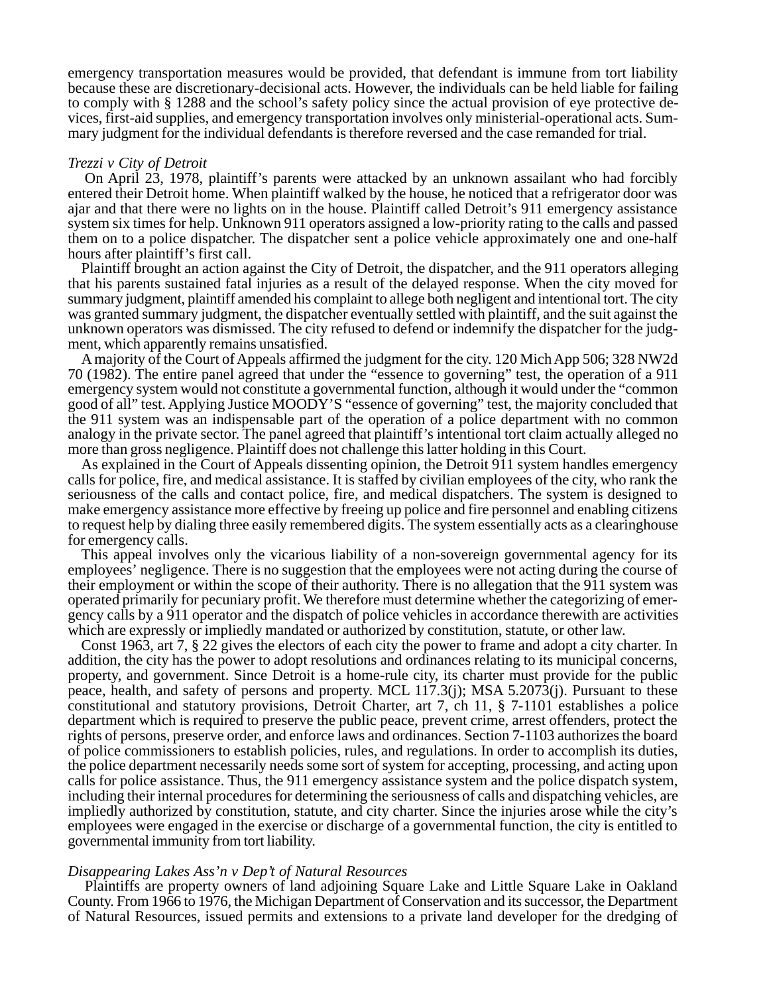emergency transportation measures would be provided, that defendant is immune from tort liability because these are discretionary-decisional acts. However, the individuals can be held liable for failing to comply with § 1288 and the school's safety policy since the actual provision of eye protective devices, first-aid supplies, and emergency transportation involves only ministerial-operational acts. Summary judgment for the individual defendants is therefore reversed and the case remanded for trial.

#### *Trezzi v City of Detroit*

On April 23, 1978, plaintiff's parents were attacked by an unknown assailant who had forcibly entered their Detroit home. When plaintiff walked by the house, he noticed that a refrigerator door was ajar and that there were no lights on in the house. Plaintiff called Detroit's 911 emergency assistance system six times for help. Unknown 911 operators assigned a low-priority rating to the calls and passed them on to a police dispatcher. The dispatcher sent a police vehicle approximately one and one-half hours after plaintiff's first call.

Plaintiff brought an action against the City of Detroit, the dispatcher, and the 911 operators alleging that his parents sustained fatal injuries as a result of the delayed response. When the city moved for summary judgment, plaintiff amended his complaint to allege both negligent and intentional tort. The city was granted summary judgment, the dispatcher eventually settled with plaintiff, and the suit against the unknown operators was dismissed. The city refused to defend or indemnify the dispatcher for the judgment, which apparently remains unsatisfied.

A majority of the Court of Appeals affirmed the judgment for the city. 120 Mich App 506; 328 NW2d 70 (1982). The entire panel agreed that under the "essence to governing" test, the operation of a 911 emergency system would not constitute a governmental function, although it would under the "common good of all" test. Applying Justice MOODY'S "essence of governing" test, the majority concluded that the 911 system was an indispensable part of the operation of a police department with no common analogy in the private sector. The panel agreed that plaintiff's intentional tort claim actually alleged no more than gross negligence. Plaintiff does not challenge this latter holding in this Court.

As explained in the Court of Appeals dissenting opinion, the Detroit 911 system handles emergency calls for police, fire, and medical assistance. It is staffed by civilian employees of the city, who rank the seriousness of the calls and contact police, fire, and medical dispatchers. The system is designed to make emergency assistance more effective by freeing up police and fire personnel and enabling citizens to request help by dialing three easily remembered digits. The system essentially acts as a clearinghouse for emergency calls.

This appeal involves only the vicarious liability of a non-sovereign governmental agency for its employees' negligence. There is no suggestion that the employees were not acting during the course of their employment or within the scope of their authority. There is no allegation that the 911 system was operated primarily for pecuniary profit. We therefore must determine whether the categorizing of emergency calls by a 911 operator and the dispatch of police vehicles in accordance therewith are activities which are expressly or impliedly mandated or authorized by constitution, statute, or other law.

Const 1963, art 7, § 22 gives the electors of each city the power to frame and adopt a city charter. In addition, the city has the power to adopt resolutions and ordinances relating to its municipal concerns, property, and government. Since Detroit is a home-rule city, its charter must provide for the public peace, health, and safety of persons and property. MCL 117.3(j); MSA 5.2073(j). Pursuant to these constitutional and statutory provisions, Detroit Charter, art 7, ch 11, § 7-1101 establishes a police department which is required to preserve the public peace, prevent crime, arrest offenders, protect the rights of persons, preserve order, and enforce laws and ordinances. Section 7-1103 authorizes the board of police commissioners to establish policies, rules, and regulations. In order to accomplish its duties, the police department necessarily needs some sort of system for accepting, processing, and acting upon calls for police assistance. Thus, the 911 emergency assistance system and the police dispatch system, including their internal procedures for determining the seriousness of calls and dispatching vehicles, are impliedly authorized by constitution, statute, and city charter. Since the injuries arose while the city's employees were engaged in the exercise or discharge of a governmental function, the city is entitled to governmental immunity from tort liability.

#### *Disappearing Lakes Ass'n v Dep't of Natural Resources*

Plaintiffs are property owners of land adjoining Square Lake and Little Square Lake in Oakland County. From 1966 to 1976, the Michigan Department of Conservation and its successor, the Department of Natural Resources, issued permits and extensions to a private land developer for the dredging of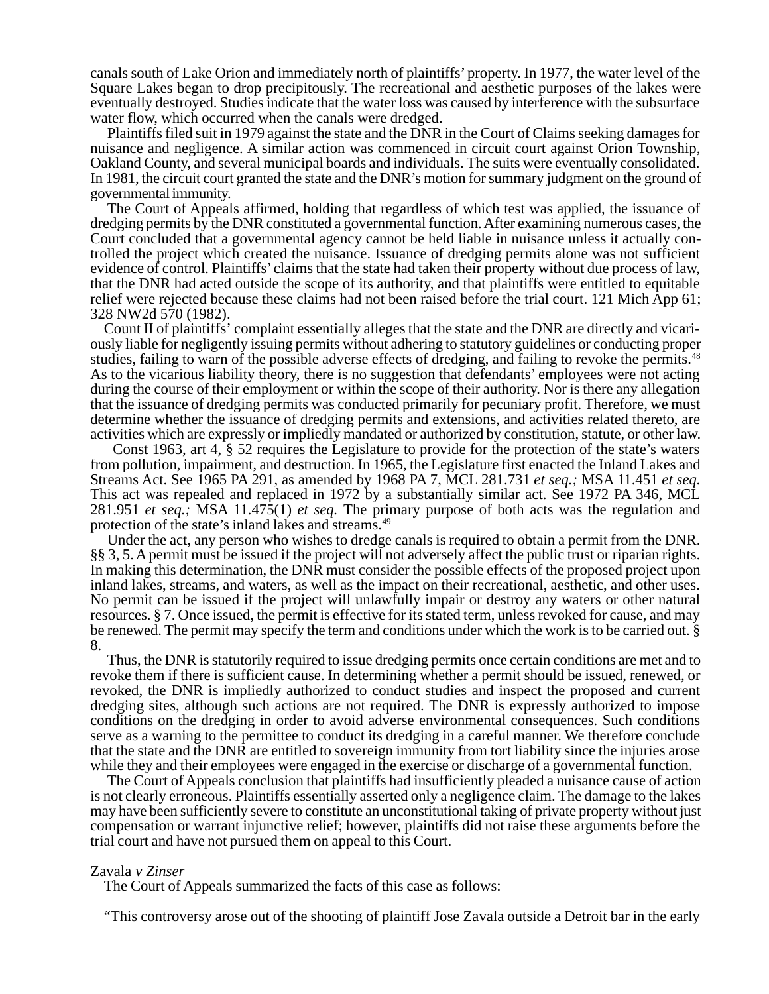canals south of Lake Orion and immediately north of plaintiffs' property. In 1977, the water level of the Square Lakes began to drop precipitously. The recreational and aesthetic purposes of the lakes were eventually destroyed. Studies indicate that the water loss was caused by interference with the subsurface water flow, which occurred when the canals were dredged.

Plaintiffs filed suit in 1979 against the state and the DNR in the Court of Claims seeking damages for nuisance and negligence. A similar action was commenced in circuit court against Orion Township, Oakland County, and several municipal boards and individuals. The suits were eventually consolidated. In 1981, the circuit court granted the state and the DNR's motion for summary judgment on the ground of governmental immunity.

The Court of Appeals affirmed, holding that regardless of which test was applied, the issuance of dredging permits by the DNR constituted a governmental function. After examining numerous cases, the Court concluded that a governmental agency cannot be held liable in nuisance unless it actually controlled the project which created the nuisance. Issuance of dredging permits alone was not sufficient evidence of control. Plaintiffs' claims that the state had taken their property without due process of law, that the DNR had acted outside the scope of its authority, and that plaintiffs were entitled to equitable relief were rejected because these claims had not been raised before the trial court. 121 Mich App 61; 328 NW2d 570 (1982).

Count II of plaintiffs' complaint essentially alleges that the state and the DNR are directly and vicariously liable for negligently issuing permits without adhering to statutory guidelines or conducting proper studies, failing to warn of the possible adverse effects of dredging, and failing to revoke the permits.<sup>48</sup> As to the vicarious liability theory, there is no suggestion that defendants' employees were not acting during the course of their employment or within the scope of their authority. Nor is there any allegation that the issuance of dredging permits was conducted primarily for pecuniary profit. Therefore, we must determine whether the issuance of dredging permits and extensions, and activities related thereto, are activities which are expressly or impliedly mandated or authorized by constitution, statute, or other law.

Const 1963, art 4, § 52 requires the Legislature to provide for the protection of the state's waters from pollution, impairment, and destruction. In 1965, the Legislature first enacted the Inland Lakes and Streams Act. See 1965 PA 291, as amended by 1968 PA 7, MCL 281.731 *et seq.;* MSA 11.451 *et seq.* This act was repealed and replaced in 1972 by a substantially similar act. See 1972 PA 346, MCL 281.951 *et seq.;* MSA 11.475(1) *et seq.* The primary purpose of both acts was the regulation and protection of the state's inland lakes and streams.<sup>49</sup>

Under the act, any person who wishes to dredge canals is required to obtain a permit from the DNR. §§ 3, 5. A permit must be issued if the project will not adversely affect the public trust or riparian rights. In making this determination, the DNR must consider the possible effects of the proposed project upon inland lakes, streams, and waters, as well as the impact on their recreational, aesthetic, and other uses. No permit can be issued if the project will unlawfully impair or destroy any waters or other natural resources. § 7. Once issued, the permit is effective for its stated term, unless revoked for cause, and may be renewed. The permit may specify the term and conditions under which the work is to be carried out. § 8.

Thus, the DNR is statutorily required to issue dredging permits once certain conditions are met and to revoke them if there is sufficient cause. In determining whether a permit should be issued, renewed, or revoked, the DNR is impliedly authorized to conduct studies and inspect the proposed and current dredging sites, although such actions are not required. The DNR is expressly authorized to impose conditions on the dredging in order to avoid adverse environmental consequences. Such conditions serve as a warning to the permittee to conduct its dredging in a careful manner. We therefore conclude that the state and the DNR are entitled to sovereign immunity from tort liability since the injuries arose while they and their employees were engaged in the exercise or discharge of a governmental function.

The Court of Appeals conclusion that plaintiffs had insufficiently pleaded a nuisance cause of action is not clearly erroneous. Plaintiffs essentially asserted only a negligence claim. The damage to the lakes may have been sufficiently severe to constitute an unconstitutional taking of private property without just compensation or warrant injunctive relief; however, plaintiffs did not raise these arguments before the trial court and have not pursued them on appeal to this Court.

### Zavala *v Zinser*

The Court of Appeals summarized the facts of this case as follows:

"This controversy arose out of the shooting of plaintiff Jose Zavala outside a Detroit bar in the early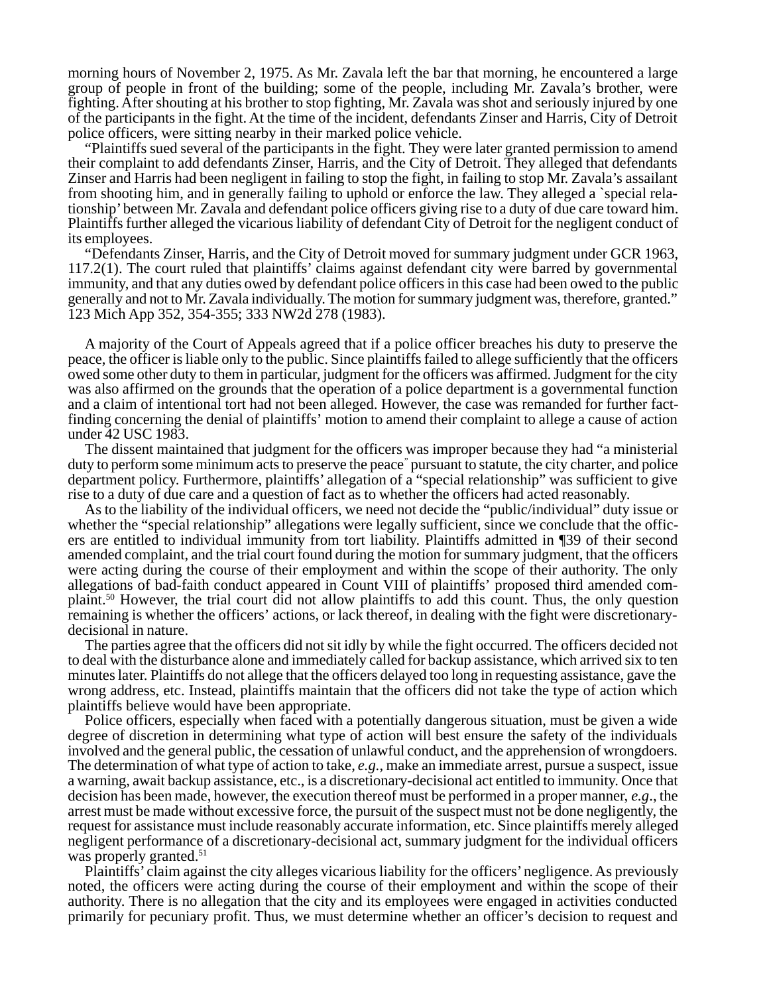morning hours of November 2, 1975. As Mr. Zavala left the bar that morning, he encountered a large group of people in front of the building; some of the people, including Mr. Zavala's brother, were fighting. After shouting at his brother to stop fighting, Mr. Zavala was shot and seriously injured by one of the participants in the fight. At the time of the incident, defendants Zinser and Harris, City of Detroit police officers, were sitting nearby in their marked police vehicle.

"Plaintiffs sued several of the participants in the fight. They were later granted permission to amend their complaint to add defendants Zinser, Harris, and the City of Detroit. They alleged that defendants Zinser and Harris had been negligent in failing to stop the fight, in failing to stop Mr. Zavala's assailant from shooting him, and in generally failing to uphold or enforce the law. They alleged a `special relationship' between Mr. Zavala and defendant police officers giving rise to a duty of due care toward him. Plaintiffs further alleged the vicarious liability of defendant City of Detroit for the negligent conduct of its employees.

"Defendants Zinser, Harris, and the City of Detroit moved for summary judgment under GCR 1963, 117.2(1). The court ruled that plaintiffs' claims against defendant city were barred by governmental immunity, and that any duties owed by defendant police officers in this case had been owed to the public generally and not to Mr. Zavala individually. The motion for summary judgment was, therefore, granted." 123 Mich App 352, 354-355; 333 NW2d 278 (1983).

A majority of the Court of Appeals agreed that if a police officer breaches his duty to preserve the peace, the officer is liable only to the public. Since plaintiffs failed to allege sufficiently that the officers owed some other duty to them in particular, judgment for the officers was affirmed. Judgment for the city was also affirmed on the grounds that the operation of a police department is a governmental function and a claim of intentional tort had not been alleged. However, the case was remanded for further factfinding concerning the denial of plaintiffs' motion to amend their complaint to allege a cause of action under 42 USC 1983.

The dissent maintained that judgment for the officers was improper because they had "a ministerial duty to perform some minimum acts to preserve the peace" pursuant to statute, the city charter, and police department policy. Furthermore, plaintiffs' allegation of a "special relationship" was sufficient to give rise to a duty of due care and a question of fact as to whether the officers had acted reasonably.

As to the liability of the individual officers, we need not decide the "public/individual" duty issue or whether the "special relationship" allegations were legally sufficient, since we conclude that the officers are entitled to individual immunity from tort liability. Plaintiffs admitted in ¶39 of their second amended complaint, and the trial court found during the motion for summary judgment, that the officers were acting during the course of their employment and within the scope of their authority. The only allegations of bad-faith conduct appeared in Count VIII of plaintiffs' proposed third amended complaint.50 However, the trial court did not allow plaintiffs to add this count. Thus, the only question remaining is whether the officers' actions, or lack thereof, in dealing with the fight were discretionarydecisional in nature.

The parties agree that the officers did not sit idly by while the fight occurred. The officers decided not to deal with the disturbance alone and immediately called for backup assistance, which arrived six to ten minutes later. Plaintiffs do not allege that the officers delayed too long in requesting assistance, gave the wrong address, etc. Instead, plaintiffs maintain that the officers did not take the type of action which plaintiffs believe would have been appropriate.

Police officers, especially when faced with a potentially dangerous situation, must be given a wide degree of discretion in determining what type of action will best ensure the safety of the individuals involved and the general public, the cessation of unlawful conduct, and the apprehension of wrongdoers. The determination of what type of action to take, *e.g.*, make an immediate arrest, pursue a suspect, issue a warning, await backup assistance, etc., is a discretionary-decisional act entitled to immunity. Once that decision has been made, however, the execution thereof must be performed in a proper manner, *e.g*., the arrest must be made without excessive force, the pursuit of the suspect must not be done negligently, the request for assistance must include reasonably accurate information, etc. Since plaintiffs merely alleged negligent performance of a discretionary-decisional act, summary judgment for the individual officers was properly granted.<sup>51</sup>

Plaintiffs' claim against the city alleges vicarious liability for the officers' negligence. As previously noted, the officers were acting during the course of their employment and within the scope of their authority. There is no allegation that the city and its employees were engaged in activities conducted primarily for pecuniary profit. Thus, we must determine whether an officer's decision to request and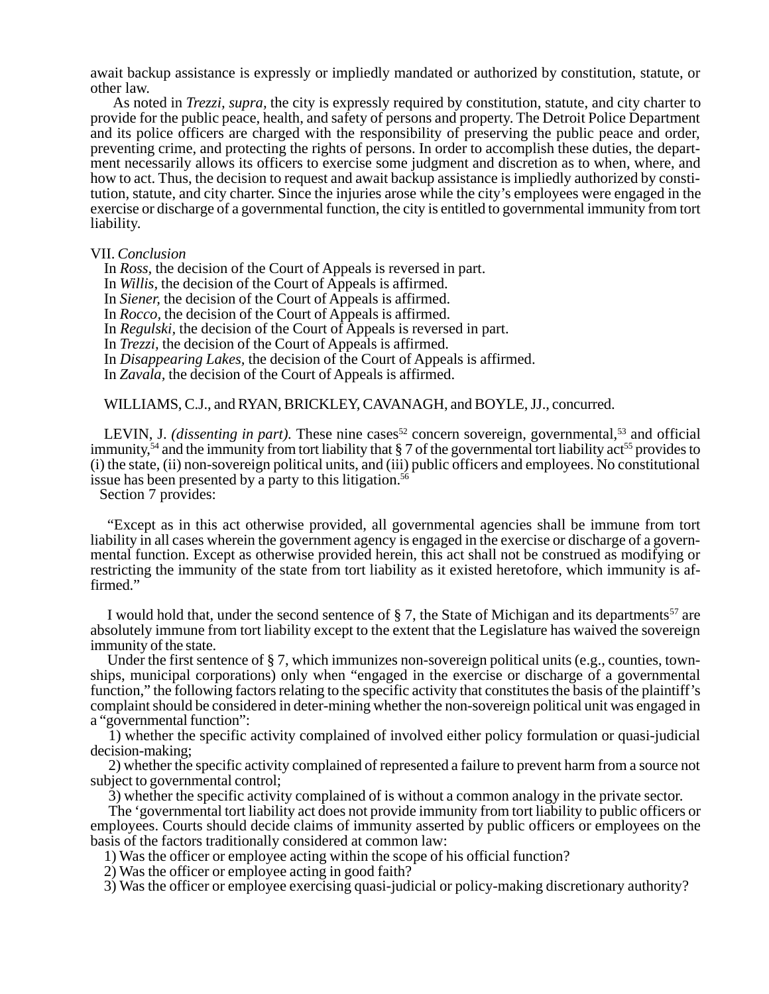await backup assistance is expressly or impliedly mandated or authorized by constitution, statute, or other law.

As noted in *Trezzi, supra,* the city is expressly required by constitution, statute, and city charter to provide for the public peace, health, and safety of persons and property. The Detroit Police Department and its police officers are charged with the responsibility of preserving the public peace and order, preventing crime, and protecting the rights of persons. In order to accomplish these duties, the department necessarily allows its officers to exercise some judgment and discretion as to when, where, and how to act. Thus, the decision to request and await backup assistance is impliedly authorized by constitution, statute, and city charter. Since the injuries arose while the city's employees were engaged in the exercise or discharge of a governmental function, the city is entitled to governmental immunity from tort liability.

#### VII. *Conclusion*

In *Ross,* the decision of the Court of Appeals is reversed in part.

In *Willis,* the decision of the Court of Appeals is affirmed.

In *Siener,* the decision of the Court of Appeals is affirmed.

In *Rocco,* the decision of the Court of Appeals is affirmed.

In *Regulski,* the decision of the Court of Appeals is reversed in part.

In *Trezzi,* the decision of the Court of Appeals is affirmed.

In *Disappearing Lakes,* the decision of the Court of Appeals is affirmed.

In *Zavala,* the decision of the Court of Appeals is affirmed.

WILLIAMS, C.J., and RYAN, BRICKLEY, CAVANAGH, and BOYLE, JJ., concurred.

LEVIN, J. *(dissenting in part)*. These nine cases<sup>52</sup> concern sovereign, governmental,<sup>53</sup> and official immunity,<sup>54</sup> and the immunity from tort liability that  $\S 7$  of the governmental tort liability act<sup>55</sup> provides to (i) the state, (ii) non-sovereign political units, and (iii) public officers and employees. No constitutional issue has been presented by a party to this litigation.<sup>56</sup>

Section 7 provides:

"Except as in this act otherwise provided, all governmental agencies shall be immune from tort liability in all cases wherein the government agency is engaged in the exercise or discharge of a governmental function. Except as otherwise provided herein, this act shall not be construed as modifying or restricting the immunity of the state from tort liability as it existed heretofore, which immunity is affirmed."

I would hold that, under the second sentence of  $\S 7$ , the State of Michigan and its departments<sup>57</sup> are absolutely immune from tort liability except to the extent that the Legislature has waived the sovereign immunity of the state.

Under the first sentence of § 7, which immunizes non-sovereign political units (e.g., counties, townships, municipal corporations) only when "engaged in the exercise or discharge of a governmental function," the following factors relating to the specific activity that constitutes the basis of the plaintiff's complaint should be considered in deter-mining whether the non-sovereign political unit was engaged in a "governmental function":

1) whether the specific activity complained of involved either policy formulation or quasi-judicial decision-making;

2) whether the specific activity complained of represented a failure to prevent harm from a source not subject to governmental control;

3) whether the specific activity complained of is without a common analogy in the private sector.

The 'governmental tort liability act does not provide immunity from tort liability to public officers or employees. Courts should decide claims of immunity asserted by public officers or employees on the basis of the factors traditionally considered at common law:

1) Was the officer or employee acting within the scope of his official function?

2) Was the officer or employee acting in good faith?

3) Was the officer or employee exercising quasi-judicial or policy-making discretionary authority?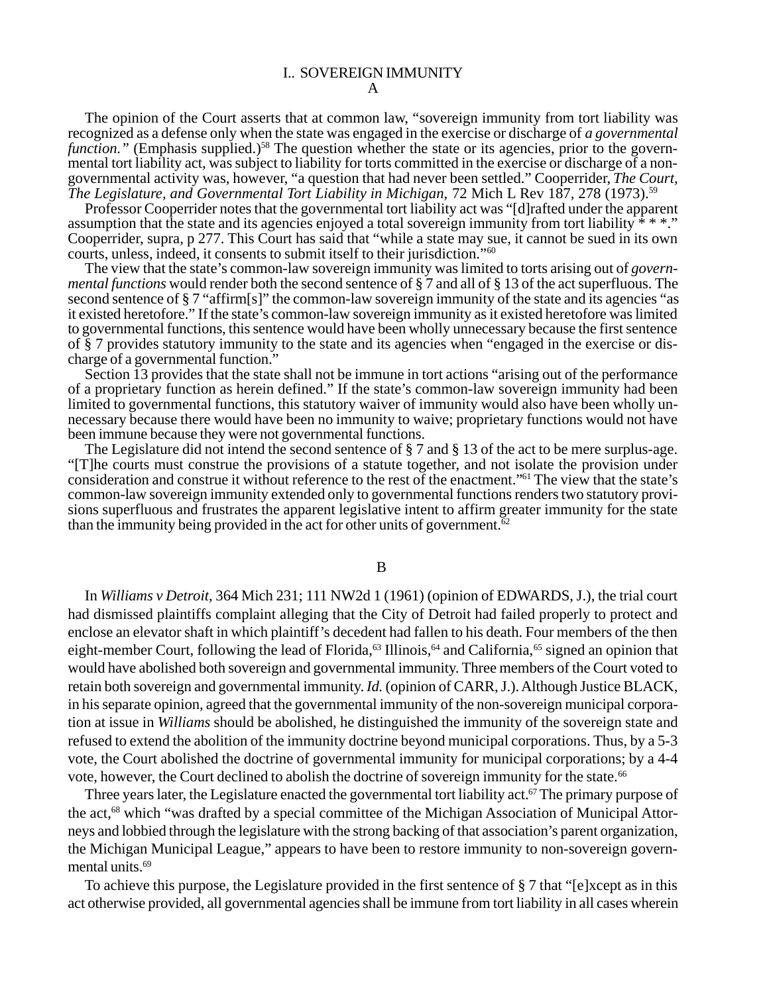A

The opinion of the Court asserts that at common law, "sovereign immunity from tort liability was recognized as a defense only when the state was engaged in the exercise or discharge of *a governmental function.*" (Emphasis supplied.)<sup>58</sup> The question whether the state or its agencies, prior to the governmental tort liability act, was subject to liability for torts committed in the exercise or discharge of a nongovernmental activity was, however, "a question that had never been settled." Cooperrider, *The Court, The Legislature, and Governmental Tort Liability in Michigan,* 72 Mich L Rev 187, 278 (1973).59

Professor Cooperrider notes that the governmental tort liability act was "[d]rafted under the apparent assumption that the state and its agencies enjoyed a total sovereign immunity from tort liability \* \* \*." Cooperrider, supra, p 277. This Court has said that "while a state may sue, it cannot be sued in its own courts, unless, indeed, it consents to submit itself to their jurisdiction."60

The view that the state's common-law sovereign immunity was limited to torts arising out of *governmental functions* would render both the second sentence of § 7 and all of § 13 of the act superfluous. The second sentence of § 7 "affirm[s]" the common-law sovereign immunity of the state and its agencies "as it existed heretofore." If the state's common-law sovereign immunity as it existed heretofore was limited to governmental functions, this sentence would have been wholly unnecessary because the first sentence of § 7 provides statutory immunity to the state and its agencies when "engaged in the exercise or discharge of a governmental function."

Section 13 provides that the state shall not be immune in tort actions "arising out of the performance" of a proprietary function as herein defined." If the state's common-law sovereign immunity had been limited to governmental functions, this statutory waiver of immunity would also have been wholly unnecessary because there would have been no immunity to waive; proprietary functions would not have been immune because they were not governmental functions.

The Legislature did not intend the second sentence of § 7 and § 13 of the act to be mere surplus-age. "[T]he courts must construe the provisions of a statute together, and not isolate the provision under consideration and construe it without reference to the rest of the enactment."61 The view that the state's common-law sovereign immunity extended only to governmental functions renders two statutory provisions superfluous and frustrates the apparent legislative intent to affirm greater immunity for the state than the immunity being provided in the act for other units of government.<sup> $\overline{62}$ </sup>

### B

In *Williams v Detroit,* 364 Mich 231; 111 NW2d 1 (1961) (opinion of EDWARDS, J.), the trial court had dismissed plaintiffs complaint alleging that the City of Detroit had failed properly to protect and enclose an elevator shaft in which plaintiff's decedent had fallen to his death. Four members of the then eight-member Court, following the lead of Florida,<sup>63</sup> Illinois,<sup>64</sup> and California,<sup>65</sup> signed an opinion that would have abolished both sovereign and governmental immunity. Three members of the Court voted to retain both sovereign and governmental immunity. *Id.* (opinion of CARR, J.). Although Justice BLACK, in his separate opinion, agreed that the governmental immunity of the non-sovereign municipal corporation at issue in *Williams* should be abolished, he distinguished the immunity of the sovereign state and refused to extend the abolition of the immunity doctrine beyond municipal corporations. Thus, by a 5-3 vote, the Court abolished the doctrine of governmental immunity for municipal corporations; by a 4-4 vote, however, the Court declined to abolish the doctrine of sovereign immunity for the state.<sup>66</sup>

Three years later, the Legislature enacted the governmental tort liability act.<sup>67</sup> The primary purpose of the act,<sup>68</sup> which "was drafted by a special committee of the Michigan Association of Municipal Attorneys and lobbied through the legislature with the strong backing of that association's parent organization, the Michigan Municipal League," appears to have been to restore immunity to non-sovereign governmental units.<sup>69</sup>

To achieve this purpose, the Legislature provided in the first sentence of § 7 that "[e]xcept as in this act otherwise provided, all governmental agencies shall be immune from tort liability in all cases wherein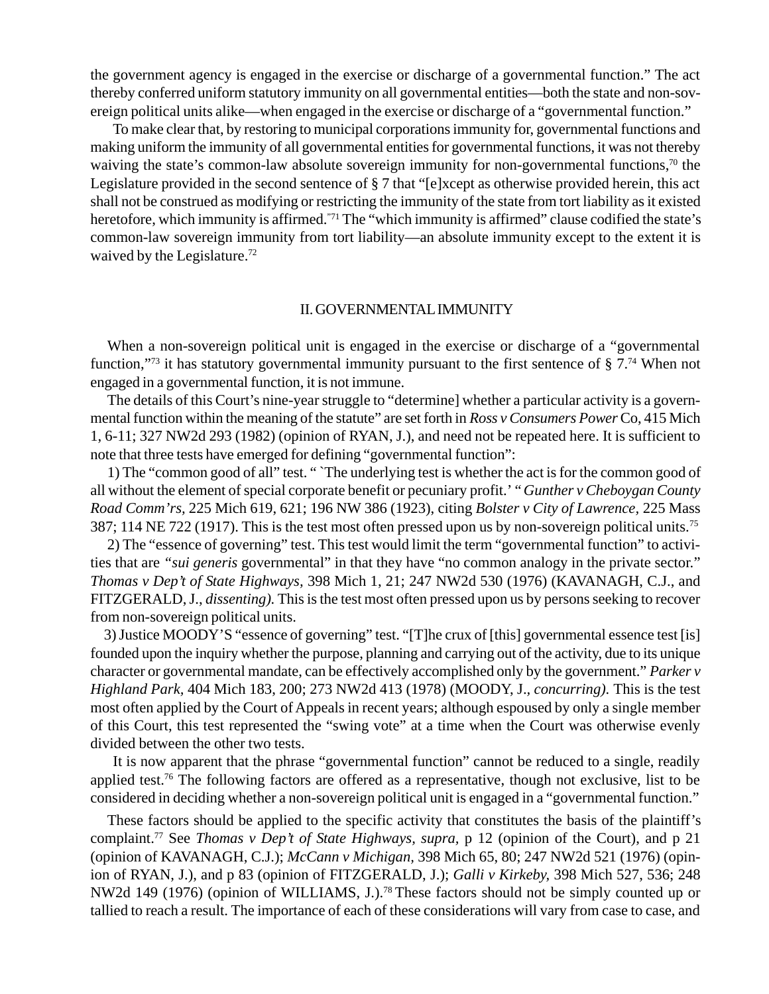the government agency is engaged in the exercise or discharge of a governmental function." The act thereby conferred uniform statutory immunity on all governmental entities—both the state and non-sovereign political units alike—when engaged in the exercise or discharge of a "governmental function."

To make clear that, by restoring to municipal corporations immunity for, governmental functions and making uniform the immunity of all governmental entities for governmental functions, it was not thereby waiving the state's common-law absolute sovereign immunity for non-governmental functions,<sup>70</sup> the Legislature provided in the second sentence of § 7 that "[e]xcept as otherwise provided herein, this act shall not be construed as modifying or restricting the immunity of the state from tort liability as it existed heretofore, which immunity is affirmed."<sup>71</sup> The "which immunity is affirmed" clause codified the state's common-law sovereign immunity from tort liability—an absolute immunity except to the extent it is waived by the Legislature.<sup>72</sup>

## II. GOVERNMENTAL IMMUNITY

When a non-sovereign political unit is engaged in the exercise or discharge of a "governmental function,"<sup>73</sup> it has statutory governmental immunity pursuant to the first sentence of  $\S 7.^{74}$  When not engaged in a governmental function, it is not immune.

The details of this Court's nine-year struggle to "determine] whether a particular activity is a governmental function within the meaning of the statute" are set forth in *Ross v Consumers Power* Co, 415 Mich 1, 6-11; 327 NW2d 293 (1982) (opinion of RYAN, J.), and need not be repeated here. It is sufficient to note that three tests have emerged for defining "governmental function":

1) The "common good of all" test. " `The underlying test is whether the act is for the common good of all without the element of special corporate benefit or pecuniary profit.' " *Gunther v Cheboygan County Road Comm'rs,* 225 Mich 619, 621; 196 NW 386 (1923), citing *Bolster v City of Lawrence,* 225 Mass 387; 114 NE 722 (1917). This is the test most often pressed upon us by non-sovereign political units.75

2) The "essence of governing" test. This test would limit the term "governmental function" to activities that are *"sui generis* governmental" in that they have "no common analogy in the private sector." *Thomas v Dep't of State Highways,* 398 Mich 1, 21; 247 NW2d 530 (1976) (KAVANAGH, C.J., and FITZGERALD, J., *dissenting).* This is the test most often pressed upon us by persons seeking to recover from non-sovereign political units.

3) Justice MOODY'S "essence of governing" test. "[T]he crux of [this] governmental essence test [is] founded upon the inquiry whether the purpose, planning and carrying out of the activity, due to its unique character or governmental mandate, can be effectively accomplished only by the government." *Parker v Highland Park,* 404 Mich 183, 200; 273 NW2d 413 (1978) (MOODY, J.*, concurring).* This is the test most often applied by the Court of Appeals in recent years; although espoused by only a single member of this Court, this test represented the "swing vote" at a time when the Court was otherwise evenly divided between the other two tests.

It is now apparent that the phrase "governmental function" cannot be reduced to a single, readily applied test.<sup>76</sup> The following factors are offered as a representative, though not exclusive, list to be considered in deciding whether a non-sovereign political unit is engaged in a "governmental function."

These factors should be applied to the specific activity that constitutes the basis of the plaintiff's complaint.77 See *Thomas v Dep't of State Highways, supra,* p 12 (opinion of the Court), and p 21 (opinion of KAVANAGH, C.J.); *McCann v Michigan,* 398 Mich 65, 80; 247 NW2d 521 (1976) (opinion of RYAN, J.), and p 83 (opinion of FITZGERALD, J.); *Galli v Kirkeby,* 398 Mich 527, 536; 248 NW2d 149 (1976) (opinion of WILLIAMS, J.).78 These factors should not be simply counted up or tallied to reach a result. The importance of each of these considerations will vary from case to case, and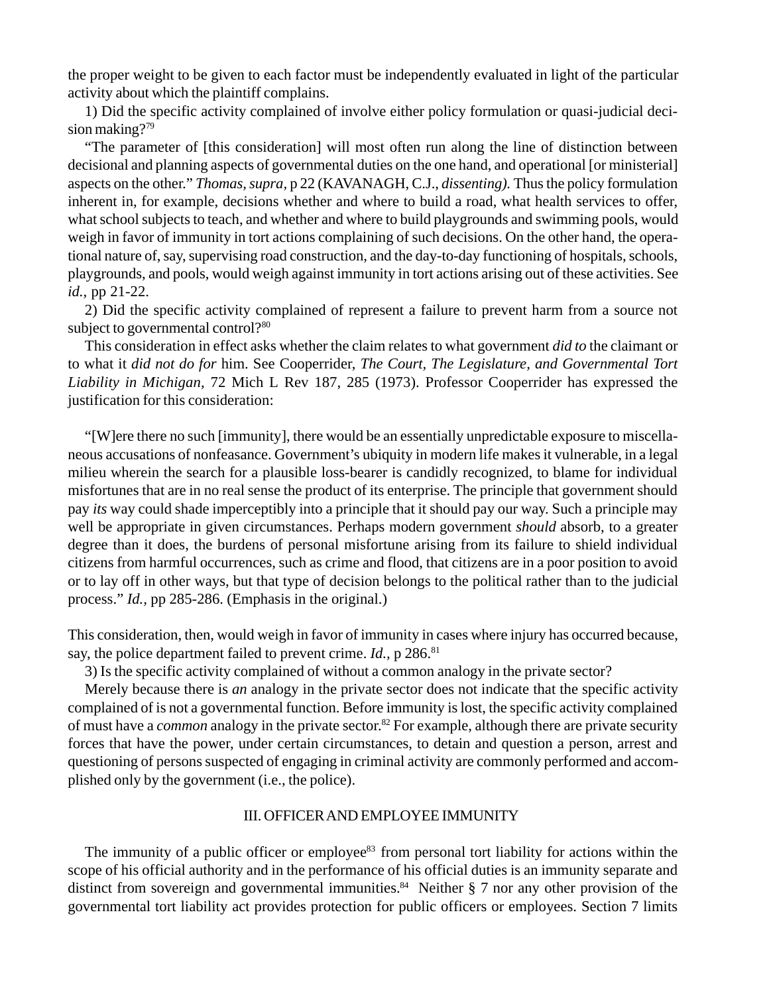the proper weight to be given to each factor must be independently evaluated in light of the particular activity about which the plaintiff complains.

1) Did the specific activity complained of involve either policy formulation or quasi-judicial decision making?<sup>79</sup>

"The parameter of [this consideration] will most often run along the line of distinction between decisional and planning aspects of governmental duties on the one hand, and operational [or ministerial] aspects on the other." *Thomas, supra,* p 22 (KAVANAGH, C.J., *dissenting).* Thus the policy formulation inherent in, for example, decisions whether and where to build a road, what health services to offer, what school subjects to teach, and whether and where to build playgrounds and swimming pools, would weigh in favor of immunity in tort actions complaining of such decisions. On the other hand, the operational nature of, say, supervising road construction, and the day-to-day functioning of hospitals, schools, playgrounds, and pools, would weigh against immunity in tort actions arising out of these activities. See *id.,* pp 21-22.

2) Did the specific activity complained of represent a failure to prevent harm from a source not subject to governmental control?<sup>80</sup>

This consideration in effect asks whether the claim relates to what government *did to* the claimant or to what it *did not do for* him. See Cooperrider, *The Court, The Legislature, and Governmental Tort Liability in Michigan,* 72 Mich L Rev 187, 285 (1973). Professor Cooperrider has expressed the justification for this consideration:

"[W]ere there no such [immunity], there would be an essentially unpredictable exposure to miscellaneous accusations of nonfeasance. Government's ubiquity in modern life makes it vulnerable, in a legal milieu wherein the search for a plausible loss-bearer is candidly recognized, to blame for individual misfortunes that are in no real sense the product of its enterprise. The principle that government should pay *its* way could shade imperceptibly into a principle that it should pay our way. Such a principle may well be appropriate in given circumstances. Perhaps modern government *should* absorb, to a greater degree than it does, the burdens of personal misfortune arising from its failure to shield individual citizens from harmful occurrences, such as crime and flood, that citizens are in a poor position to avoid or to lay off in other ways, but that type of decision belongs to the political rather than to the judicial process." *Id.,* pp 285-286. (Emphasis in the original.)

This consideration, then, would weigh in favor of immunity in cases where injury has occurred because, say, the police department failed to prevent crime. *Id.*, p 286.<sup>81</sup>

3) Is the specific activity complained of without a common analogy in the private sector?

Merely because there is *an* analogy in the private sector does not indicate that the specific activity complained of is not a governmental function. Before immunity is lost, the specific activity complained of must have a *common* analogy in the private sector.<sup>82</sup> For example, although there are private security forces that have the power, under certain circumstances, to detain and question a person, arrest and questioning of persons suspected of engaging in criminal activity are commonly performed and accomplished only by the government (i.e., the police).

## III. OFFICER AND EMPLOYEE IMMUNITY

The immunity of a public officer or employee<sup>83</sup> from personal tort liability for actions within the scope of his official authority and in the performance of his official duties is an immunity separate and distinct from sovereign and governmental immunities.<sup>84</sup> Neither  $\S$  7 nor any other provision of the governmental tort liability act provides protection for public officers or employees. Section 7 limits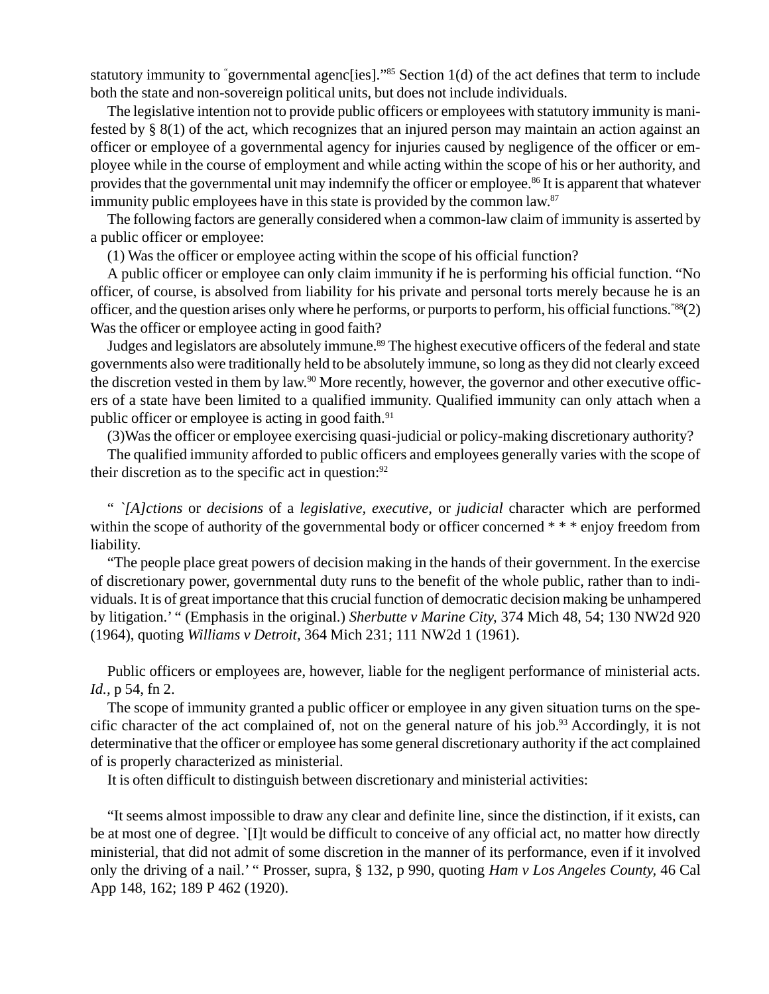statutory immunity to "governmental agenc[ies]."<sup>85</sup> Section 1(d) of the act defines that term to include both the state and non-sovereign political units, but does not include individuals.

The legislative intention not to provide public officers or employees with statutory immunity is manifested by § 8(1) of the act, which recognizes that an injured person may maintain an action against an officer or employee of a governmental agency for injuries caused by negligence of the officer or employee while in the course of employment and while acting within the scope of his or her authority, and provides that the governmental unit may indemnify the officer or employee.86 It is apparent that whatever immunity public employees have in this state is provided by the common law.<sup>87</sup>

The following factors are generally considered when a common-law claim of immunity is asserted by a public officer or employee:

(1) Was the officer or employee acting within the scope of his official function?

A public officer or employee can only claim immunity if he is performing his official function. "No officer, of course, is absolved from liability for his private and personal torts merely because he is an officer, and the question arises only where he performs, or purports to perform, his official functions."88(2) Was the officer or employee acting in good faith?

Judges and legislators are absolutely immune.<sup>89</sup> The highest executive officers of the federal and state governments also were traditionally held to be absolutely immune, so long as they did not clearly exceed the discretion vested in them by law.<sup>90</sup> More recently, however, the governor and other executive officers of a state have been limited to a qualified immunity. Qualified immunity can only attach when a public officer or employee is acting in good faith.<sup>91</sup>

(3)Was the officer or employee exercising quasi-judicial or policy-making discretionary authority?

The qualified immunity afforded to public officers and employees generally varies with the scope of their discretion as to the specific act in question: $92$ 

" *`[A]ctions* or *decisions* of a *legislative, executive,* or *judicial* character which are performed within the scope of authority of the governmental body or officer concerned \* \* \* enjoy freedom from liability.

"The people place great powers of decision making in the hands of their government. In the exercise of discretionary power, governmental duty runs to the benefit of the whole public, rather than to individuals. It is of great importance that this crucial function of democratic decision making be unhampered by litigation.' " (Emphasis in the original.) *Sherbutte v Marine City,* 374 Mich 48, 54; 130 NW2d 920 (1964), quoting *Williams v Detroit,* 364 Mich 231; 111 NW2d 1 (1961).

Public officers or employees are, however, liable for the negligent performance of ministerial acts. *Id.,* p 54, fn 2.

The scope of immunity granted a public officer or employee in any given situation turns on the specific character of the act complained of, not on the general nature of his job.<sup>93</sup> Accordingly, it is not determinative that the officer or employee has some general discretionary authority if the act complained of is properly characterized as ministerial.

It is often difficult to distinguish between discretionary and ministerial activities:

"It seems almost impossible to draw any clear and definite line, since the distinction, if it exists, can be at most one of degree. `[I]t would be difficult to conceive of any official act, no matter how directly ministerial, that did not admit of some discretion in the manner of its performance, even if it involved only the driving of a nail.' " Prosser, supra, § 132, p 990, quoting *Ham v Los Angeles County,* 46 Cal App 148, 162; 189 P 462 (1920).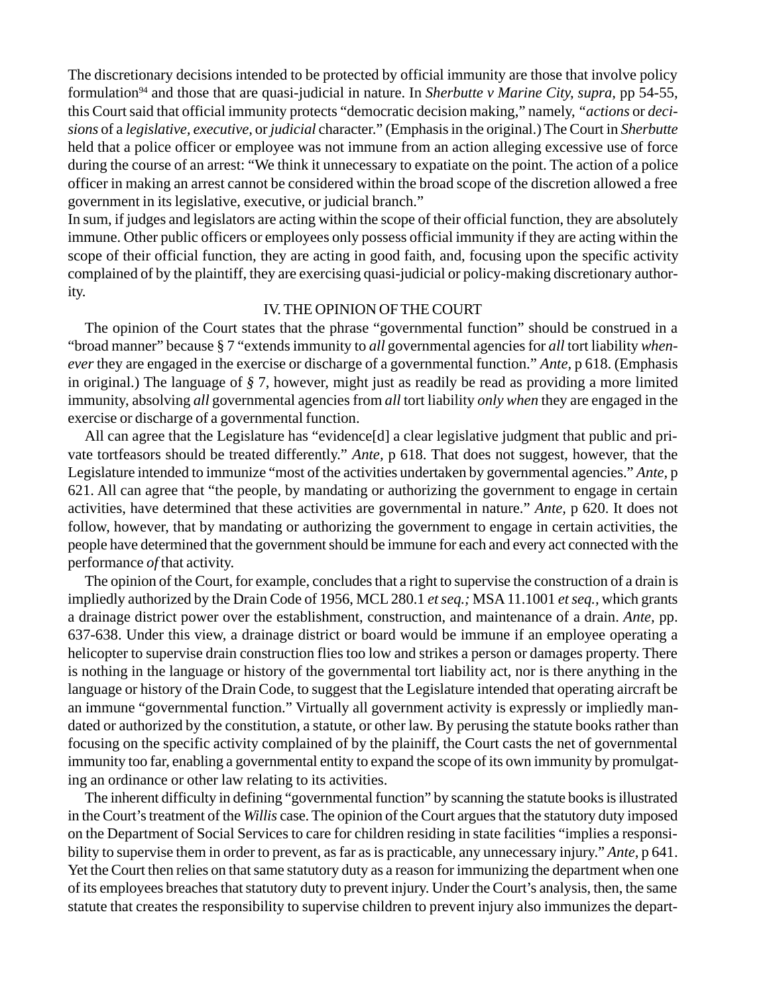The discretionary decisions intended to be protected by official immunity are those that involve policy formulation94 and those that are quasi-judicial in nature. In *Sherbutte v Marine City, supra,* pp 54-55, this Court said that official immunity protects "democratic decision making," namely, *"actions* or *decisions* of a *legislative, executive,* or *judicial* character." (Emphasis in the original.) The Court in *Sherbutte* held that a police officer or employee was not immune from an action alleging excessive use of force during the course of an arrest: "We think it unnecessary to expatiate on the point. The action of a police officer in making an arrest cannot be considered within the broad scope of the discretion allowed a free government in its legislative, executive, or judicial branch."

In sum, if judges and legislators are acting within the scope of their official function, they are absolutely immune. Other public officers or employees only possess official immunity if they are acting within the scope of their official function, they are acting in good faith, and, focusing upon the specific activity complained of by the plaintiff, they are exercising quasi-judicial or policy-making discretionary authority.

## IV. THE OPINION OF THE COURT

The opinion of the Court states that the phrase "governmental function" should be construed in a "broad manner" because § 7 "extends immunity to *all* governmental agencies for *all* tort liability *whenever* they are engaged in the exercise or discharge of a governmental function." *Ante,* p 618. (Emphasis in original.) The language of *§* 7, however, might just as readily be read as providing a more limited immunity, absolving *all* governmental agencies from *all* tort liability *only when* they are engaged in the exercise or discharge of a governmental function.

All can agree that the Legislature has "evidence[d] a clear legislative judgment that public and private tortfeasors should be treated differently." *Ante,* p 618. That does not suggest, however, that the Legislature intended to immunize "most of the activities undertaken by governmental agencies." *Ante,* p 621. All can agree that "the people, by mandating or authorizing the government to engage in certain activities, have determined that these activities are governmental in nature." *Ante,* p 620. It does not follow, however, that by mandating or authorizing the government to engage in certain activities, the people have determined that the government should be immune for each and every act connected with the performance *of* that activity.

The opinion of the Court, for example, concludes that a right to supervise the construction of a drain is impliedly authorized by the Drain Code of 1956, MCL 280.1 *et seq.;* MSA 11.1001 *et seq.,* which grants a drainage district power over the establishment, construction, and maintenance of a drain. *Ante,* pp. 637-638. Under this view, a drainage district or board would be immune if an employee operating a helicopter to supervise drain construction flies too low and strikes a person or damages property. There is nothing in the language or history of the governmental tort liability act, nor is there anything in the language or history of the Drain Code, to suggest that the Legislature intended that operating aircraft be an immune "governmental function." Virtually all government activity is expressly or impliedly mandated or authorized by the constitution, a statute, or other law. By perusing the statute books rather than focusing on the specific activity complained of by the plainiff, the Court casts the net of governmental immunity too far, enabling a governmental entity to expand the scope of its own immunity by promulgating an ordinance or other law relating to its activities.

The inherent difficulty in defining "governmental function" by scanning the statute books is illustrated in the Court's treatment of the *Willis* case. The opinion of the Court argues that the statutory duty imposed on the Department of Social Services to care for children residing in state facilities "implies a responsibility to supervise them in order to prevent, as far as is practicable, any unnecessary injury." *Ante,* p 641. Yet the Court then relies on that same statutory duty as a reason for immunizing the department when one of its employees breaches that statutory duty to prevent injury. Under the Court's analysis, then, the same statute that creates the responsibility to supervise children to prevent injury also immunizes the depart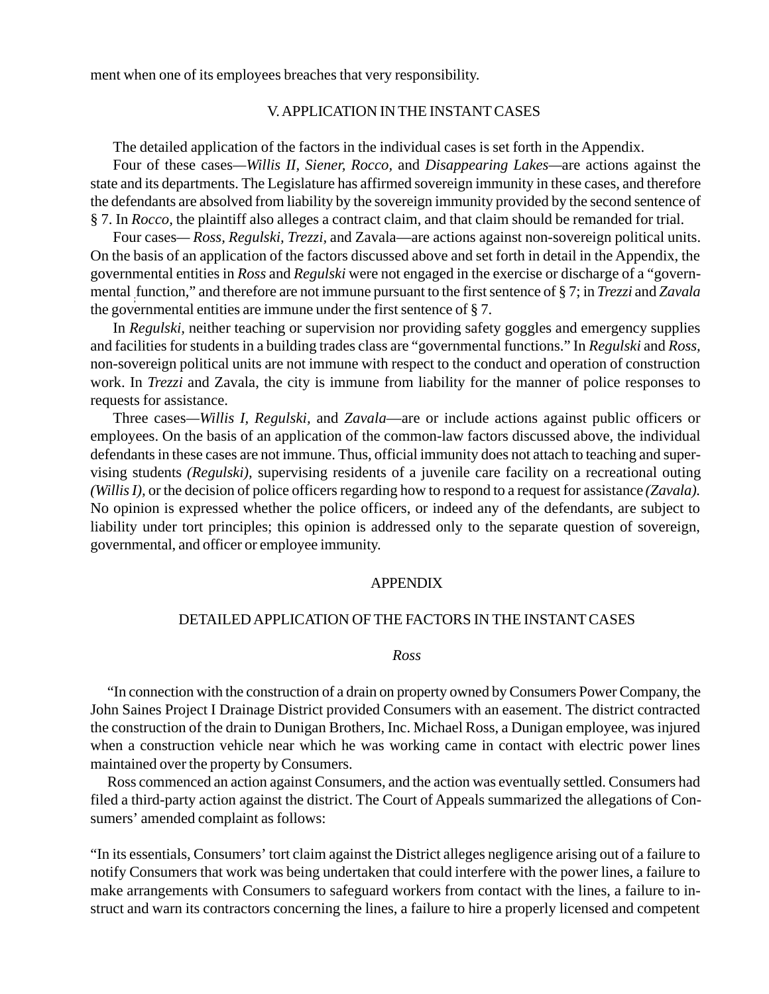ment when one of its employees breaches that very responsibility.

# V. APPLICATION IN THE INSTANT CASES

The detailed application of the factors in the individual cases is set forth in the Appendix.

Four of these cases*—Willis II, Siener, Rocco,* and *Disappearing Lakes—*are actions against the state and its departments. The Legislature has affirmed sovereign immunity in these cases, and therefore the defendants are absolved from liability by the sovereign immunity provided by the second sentence of § 7. In *Rocco,* the plaintiff also alleges a contract claim, and that claim should be remanded for trial.

Four cases*— Ross, Regulski, Trezzi,* and Zavala—are actions against non-sovereign political units. On the basis of an application of the factors discussed above and set forth in detail in the Appendix, the governmental entities in *Ross* and *Regulski* were not engaged in the exercise or discharge of a "governmental ; function," and therefore are not immune pursuant to the first sentence of § 7; in *Trezzi* and *Zavala* the governmental entities are immune under the first sentence of § 7.

In *Regulski,* neither teaching or supervision nor providing safety goggles and emergency supplies and facilities for students in a building trades class are "governmental functions." In *Regulski* and *Ross,* non-sovereign political units are not immune with respect to the conduct and operation of construction work. In *Trezzi* and Zavala, the city is immune from liability for the manner of police responses to requests for assistance.

Three cases*—Willis I, Regulski,* and *Zavala*—are or include actions against public officers or employees. On the basis of an application of the common-law factors discussed above, the individual defendants in these cases are not immune. Thus, official immunity does not attach to teaching and supervising students *(Regulski),* supervising residents of a juvenile care facility on a recreational outing *(Willis I),* or the decision of police officers regarding how to respond to a request for assistance *(Zavala).* No opinion is expressed whether the police officers, or indeed any of the defendants, are subject to liability under tort principles; this opinion is addressed only to the separate question of sovereign, governmental, and officer or employee immunity.

### APPENDIX

## DETAILED APPLICATION OF THE FACTORS IN THE INSTANT CASES

#### *Ross*

"In connection with the construction of a drain on property owned by Consumers Power Company, the John Saines Project I Drainage District provided Consumers with an easement. The district contracted the construction of the drain to Dunigan Brothers, Inc. Michael Ross, a Dunigan employee, was injured when a construction vehicle near which he was working came in contact with electric power lines maintained over the property by Consumers.

Ross commenced an action against Consumers, and the action was eventually settled. Consumers had filed a third-party action against the district. The Court of Appeals summarized the allegations of Consumers' amended complaint as follows:

"In its essentials, Consumers' tort claim against the District alleges negligence arising out of a failure to notify Consumers that work was being undertaken that could interfere with the power lines, a failure to make arrangements with Consumers to safeguard workers from contact with the lines, a failure to instruct and warn its contractors concerning the lines, a failure to hire a properly licensed and competent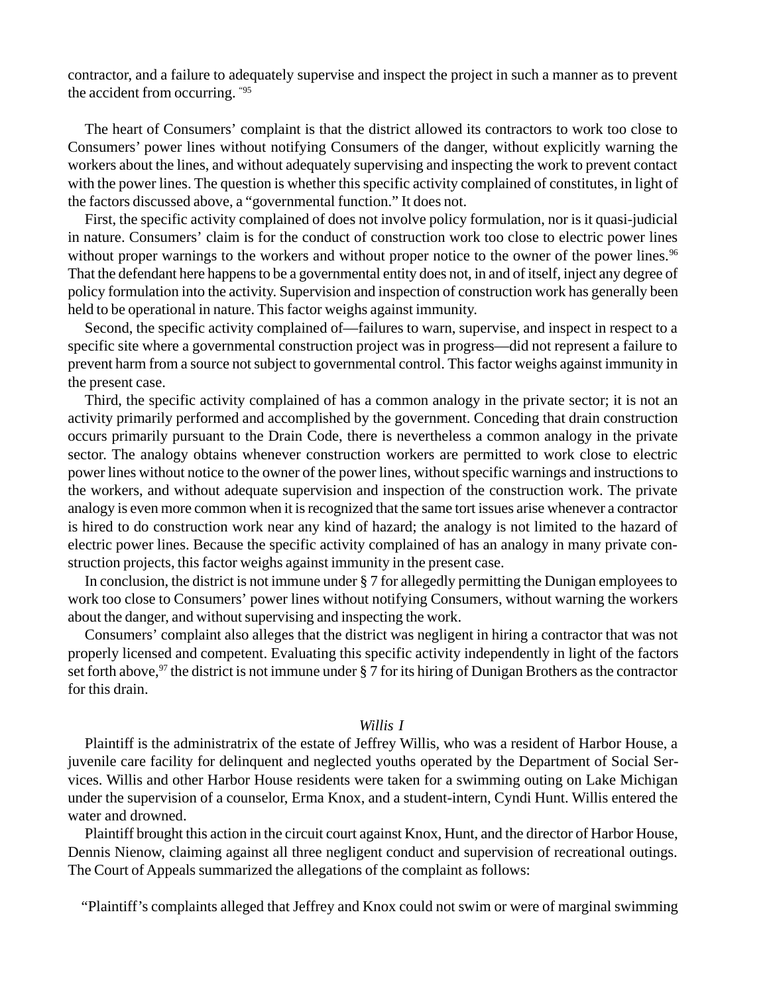contractor, and a failure to adequately supervise and inspect the project in such a manner as to prevent the accident from occurring. "95

The heart of Consumers' complaint is that the district allowed its contractors to work too close to Consumers' power lines without notifying Consumers of the danger, without explicitly warning the workers about the lines, and without adequately supervising and inspecting the work to prevent contact with the power lines. The question is whether this specific activity complained of constitutes, in light of the factors discussed above, a "governmental function." It does not.

First, the specific activity complained of does not involve policy formulation, nor is it quasi-judicial in nature. Consumers' claim is for the conduct of construction work too close to electric power lines without proper warnings to the workers and without proper notice to the owner of the power lines.<sup>96</sup> That the defendant here happens to be a governmental entity does not, in and of itself, inject any degree of policy formulation into the activity. Supervision and inspection of construction work has generally been held to be operational in nature. This factor weighs against immunity.

Second, the specific activity complained of—failures to warn, supervise, and inspect in respect to a specific site where a governmental construction project was in progress—did not represent a failure to prevent harm from a source not subject to governmental control. This factor weighs against immunity in the present case.

Third, the specific activity complained of has a common analogy in the private sector; it is not an activity primarily performed and accomplished by the government. Conceding that drain construction occurs primarily pursuant to the Drain Code, there is nevertheless a common analogy in the private sector. The analogy obtains whenever construction workers are permitted to work close to electric power lines without notice to the owner of the power lines, without specific warnings and instructions to the workers, and without adequate supervision and inspection of the construction work. The private analogy is even more common when it is recognized that the same tort issues arise whenever a contractor is hired to do construction work near any kind of hazard; the analogy is not limited to the hazard of electric power lines. Because the specific activity complained of has an analogy in many private construction projects, this factor weighs against immunity in the present case.

In conclusion, the district is not immune under § 7 for allegedly permitting the Dunigan employees to work too close to Consumers' power lines without notifying Consumers, without warning the workers about the danger, and without supervising and inspecting the work.

Consumers' complaint also alleges that the district was negligent in hiring a contractor that was not properly licensed and competent. Evaluating this specific activity independently in light of the factors set forth above,<sup>97</sup> the district is not immune under § 7 for its hiring of Dunigan Brothers as the contractor for this drain.

### *Willis I*

Plaintiff is the administratrix of the estate of Jeffrey Willis, who was a resident of Harbor House, a juvenile care facility for delinquent and neglected youths operated by the Department of Social Services. Willis and other Harbor House residents were taken for a swimming outing on Lake Michigan under the supervision of a counselor, Erma Knox, and a student-intern, Cyndi Hunt. Willis entered the water and drowned.

Plaintiff brought this action in the circuit court against Knox, Hunt, and the director of Harbor House, Dennis Nienow, claiming against all three negligent conduct and supervision of recreational outings. The Court of Appeals summarized the allegations of the complaint as follows:

"Plaintiff's complaints alleged that Jeffrey and Knox could not swim or were of marginal swimming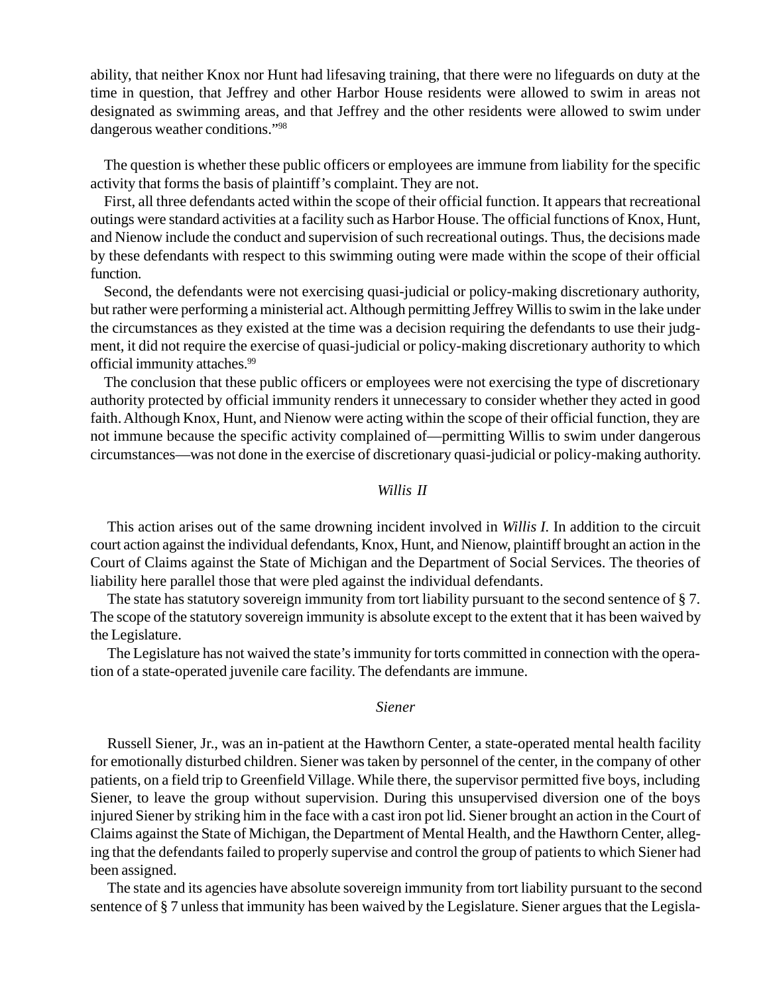ability, that neither Knox nor Hunt had lifesaving training, that there were no lifeguards on duty at the time in question, that Jeffrey and other Harbor House residents were allowed to swim in areas not designated as swimming areas, and that Jeffrey and the other residents were allowed to swim under dangerous weather conditions."98

The question is whether these public officers or employees are immune from liability for the specific activity that forms the basis of plaintiff's complaint. They are not.

First, all three defendants acted within the scope of their official function. It appears that recreational outings were standard activities at a facility such as Harbor House. The official functions of Knox, Hunt, and Nienow include the conduct and supervision of such recreational outings. Thus, the decisions made by these defendants with respect to this swimming outing were made within the scope of their official function.

Second, the defendants were not exercising quasi-judicial or policy-making discretionary authority, but rather were performing a ministerial act. Although permitting Jeffrey Willis to swim in the lake under the circumstances as they existed at the time was a decision requiring the defendants to use their judgment, it did not require the exercise of quasi-judicial or policy-making discretionary authority to which official immunity attaches.<sup>99</sup>

The conclusion that these public officers or employees were not exercising the type of discretionary authority protected by official immunity renders it unnecessary to consider whether they acted in good faith. Although Knox, Hunt, and Nienow were acting within the scope of their official function, they are not immune because the specific activity complained of—permitting Willis to swim under dangerous circumstances—was not done in the exercise of discretionary quasi-judicial or policy-making authority.

## *Willis II*

This action arises out of the same drowning incident involved in *Willis I.* In addition to the circuit court action against the individual defendants, Knox, Hunt, and Nienow, plaintiff brought an action in the Court of Claims against the State of Michigan and the Department of Social Services. The theories of liability here parallel those that were pled against the individual defendants.

The state has statutory sovereign immunity from tort liability pursuant to the second sentence of §7. The scope of the statutory sovereign immunity is absolute except to the extent that it has been waived by the Legislature.

The Legislature has not waived the state's immunity for torts committed in connection with the operation of a state-operated juvenile care facility. The defendants are immune.

## *Siener*

Russell Siener, Jr., was an in-patient at the Hawthorn Center, a state-operated mental health facility for emotionally disturbed children. Siener was taken by personnel of the center, in the company of other patients, on a field trip to Greenfield Village. While there, the supervisor permitted five boys, including Siener, to leave the group without supervision. During this unsupervised diversion one of the boys injured Siener by striking him in the face with a cast iron pot lid. Siener brought an action in the Court of Claims against the State of Michigan, the Department of Mental Health, and the Hawthorn Center, alleging that the defendants failed to properly supervise and control the group of patients to which Siener had been assigned.

The state and its agencies have absolute sovereign immunity from tort liability pursuant to the second sentence of § 7 unless that immunity has been waived by the Legislature. Siener argues that the Legisla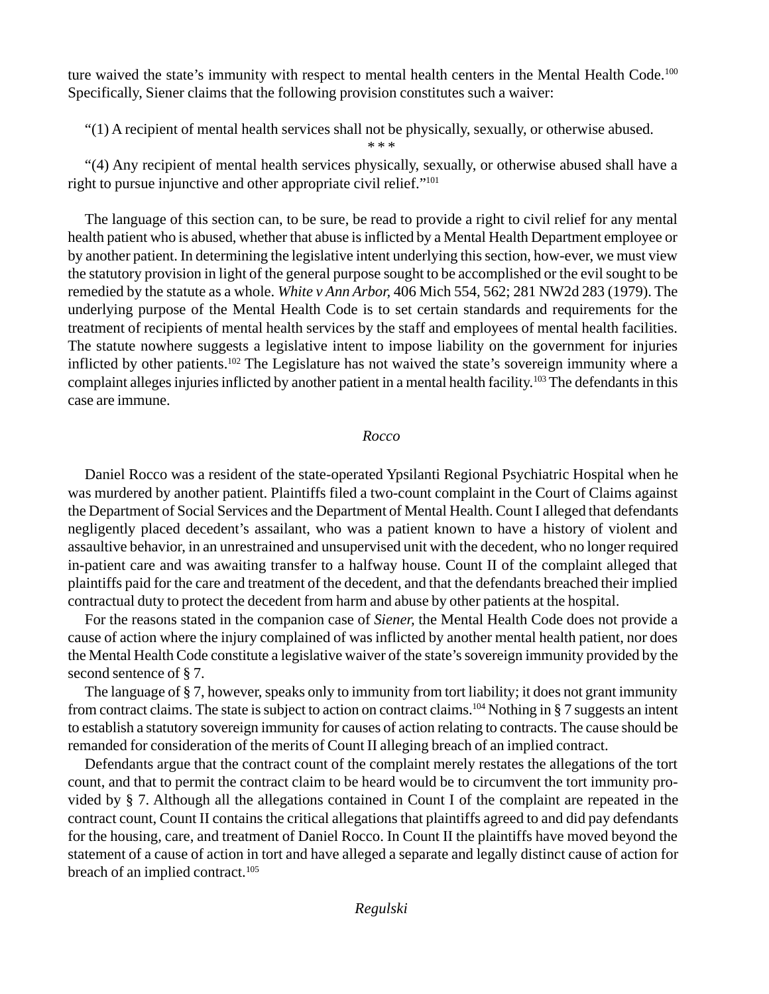ture waived the state's immunity with respect to mental health centers in the Mental Health Code.<sup>100</sup> Specifically, Siener claims that the following provision constitutes such a waiver:

"(1) A recipient of mental health services shall not be physically, sexually, or otherwise abused.

"(4) Any recipient of mental health services physically, sexually, or otherwise abused shall have a right to pursue injunctive and other appropriate civil relief."101

\* \* \*

The language of this section can, to be sure, be read to provide a right to civil relief for any mental health patient who is abused, whether that abuse is inflicted by a Mental Health Department employee or by another patient. In determining the legislative intent underlying this section, how-ever, we must view the statutory provision in light of the general purpose sought to be accomplished or the evil sought to be remedied by the statute as a whole. *White v Ann Arbor,* 406 Mich 554, 562; 281 NW2d 283 (1979). The underlying purpose of the Mental Health Code is to set certain standards and requirements for the treatment of recipients of mental health services by the staff and employees of mental health facilities. The statute nowhere suggests a legislative intent to impose liability on the government for injuries inflicted by other patients.<sup>102</sup> The Legislature has not waived the state's sovereign immunity where a complaint alleges injuries inflicted by another patient in a mental health facility.103 The defendants in this case are immune.

# *Rocco*

Daniel Rocco was a resident of the state-operated Ypsilanti Regional Psychiatric Hospital when he was murdered by another patient. Plaintiffs filed a two-count complaint in the Court of Claims against the Department of Social Services and the Department of Mental Health. Count I alleged that defendants negligently placed decedent's assailant, who was a patient known to have a history of violent and assaultive behavior, in an unrestrained and unsupervised unit with the decedent, who no longer required in-patient care and was awaiting transfer to a halfway house. Count II of the complaint alleged that plaintiffs paid for the care and treatment of the decedent, and that the defendants breached their implied contractual duty to protect the decedent from harm and abuse by other patients at the hospital.

For the reasons stated in the companion case of *Siener,* the Mental Health Code does not provide a cause of action where the injury complained of was inflicted by another mental health patient, nor does the Mental Health Code constitute a legislative waiver of the state's sovereign immunity provided by the second sentence of § 7.

The language of § 7, however, speaks only to immunity from tort liability; it does not grant immunity from contract claims. The state is subject to action on contract claims.104 Nothing in § 7 suggests an intent to establish a statutory sovereign immunity for causes of action relating to contracts. The cause should be remanded for consideration of the merits of Count II alleging breach of an implied contract.

Defendants argue that the contract count of the complaint merely restates the allegations of the tort count, and that to permit the contract claim to be heard would be to circumvent the tort immunity provided by § 7. Although all the allegations contained in Count I of the complaint are repeated in the contract count, Count II contains the critical allegations that plaintiffs agreed to and did pay defendants for the housing, care, and treatment of Daniel Rocco. In Count II the plaintiffs have moved beyond the statement of a cause of action in tort and have alleged a separate and legally distinct cause of action for breach of an implied contract.<sup>105</sup>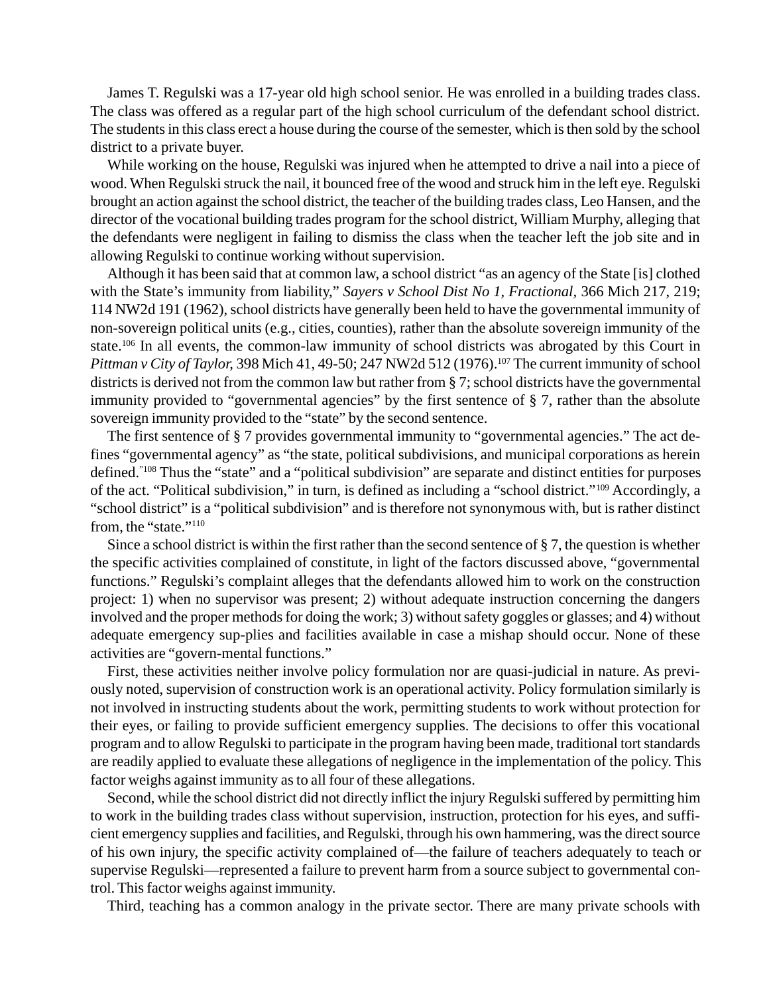James T. Regulski was a 17-year old high school senior. He was enrolled in a building trades class. The class was offered as a regular part of the high school curriculum of the defendant school district. The students in this class erect a house during the course of the semester, which is then sold by the school district to a private buyer.

While working on the house, Regulski was injured when he attempted to drive a nail into a piece of wood. When Regulski struck the nail, it bounced free of the wood and struck him in the left eye. Regulski brought an action against the school district, the teacher of the building trades class, Leo Hansen, and the director of the vocational building trades program for the school district, William Murphy, alleging that the defendants were negligent in failing to dismiss the class when the teacher left the job site and in allowing Regulski to continue working without supervision.

Although it has been said that at common law, a school district "as an agency of the State [is] clothed with the State's immunity from liability," *Sayers v School Dist No 1, Fractional,* 366 Mich 217, 219; 114 NW2d 191 (1962), school districts have generally been held to have the governmental immunity of non-sovereign political units (e.g., cities, counties), rather than the absolute sovereign immunity of the state.106 In all events, the common-law immunity of school districts was abrogated by this Court in *Pittman v City of Taylor, 398 Mich 41, 49-50; 247 NW2d 512 (1976).*<sup>107</sup> The current immunity of school districts is derived not from the common law but rather from § 7; school districts have the governmental immunity provided to "governmental agencies" by the first sentence of § 7, rather than the absolute sovereign immunity provided to the "state" by the second sentence.

The first sentence of § 7 provides governmental immunity to "governmental agencies." The act defines "governmental agency" as "the state, political subdivisions, and municipal corporations as herein defined."108 Thus the "state" and a "political subdivision" are separate and distinct entities for purposes of the act. "Political subdivision," in turn, is defined as including a "school district."109 Accordingly, a "school district" is a "political subdivision" and is therefore not synonymous with, but is rather distinct from, the "state."110

Since a school district is within the first rather than the second sentence of § 7, the question is whether the specific activities complained of constitute, in light of the factors discussed above, "governmental functions." Regulski's complaint alleges that the defendants allowed him to work on the construction project: 1) when no supervisor was present; 2) without adequate instruction concerning the dangers involved and the proper methods for doing the work; 3) without safety goggles or glasses; and 4) without adequate emergency sup-plies and facilities available in case a mishap should occur. None of these activities are "govern-mental functions."

First, these activities neither involve policy formulation nor are quasi-judicial in nature. As previously noted, supervision of construction work is an operational activity. Policy formulation similarly is not involved in instructing students about the work, permitting students to work without protection for their eyes, or failing to provide sufficient emergency supplies. The decisions to offer this vocational program and to allow Regulski to participate in the program having been made, traditional tort standards are readily applied to evaluate these allegations of negligence in the implementation of the policy. This factor weighs against immunity as to all four of these allegations.

Second, while the school district did not directly inflict the injury Regulski suffered by permitting him to work in the building trades class without supervision, instruction, protection for his eyes, and sufficient emergency supplies and facilities, and Regulski, through his own hammering, was the direct source of his own injury, the specific activity complained of—the failure of teachers adequately to teach or supervise Regulski—represented a failure to prevent harm from a source subject to governmental control. This factor weighs against immunity.

Third, teaching has a common analogy in the private sector. There are many private schools with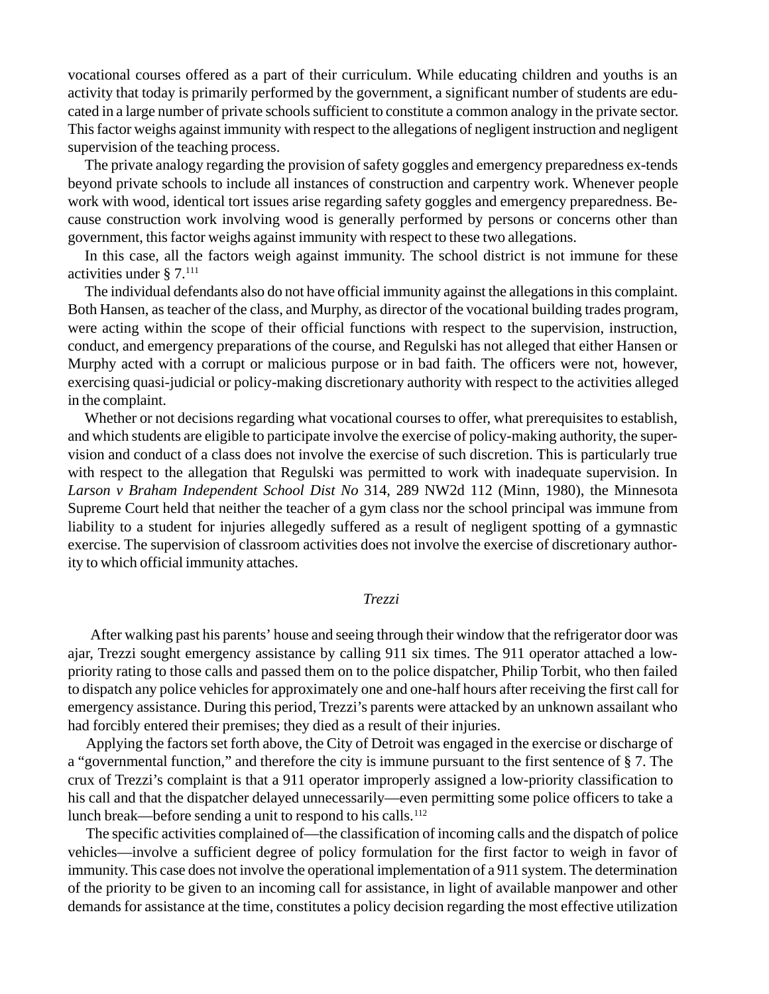vocational courses offered as a part of their curriculum. While educating children and youths is an activity that today is primarily performed by the government, a significant number of students are educated in a large number of private schools sufficient to constitute a common analogy in the private sector. This factor weighs against immunity with respect to the allegations of negligent instruction and negligent supervision of the teaching process.

The private analogy regarding the provision of safety goggles and emergency preparedness ex-tends beyond private schools to include all instances of construction and carpentry work. Whenever people work with wood, identical tort issues arise regarding safety goggles and emergency preparedness. Because construction work involving wood is generally performed by persons or concerns other than government, this factor weighs against immunity with respect to these two allegations.

In this case, all the factors weigh against immunity. The school district is not immune for these activities under § 7.111

The individual defendants also do not have official immunity against the allegations in this complaint. Both Hansen, as teacher of the class, and Murphy, as director of the vocational building trades program, were acting within the scope of their official functions with respect to the supervision, instruction, conduct, and emergency preparations of the course, and Regulski has not alleged that either Hansen or Murphy acted with a corrupt or malicious purpose or in bad faith. The officers were not, however, exercising quasi-judicial or policy-making discretionary authority with respect to the activities alleged in the complaint.

Whether or not decisions regarding what vocational courses to offer, what prerequisites to establish, and which students are eligible to participate involve the exercise of policy-making authority, the supervision and conduct of a class does not involve the exercise of such discretion. This is particularly true with respect to the allegation that Regulski was permitted to work with inadequate supervision. In *Larson v Braham Independent School Dist No* 314, 289 NW2d 112 (Minn, 1980), the Minnesota Supreme Court held that neither the teacher of a gym class nor the school principal was immune from liability to a student for injuries allegedly suffered as a result of negligent spotting of a gymnastic exercise. The supervision of classroom activities does not involve the exercise of discretionary authority to which official immunity attaches.

## *Trezzi*

After walking past his parents' house and seeing through their window that the refrigerator door was ajar, Trezzi sought emergency assistance by calling 911 six times. The 911 operator attached a lowpriority rating to those calls and passed them on to the police dispatcher, Philip Torbit, who then failed to dispatch any police vehicles for approximately one and one-half hours after receiving the first call for emergency assistance. During this period, Trezzi's parents were attacked by an unknown assailant who had forcibly entered their premises; they died as a result of their injuries.

Applying the factors set forth above, the City of Detroit was engaged in the exercise or discharge of a "governmental function," and therefore the city is immune pursuant to the first sentence of § 7. The crux of Trezzi's complaint is that a 911 operator improperly assigned a low-priority classification to his call and that the dispatcher delayed unnecessarily—even permitting some police officers to take a lunch break—before sending a unit to respond to his calls.<sup>112</sup>

The specific activities complained of—the classification of incoming calls and the dispatch of police vehicles—involve a sufficient degree of policy formulation for the first factor to weigh in favor of immunity. This case does not involve the operational implementation of a 911 system. The determination of the priority to be given to an incoming call for assistance, in light of available manpower and other demands for assistance at the time, constitutes a policy decision regarding the most effective utilization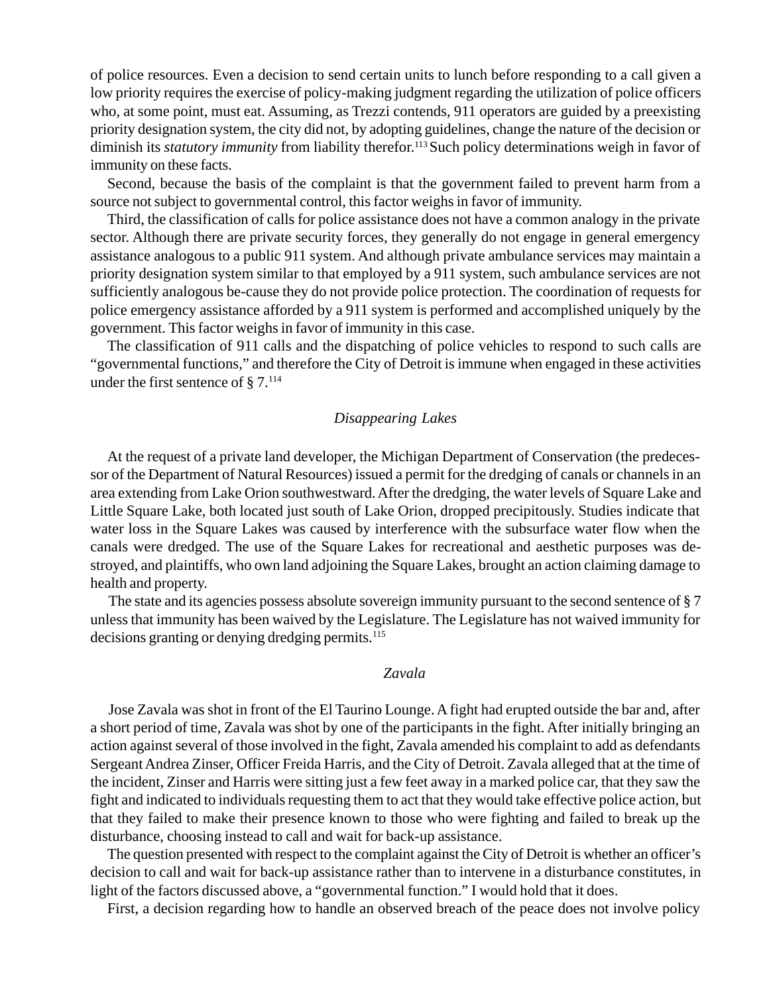of police resources. Even a decision to send certain units to lunch before responding to a call given a low priority requires the exercise of policy-making judgment regarding the utilization of police officers who, at some point, must eat. Assuming, as Trezzi contends, 911 operators are guided by a preexisting priority designation system, the city did not, by adopting guidelines, change the nature of the decision or diminish its *statutory immunity* from liability therefor.<sup>113</sup> Such policy determinations weigh in favor of immunity on these facts.

Second, because the basis of the complaint is that the government failed to prevent harm from a source not subject to governmental control, this factor weighs in favor of immunity.

Third, the classification of calls for police assistance does not have a common analogy in the private sector. Although there are private security forces, they generally do not engage in general emergency assistance analogous to a public 911 system. And although private ambulance services may maintain a priority designation system similar to that employed by a 911 system, such ambulance services are not sufficiently analogous be-cause they do not provide police protection. The coordination of requests for police emergency assistance afforded by a 911 system is performed and accomplished uniquely by the government. This factor weighs in favor of immunity in this case.

The classification of 911 calls and the dispatching of police vehicles to respond to such calls are "governmental functions," and therefore the City of Detroit is immune when engaged in these activities under the first sentence of  $\S 7$ .<sup>114</sup>

## *Disappearing Lakes*

At the request of a private land developer, the Michigan Department of Conservation (the predecessor of the Department of Natural Resources) issued a permit for the dredging of canals or channels in an area extending from Lake Orion southwestward. After the dredging, the water levels of Square Lake and Little Square Lake, both located just south of Lake Orion, dropped precipitously. Studies indicate that water loss in the Square Lakes was caused by interference with the subsurface water flow when the canals were dredged. The use of the Square Lakes for recreational and aesthetic purposes was destroyed, and plaintiffs, who own land adjoining the Square Lakes, brought an action claiming damage to health and property.

The state and its agencies possess absolute sovereign immunity pursuant to the second sentence of § 7 unless that immunity has been waived by the Legislature. The Legislature has not waived immunity for decisions granting or denying dredging permits.<sup>115</sup>

### *Zavala*

Jose Zavala was shot in front of the El Taurino Lounge. A fight had erupted outside the bar and, after a short period of time, Zavala was shot by one of the participants in the fight. After initially bringing an action against several of those involved in the fight, Zavala amended his complaint to add as defendants Sergeant Andrea Zinser, Officer Freida Harris, and the City of Detroit. Zavala alleged that at the time of the incident, Zinser and Harris were sitting just a few feet away in a marked police car, that they saw the fight and indicated to individuals requesting them to act that they would take effective police action, but that they failed to make their presence known to those who were fighting and failed to break up the disturbance, choosing instead to call and wait for back-up assistance.

The question presented with respect to the complaint against the City of Detroit is whether an officer's decision to call and wait for back-up assistance rather than to intervene in a disturbance constitutes, in light of the factors discussed above, a "governmental function." I would hold that it does.

First, a decision regarding how to handle an observed breach of the peace does not involve policy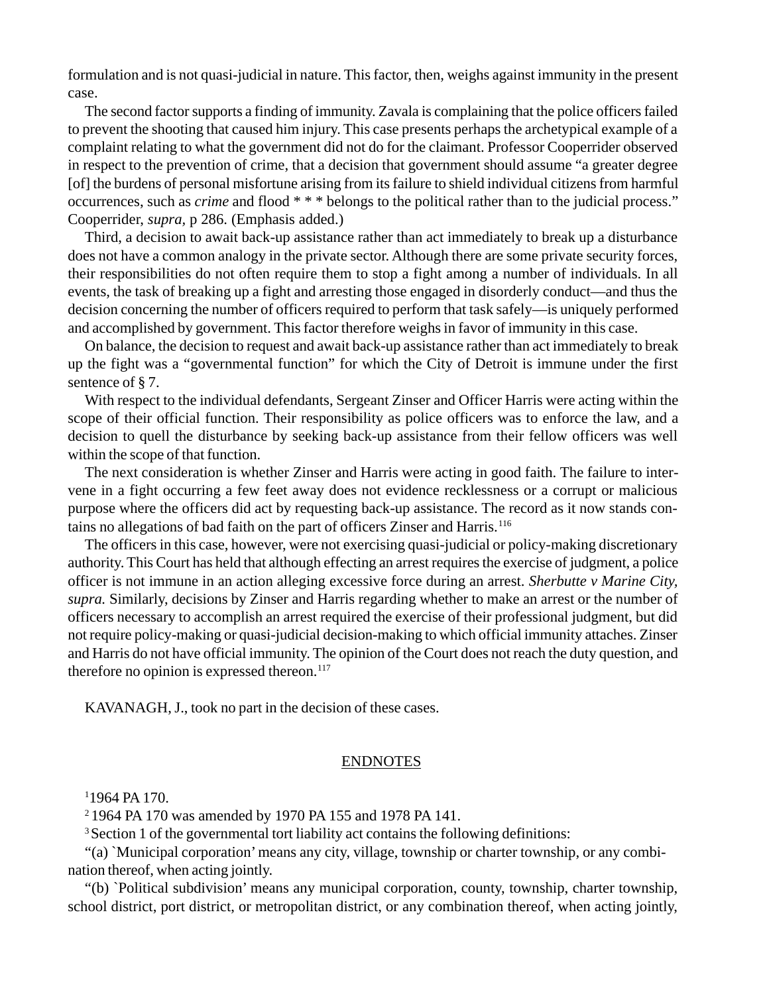formulation and is not quasi-judicial in nature. This factor, then, weighs against immunity in the present case.

The second factor supports a finding of immunity. Zavala is complaining that the police officers failed to prevent the shooting that caused him injury. This case presents perhaps the archetypical example of a complaint relating to what the government did not do for the claimant. Professor Cooperrider observed in respect to the prevention of crime, that a decision that government should assume "a greater degree [of] the burdens of personal misfortune arising from its failure to shield individual citizens from harmful occurrences, such as *crime* and flood \* \* \* belongs to the political rather than to the judicial process." Cooperrider, *supra,* p 286. (Emphasis added.)

Third, a decision to await back-up assistance rather than act immediately to break up a disturbance does not have a common analogy in the private sector. Although there are some private security forces, their responsibilities do not often require them to stop a fight among a number of individuals. In all events, the task of breaking up a fight and arresting those engaged in disorderly conduct—and thus the decision concerning the number of officers required to perform that task safely—is uniquely performed and accomplished by government. This factor therefore weighs in favor of immunity in this case.

On balance, the decision to request and await back-up assistance rather than act immediately to break up the fight was a "governmental function" for which the City of Detroit is immune under the first sentence of §7.

With respect to the individual defendants, Sergeant Zinser and Officer Harris were acting within the scope of their official function. Their responsibility as police officers was to enforce the law, and a decision to quell the disturbance by seeking back-up assistance from their fellow officers was well within the scope of that function.

The next consideration is whether Zinser and Harris were acting in good faith. The failure to intervene in a fight occurring a few feet away does not evidence recklessness or a corrupt or malicious purpose where the officers did act by requesting back-up assistance. The record as it now stands contains no allegations of bad faith on the part of officers Zinser and Harris.116

The officers in this case, however, were not exercising quasi-judicial or policy-making discretionary authority. This Court has held that although effecting an arrest requires the exercise of judgment, a police officer is not immune in an action alleging excessive force during an arrest. *Sherbutte v Marine City, supra.* Similarly, decisions by Zinser and Harris regarding whether to make an arrest or the number of officers necessary to accomplish an arrest required the exercise of their professional judgment, but did not require policy-making or quasi-judicial decision-making to which official immunity attaches. Zinser and Harris do not have official immunity. The opinion of the Court does not reach the duty question, and therefore no opinion is expressed thereon. $117$ 

KAVANAGH, J., took no part in the decision of these cases.

## ENDNOTES

1 1964 PA 170.

2 1964 PA 170 was amended by 1970 PA 155 and 1978 PA 141.

<sup>3</sup> Section 1 of the governmental tort liability act contains the following definitions:

"(a) `Municipal corporation' means any city, village, township or charter township, or any combination thereof, when acting jointly.

"(b) `Political subdivision' means any municipal corporation, county, township, charter township, school district, port district, or metropolitan district, or any combination thereof, when acting jointly,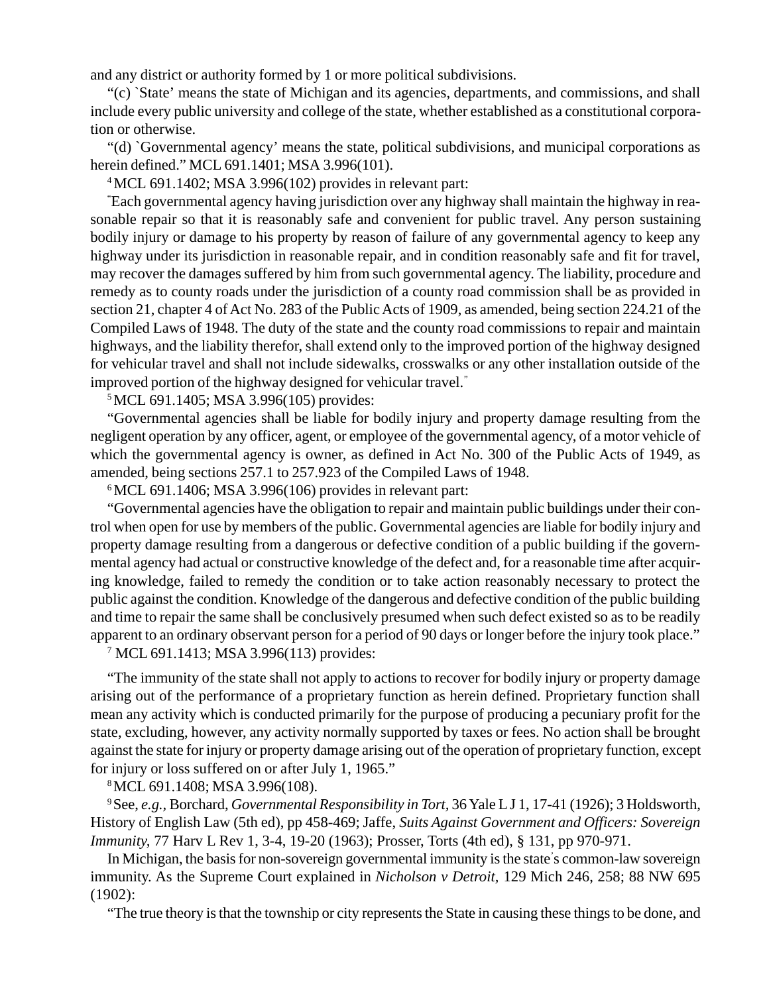and any district or authority formed by 1 or more political subdivisions.

"(c) `State' means the state of Michigan and its agencies, departments, and commissions, and shall include every public university and college of the state, whether established as a constitutional corporation or otherwise.

"(d) `Governmental agency' means the state, political subdivisions, and municipal corporations as herein defined." MCL 691.1401; MSA 3.996(101).

4 MCL 691.1402; MSA 3.996(102) provides in relevant part:

" Each governmental agency having jurisdiction over any highway shall maintain the highway in reasonable repair so that it is reasonably safe and convenient for public travel. Any person sustaining bodily injury or damage to his property by reason of failure of any governmental agency to keep any highway under its jurisdiction in reasonable repair, and in condition reasonably safe and fit for travel, may recover the damages suffered by him from such governmental agency. The liability, procedure and remedy as to county roads under the jurisdiction of a county road commission shall be as provided in section 21, chapter 4 of Act No. 283 of the Public Acts of 1909, as amended, being section 224.21 of the Compiled Laws of 1948. The duty of the state and the county road commissions to repair and maintain highways, and the liability therefor, shall extend only to the improved portion of the highway designed for vehicular travel and shall not include sidewalks, crosswalks or any other installation outside of the improved portion of the highway designed for vehicular travel."

5 MCL 691.1405; MSA 3.996(105) provides:

"Governmental agencies shall be liable for bodily injury and property damage resulting from the negligent operation by any officer, agent, or employee of the governmental agency, of a motor vehicle of which the governmental agency is owner, as defined in Act No. 300 of the Public Acts of 1949, as amended, being sections 257.1 to 257.923 of the Compiled Laws of 1948.

 $6$  MCL 691.1406; MSA 3.996(106) provides in relevant part:

"Governmental agencies have the obligation to repair and maintain public buildings under their control when open for use by members of the public. Governmental agencies are liable for bodily injury and property damage resulting from a dangerous or defective condition of a public building if the governmental agency had actual or constructive knowledge of the defect and, for a reasonable time after acquiring knowledge, failed to remedy the condition or to take action reasonably necessary to protect the public against the condition. Knowledge of the dangerous and defective condition of the public building and time to repair the same shall be conclusively presumed when such defect existed so as to be readily apparent to an ordinary observant person for a period of 90 days or longer before the injury took place."

7 MCL 691.1413; MSA 3.996(113) provides:

"The immunity of the state shall not apply to actions to recover for bodily injury or property damage arising out of the performance of a proprietary function as herein defined. Proprietary function shall mean any activity which is conducted primarily for the purpose of producing a pecuniary profit for the state, excluding, however, any activity normally supported by taxes or fees. No action shall be brought against the state for injury or property damage arising out of the operation of proprietary function, except for injury or loss suffered on or after July 1, 1965."

8 MCL 691.1408; MSA 3.996(108).

9 See, *e.g.,* Borchard, *Governmental Responsibility in Tort,* 36 Yale L J 1, 17-41 (1926); 3 Holdsworth, History of English Law (5th ed), pp 458-469; Jaffe, *Suits Against Government and Officers: Sovereign Immunity,* 77 Harv L Rev 1, 3-4, 19-20 (1963); Prosser, Torts (4th ed), § 131, pp 970-971.

In Michigan, the basis for non-sovereign governmental immunity is the state' s common-law sovereign immunity. As the Supreme Court explained in *Nicholson v Detroit,* 129 Mich 246, 258; 88 NW 695 (1902):

"The true theory is that the township or city represents the State in causing these things to be done, and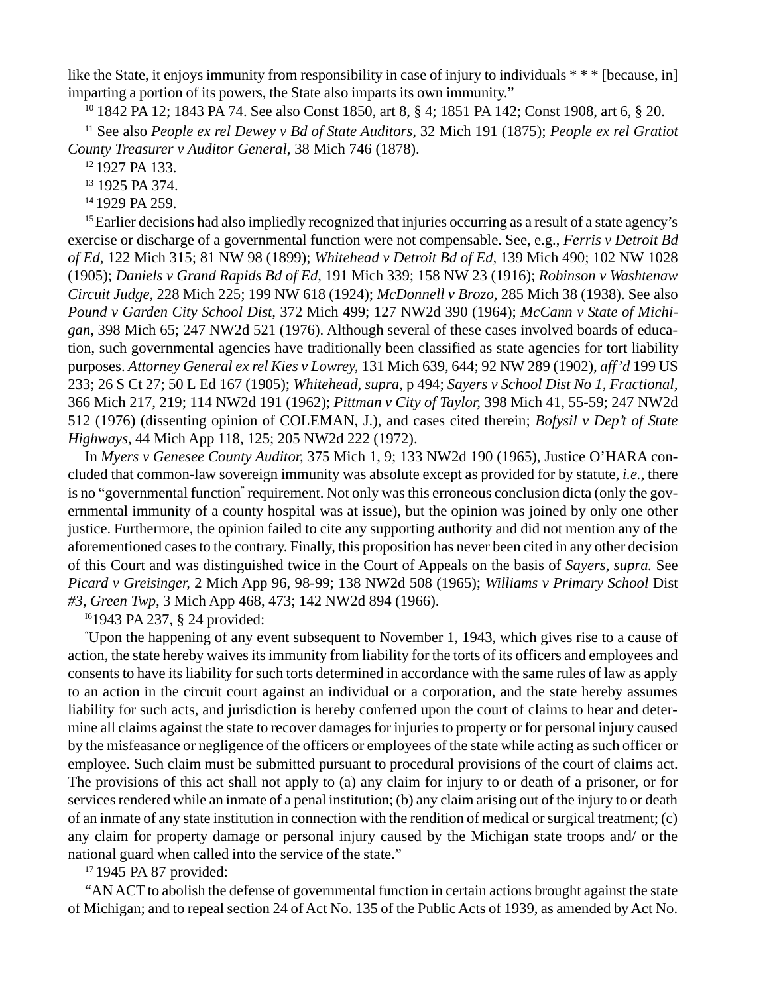like the State, it enjoys immunity from responsibility in case of injury to individuals \* \* \* [because, in] imparting a portion of its powers, the State also imparts its own immunity."

10 1842 PA 12; 1843 PA 74. See also Const 1850, art 8, § 4; 1851 PA 142; Const 1908, art 6, § 20.

11 See also *People ex rel Dewey v Bd of State Auditors,* 32 Mich 191 (1875); *People ex rel Gratiot County Treasurer v Auditor General,* 38 Mich 746 (1878).

12 1927 PA 133.

13 1925 PA 374.

14 1929 PA 259.

<sup>15</sup> Earlier decisions had also impliedly recognized that injuries occurring as a result of a state agency's exercise or discharge of a governmental function were not compensable. See, e.g., *Ferris v Detroit Bd of Ed,* 122 Mich 315; 81 NW 98 (1899); *Whitehead v Detroit Bd of Ed,* 139 Mich 490; 102 NW 1028 (1905); *Daniels v Grand Rapids Bd of Ed,* 191 Mich 339; 158 NW 23 (1916); *Robinson v Washtenaw Circuit Judge,* 228 Mich 225; 199 NW 618 (1924); *McDonnell v Brozo,* 285 Mich 38 (1938). See also *Pound v Garden City School Dist,* 372 Mich 499; 127 NW2d 390 (1964); *McCann v State of Michigan,* 398 Mich 65; 247 NW2d 521 (1976). Although several of these cases involved boards of education, such governmental agencies have traditionally been classified as state agencies for tort liability purposes. *Attorney General ex rel Kies v Lowrey,* 131 Mich 639, 644; 92 NW 289 (1902), *aff'd* 199 US 233; 26 S Ct 27; 50 L Ed 167 (1905); *Whitehead, supra*, p 494; *Sayers v School Dist No 1, Fractional,* 366 Mich 217, 219; 114 NW2d 191 (1962); *Pittman v City of Taylor,* 398 Mich 41, 55-59; 247 NW2d 512 (1976) (dissenting opinion of COLEMAN, J.), and cases cited therein; *Bofysil v Dep't of State Highways,* 44 Mich App 118, 125; 205 NW2d 222 (1972).

In *Myers v Genesee County Auditor,* 375 Mich 1, 9; 133 NW2d 190 (1965), Justice O'HARA concluded that common-law sovereign immunity was absolute except as provided for by statute, *i.e.,* there is no "governmental function" requirement. Not only was this erroneous conclusion dicta (only the governmental immunity of a county hospital was at issue), but the opinion was joined by only one other justice. Furthermore, the opinion failed to cite any supporting authority and did not mention any of the aforementioned cases to the contrary. Finally, this proposition has never been cited in any other decision of this Court and was distinguished twice in the Court of Appeals on the basis of *Sayers, supra.* See *Picard v Greisinger,* 2 Mich App 96, 98-99; 138 NW2d 508 (1965); *Williams v Primary School* Dist *#3, Green Twp,* 3 Mich App 468, 473; 142 NW2d 894 (1966).

I61943 PA 237, § 24 provided:

" Upon the happening of any event subsequent to November 1, 1943, which gives rise to a cause of action, the state hereby waives its immunity from liability for the torts of its officers and employees and consents to have its liability for such torts determined in accordance with the same rules of law as apply to an action in the circuit court against an individual or a corporation, and the state hereby assumes liability for such acts, and jurisdiction is hereby conferred upon the court of claims to hear and determine all claims against the state to recover damages for injuries to property or for personal injury caused by the misfeasance or negligence of the officers or employees of the state while acting as such officer or employee. Such claim must be submitted pursuant to procedural provisions of the court of claims act. The provisions of this act shall not apply to (a) any claim for injury to or death of a prisoner, or for services rendered while an inmate of a penal institution; (b) any claim arising out of the injury to or death of an inmate of any state institution in connection with the rendition of medical or surgical treatment; (c) any claim for property damage or personal injury caused by the Michigan state troops and/ or the national guard when called into the service of the state."

<sup>17</sup> 1945 PA 87 provided:

"AN ACT to abolish the defense of governmental function in certain actions brought against the state of Michigan; and to repeal section 24 of Act No. 135 of the Public Acts of 1939, as amended by Act No.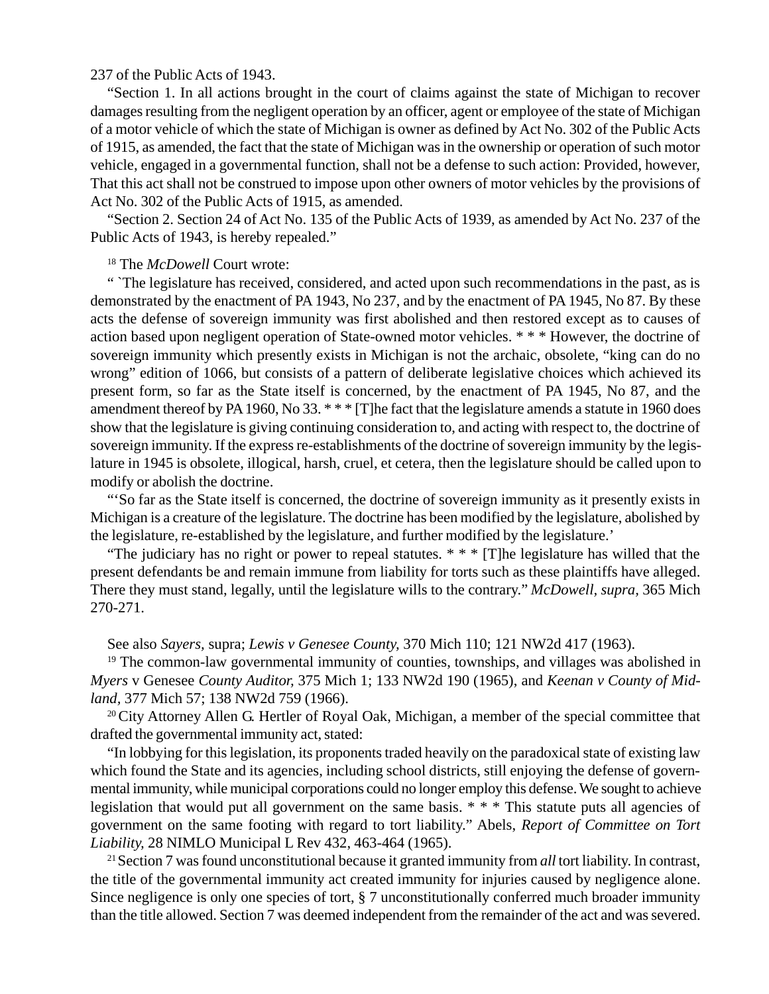## 237 of the Public Acts of 1943.

"Section 1. In all actions brought in the court of claims against the state of Michigan to recover damages resulting from the negligent operation by an officer, agent or employee of the state of Michigan of a motor vehicle of which the state of Michigan is owner as defined by Act No. 302 of the Public Acts of 1915, as amended, the fact that the state of Michigan was in the ownership or operation of such motor vehicle, engaged in a governmental function, shall not be a defense to such action: Provided, however, That this act shall not be construed to impose upon other owners of motor vehicles by the provisions of Act No. 302 of the Public Acts of 1915, as amended.

"Section 2. Section 24 of Act No. 135 of the Public Acts of 1939, as amended by Act No. 237 of the Public Acts of 1943, is hereby repealed."

# 18 The *McDowell* Court wrote:

" The legislature has received, considered, and acted upon such recommendations in the past, as is demonstrated by the enactment of PA 1943, No 237, and by the enactment of PA 1945, No 87. By these acts the defense of sovereign immunity was first abolished and then restored except as to causes of action based upon negligent operation of State-owned motor vehicles. \* \* \* However, the doctrine of sovereign immunity which presently exists in Michigan is not the archaic, obsolete, "king can do no wrong" edition of 1066, but consists of a pattern of deliberate legislative choices which achieved its present form, so far as the State itself is concerned, by the enactment of PA 1945, No 87, and the amendment thereof by PA 1960, No 33. \* \* \* [T]he fact that the legislature amends a statute in 1960 does show that the legislature is giving continuing consideration to, and acting with respect to, the doctrine of sovereign immunity. If the express re-establishments of the doctrine of sovereign immunity by the legislature in 1945 is obsolete, illogical, harsh, cruel, et cetera, then the legislature should be called upon to modify or abolish the doctrine.

"'So far as the State itself is concerned, the doctrine of sovereign immunity as it presently exists in Michigan is a creature of the legislature. The doctrine has been modified by the legislature, abolished by the legislature, re-established by the legislature, and further modified by the legislature.'

"The judiciary has no right or power to repeal statutes.  $* * * [T]$ he legislature has willed that the present defendants be and remain immune from liability for torts such as these plaintiffs have alleged. There they must stand, legally, until the legislature wills to the contrary." *McDowell, supra,* 365 Mich 270-271.

See also *Sayers,* supra; *Lewis v Genesee County,* 370 Mich 110; 121 NW2d 417 (1963).

<sup>19</sup> The common-law governmental immunity of counties, townships, and villages was abolished in *Myers* v Genesee *County Auditor,* 375 Mich 1; 133 NW2d 190 (1965), and *Keenan v County of Midland,* 377 Mich 57; 138 NW2d 759 (1966).

<sup>20</sup>City Attorney Allen G. Hertler of Royal Oak, Michigan, a member of the special committee that drafted the governmental immunity act, stated:

"In lobbying for this legislation, its proponents traded heavily on the paradoxical state of existing law which found the State and its agencies, including school districts, still enjoying the defense of governmental immunity, while municipal corporations could no longer employ this defense. We sought to achieve legislation that would put all government on the same basis. \* \* \* This statute puts all agencies of government on the same footing with regard to tort liability." Abels, *Report of Committee on Tort Liability,* 28 NIMLO Municipal L Rev 432, 463-464 (1965).

21 Section 7 was found unconstitutional because it granted immunity from *all* tort liability. In contrast, the title of the governmental immunity act created immunity for injuries caused by negligence alone. Since negligence is only one species of tort, § 7 unconstitutionally conferred much broader immunity than the title allowed. Section 7 was deemed independent from the remainder of the act and was severed.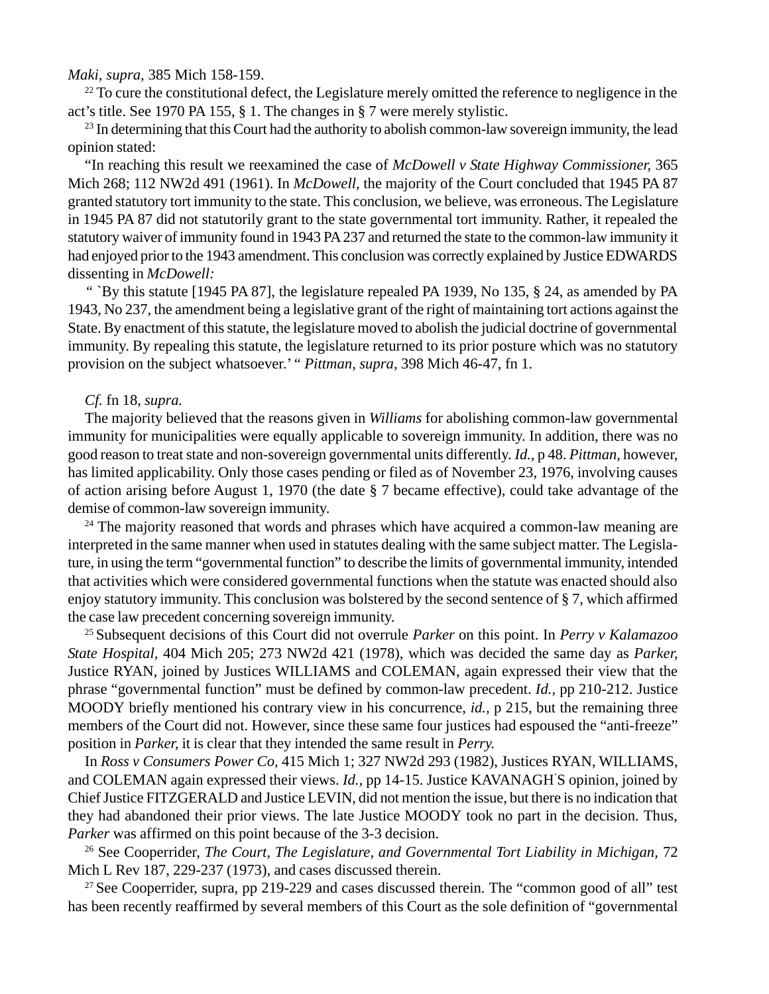## *Maki, supra,* 385 Mich 158-159.

 $^{22}$  To cure the constitutional defect, the Legislature merely omitted the reference to negligence in the act's title. See 1970 PA 155, § 1. The changes in § 7 were merely stylistic.

 $^{23}$  In determining that this Court had the authority to abolish common-law sovereign immunity, the lead opinion stated:

"In reaching this result we reexamined the case of *McDowell v State Highway Commissioner,* 365 Mich 268; 112 NW2d 491 (1961). In *McDowell,* the majority of the Court concluded that 1945 PA 87 granted statutory tort immunity to the state. This conclusion, we believe, was erroneous. The Legislature in 1945 PA 87 did not statutorily grant to the state governmental tort immunity. Rather, it repealed the statutory waiver of immunity found in 1943 PA 237 and returned the state to the common-law immunity it had enjoyed prior to the 1943 amendment. This conclusion was correctly explained by Justice EDWARDS dissenting in *McDowell:*

*"* `By this statute [1945 PA 87], the legislature repealed PA 1939, No 135, § 24, as amended by PA 1943, No 237, the amendment being a legislative grant of the right of maintaining tort actions against the State. By enactment of this statute, the legislature moved to abolish the judicial doctrine of governmental immunity. By repealing this statute, the legislature returned to its prior posture which was no statutory provision on the subject whatsoever.' " *Pittman, supra,* 398 Mich 46-47, fn 1.

## *Cf.* fn 18, *supra.*

The majority believed that the reasons given in *Williams* for abolishing common-law governmental immunity for municipalities were equally applicable to sovereign immunity. In addition, there was no good reason to treat state and non-sovereign governmental units differently. *Id.,* p 48. *Pittman,* however, has limited applicability. Only those cases pending or filed as of November 23, 1976, involving causes of action arising before August 1, 1970 (the date § 7 became effective), could take advantage of the demise of common-law sovereign immunity.

 $24$  The majority reasoned that words and phrases which have acquired a common-law meaning are interpreted in the same manner when used in statutes dealing with the same subject matter. The Legislature, in using the term "governmental function" to describe the limits of governmental immunity, intended that activities which were considered governmental functions when the statute was enacted should also enjoy statutory immunity. This conclusion was bolstered by the second sentence of § 7, which affirmed the case law precedent concerning sovereign immunity.

25 Subsequent decisions of this Court did not overrule *Parker* on this point. In *Perry v Kalamazoo State Hospital,* 404 Mich 205; 273 NW2d 421 (1978), which was decided the same day as *Parker,* Justice RYAN, joined by Justices WILLIAMS and COLEMAN, again expressed their view that the phrase "governmental function" must be defined by common-law precedent. *Id.,* pp 210-212. Justice MOODY briefly mentioned his contrary view in his concurrence, *id.,* p 215, but the remaining three members of the Court did not. However, since these same four justices had espoused the "anti-freeze" position in *Parker,* it is clear that they intended the same result in *Perry.*

In *Ross v Consumers Power Co,* 415 Mich 1; 327 NW2d 293 (1982), Justices RYAN, WILLIAMS, and COLEMAN again expressed their views. *Id.,* pp 14-15. Justice KAVANAGH' S opinion, joined by Chief Justice FITZGERALD and Justice LEVIN, did not mention the issue, but there is no indication that they had abandoned their prior views. The late Justice MOODY took no part in the decision. Thus, *Parker* was affirmed on this point because of the 3-3 decision.

26 See Cooperrider, *The Court, The Legislature, and Governmental Tort Liability in Michigan,* 72 Mich L Rev 187, 229-237 (1973), and cases discussed therein.

 $27$  See Cooperrider, supra, pp 219-229 and cases discussed therein. The "common good of all" test has been recently reaffirmed by several members of this Court as the sole definition of "governmental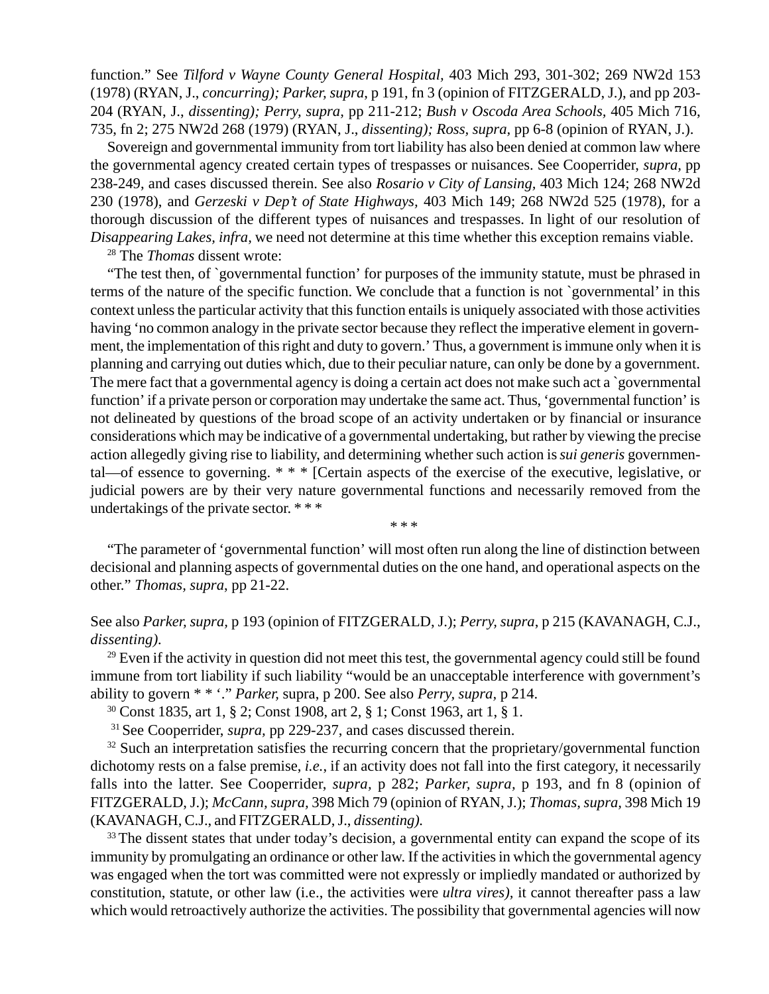function." See *Tilford v Wayne County General Hospital,* 403 Mich 293, 301-302; 269 NW2d 153 (1978) (RYAN, J., *concurring); Parker, supra*, p 191, fn 3 (opinion of FITZGERALD, J.), and pp 203- 204 (RYAN, J., *dissenting); Perry, supra,* pp 211-212; *Bush v Oscoda Area Schools,* 405 Mich 716, 735, fn 2; 275 NW2d 268 (1979) (RYAN, J., *dissenting); Ross, supra,* pp 6-8 (opinion of RYAN, J.).

Sovereign and governmental immunity from tort liability has also been denied at common law where the governmental agency created certain types of trespasses or nuisances. See Cooperrider, *supra,* pp 238-249, and cases discussed therein. See also *Rosario v City of Lansing,* 403 Mich 124; 268 NW2d 230 (1978), and *Gerzeski v Dep't of State Highways,* 403 Mich 149; 268 NW2d 525 (1978), for a thorough discussion of the different types of nuisances and trespasses. In light of our resolution of *Disappearing Lakes, infra,* we need not determine at this time whether this exception remains viable.

28 The *Thomas* dissent wrote:

"The test then, of `governmental function' for purposes of the immunity statute, must be phrased in terms of the nature of the specific function. We conclude that a function is not `governmental' in this context unless the particular activity that this function entails is uniquely associated with those activities having 'no common analogy in the private sector because they reflect the imperative element in government, the implementation of this right and duty to govern.' Thus, a government is immune only when it is planning and carrying out duties which, due to their peculiar nature, can only be done by a government. The mere fact that a governmental agency is doing a certain act does not make such act a `governmental function' if a private person or corporation may undertake the same act. Thus, 'governmental function' is not delineated by questions of the broad scope of an activity undertaken or by financial or insurance considerations which may be indicative of a governmental undertaking, but rather by viewing the precise action allegedly giving rise to liability, and determining whether such action is *sui generis* governmental—of essence to governing. \* \* \* [Certain aspects of the exercise of the executive, legislative, or judicial powers are by their very nature governmental functions and necessarily removed from the undertakings of the private sector. \* \* \*

\* \* \*

"The parameter of 'governmental function' will most often run along the line of distinction between decisional and planning aspects of governmental duties on the one hand, and operational aspects on the other." *Thomas, supra*, pp 21-22.

# See also *Parker, supra,* p 193 (opinion of FITZGERALD, J.); *Perry, supra*, p 215 (KAVANAGH, C.J., *dissenting).*

 $29$  Even if the activity in question did not meet this test, the governmental agency could still be found immune from tort liability if such liability "would be an unacceptable interference with government's ability to govern \* \* '." *Parker,* supra, p 200. See also *Perry, supra,* p 214.

30 Const 1835, art 1, § 2; Const 1908, art 2, § 1; Const 1963, art 1, § 1.

<sup>31</sup> See Cooperrider, *supra*, pp 229-237, and cases discussed therein.

 $32$  Such an interpretation satisfies the recurring concern that the proprietary/governmental function dichotomy rests on a false premise, *i.e.*, if an activity does not fall into the first category, it necessarily falls into the latter. See Cooperrider, *supra,* p 282; *Parker, supra,* p 193, and fn 8 (opinion of FITZGERALD, J.); *McCann, supra,* 398 Mich 79 (opinion of RYAN, J.); *Thomas, supra,* 398 Mich 19 (KAVANAGH, C.J., and FITZGERALD, J., *dissenting).*

<sup>33</sup> The dissent states that under today's decision, a governmental entity can expand the scope of its immunity by promulgating an ordinance or other law. If the activities in which the governmental agency was engaged when the tort was committed were not expressly or impliedly mandated or authorized by constitution, statute, or other law (i.e., the activities were *ultra vires),* it cannot thereafter pass a law which would retroactively authorize the activities. The possibility that governmental agencies will now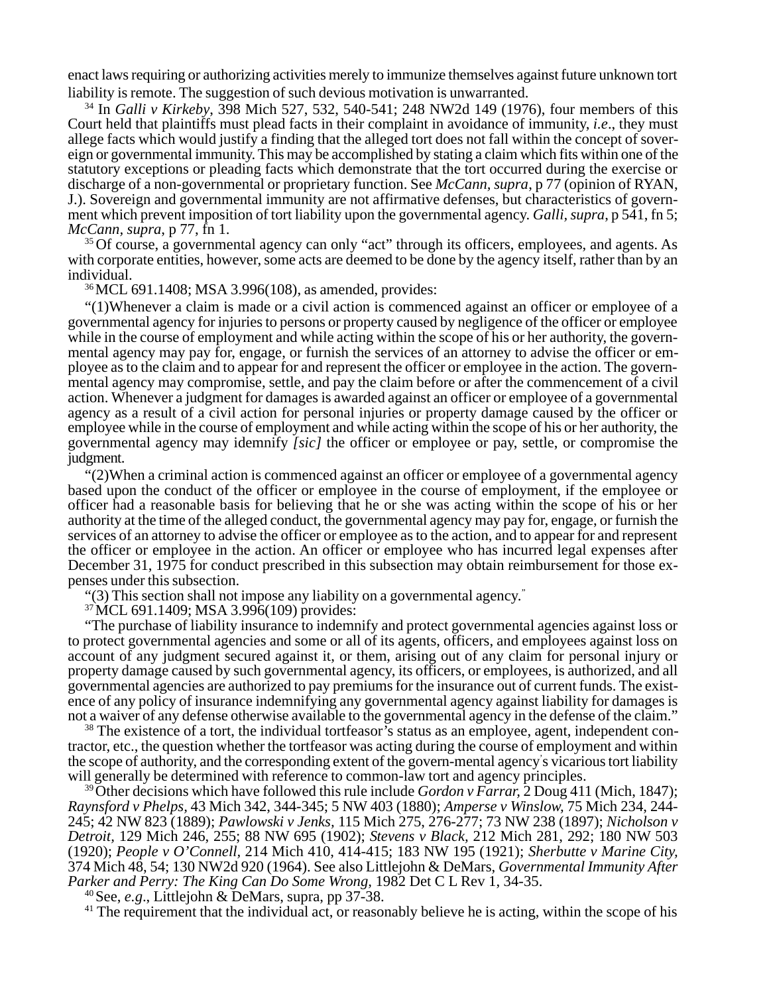enact laws requiring or authorizing activities merely to immunize themselves against future unknown tort liability is remote. The suggestion of such devious motivation is unwarranted.

34 In *Galli v Kirkeby*, 398 Mich 527, 532, 540-541; 248 NW2d 149 (1976), four members of this Court held that plaintiffs must plead facts in their complaint in avoidance of immunity, *i.e*., they must allege facts which would justify a finding that the alleged tort does not fall within the concept of sovereign or governmental immunity. This may be accomplished by stating a claim which fits within one of the statutory exceptions or pleading facts which demonstrate that the tort occurred during the exercise or discharge of a non-governmental or proprietary function. See *McCann, supra*, p 77 (opinion of RYAN, J.). Sovereign and governmental immunity are not affirmative defenses, but characteristics of government which prevent imposition of tort liability upon the governmental agency. *Galli, supra*, p 541, fn 5; *McCann, supra*, p 77, fn 1.

<sup>35</sup> Of course, a governmental agency can only "act" through its officers, employees, and agents. As with corporate entities, however, some acts are deemed to be done by the agency itself, rather than by an individual.

36MCL 691.1408; MSA 3.996(108), as amended, provides:

"(1)Whenever a claim is made or a civil action is commenced against an officer or employee of a governmental agency for injuries to persons or property caused by negligence of the officer or employee while in the course of employment and while acting within the scope of his or her authority, the governmental agency may pay for, engage, or furnish the services of an attorney to advise the officer or employee as to the claim and to appear for and represent the officer or employee in the action. The governmental agency may compromise, settle, and pay the claim before or after the commencement of a civil action. Whenever a judgment for damages is awarded against an officer or employee of a governmental agency as a result of a civil action for personal injuries or property damage caused by the officer or employee while in the course of employment and while acting within the scope of his or her authority, the governmental agency may idemnify *[sic]* the officer or employee or pay, settle, or compromise the judgment.

"(2)When a criminal action is commenced against an officer or employee of a governmental agency based upon the conduct of the officer or employee in the course of employment, if the employee or officer had a reasonable basis for believing that he or she was acting within the scope of his or her authority at the time of the alleged conduct, the governmental agency may pay for, engage, or furnish the services of an attorney to advise the officer or employee as to the action, and to appear for and represent the officer or employee in the action. An officer or employee who has incurred legal expenses after December 31, 1975 for conduct prescribed in this subsection may obtain reimbursement for those expenses under this subsection.

"(3) This section shall not impose any liability on a governmental agency."

<sup>37</sup> MCL 691.1409; MSA 3.996(109) provides:

"The purchase of liability insurance to indemnify and protect governmental agencies against loss or to protect governmental agencies and some or all of its agents, officers, and employees against loss on account of any judgment secured against it, or them, arising out of any claim for personal injury or property damage caused by such governmental agency, its officers, or employees, is authorized, and all governmental agencies are authorized to pay premiums for the insurance out of current funds. The existence of any policy of insurance indemnifying any governmental agency against liability for damages is not a waiver of any defense otherwise available to the governmental agency in the defense of the claim."

<sup>38</sup> The existence of a tort, the individual tortfeasor's status as an employee, agent, independent contractor, etc., the question whether the tortfeasor was acting during the course of employment and within the scope of authority, and the corresponding extent of the govern-mental agency' s vicarious tort liability will generally be determined with reference to common-law tort and agency principles.

39Other decisions which have followed this rule include *Gordon v Farrar,* 2 Doug 411 (Mich, 1847); *Raynsford v Phelps,* 43 Mich 342, 344-345; 5 NW 403 (1880); *Amperse v Winslow,* 75 Mich 234, 244- 245; 42 NW 823 (1889); *Pawlowski v Jenks,* 115 Mich 275, 276-277; 73 NW 238 (1897); *Nicholson v Detroit,* 129 Mich 246, 255; 88 NW 695 (1902); *Stevens v Black,* 212 Mich 281, 292; 180 NW 503 (1920); *People v O'Connell,* 214 Mich 410, 414-415; 183 NW 195 (1921); *Sherbutte v Marine City,* 374 Mich 48, 54; 130 NW2d 920 (1964). See also Littlejohn & DeMars, *Governmental Immunity After Parker and Perry: The King Can Do Some Wrong,* 1982 Det C L Rev 1, 34-35.

40 See, *e.g*., Littlejohn & DeMars, supra, pp 37-38.

<sup>41</sup> The requirement that the individual act, or reasonably believe he is acting, within the scope of his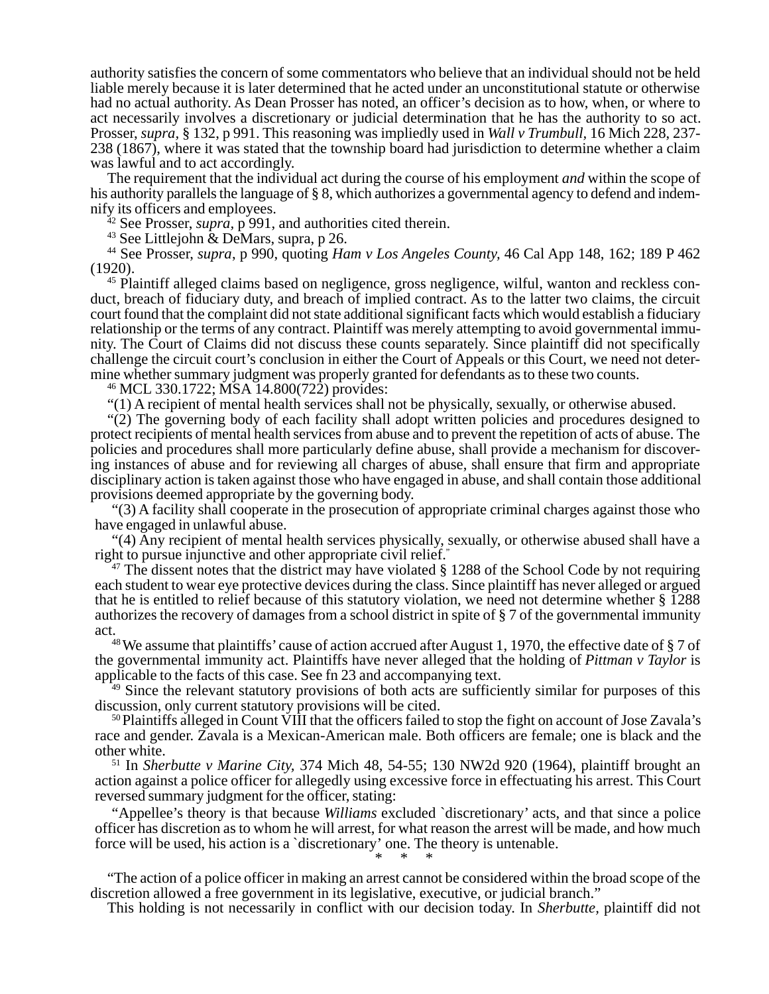authority satisfies the concern of some commentators who believe that an individual should not be held liable merely because it is later determined that he acted under an unconstitutional statute or otherwise had no actual authority. As Dean Prosser has noted, an officer's decision as to how, when, or where to act necessarily involves a discretionary or judicial determination that he has the authority to so act. Prosser, *supra,* § 132, p 991. This reasoning was impliedly used in *Wall v Trumbull,* 16 Mich 228, 237- 238 (1867), where it was stated that the township board had jurisdiction to determine whether a claim was lawful and to act accordingly.

The requirement that the individual act during the course of his employment *and* within the scope of his authority parallels the language of § 8, which authorizes a governmental agency to defend and indemnify its officers and employees.

42 See Prosser, *supra,* p 991, and authorities cited therein.

<sup>43</sup> See Littlejohn & DeMars, supra, p 26.

44 See Prosser, *supra*, p 990, quoting *Ham v Los Angeles County,* 46 Cal App 148, 162; 189 P 462 (1920).

<sup>45</sup> Plaintiff alleged claims based on negligence, gross negligence, wilful, wanton and reckless conduct, breach of fiduciary duty, and breach of implied contract. As to the latter two claims, the circuit court found that the complaint did not state additional significant facts which would establish a fiduciary relationship or the terms of any contract. Plaintiff was merely attempting to avoid governmental immunity. The Court of Claims did not discuss these counts separately. Since plaintiff did not specifically challenge the circuit court's conclusion in either the Court of Appeals or this Court, we need not determine whether summary judgment was properly granted for defendants as to these two counts.

<sup>46</sup> MCL 330.1722; MSA 14.800(722) provides:

"(1) A recipient of mental health services shall not be physically, sexually, or otherwise abused.

"(2) The governing body of each facility shall adopt written policies and procedures designed to protect recipients of mental health services from abuse and to prevent the repetition of acts of abuse. The policies and procedures shall more particularly define abuse, shall provide a mechanism for discovering instances of abuse and for reviewing all charges of abuse, shall ensure that firm and appropriate disciplinary action is taken against those who have engaged in abuse, and shall contain those additional provisions deemed appropriate by the governing body.

"(3) A facility shall cooperate in the prosecution of appropriate criminal charges against those who have engaged in unlawful abuse.

"(4) Any recipient of mental health services physically, sexually, or otherwise abused shall have a right to pursue injunctive and other appropriate civil relief."

 $47$  The dissent notes that the district may have violated § 1288 of the School Code by not requiring each student to wear eye protective devices during the class. Since plaintiff has never alleged or argued that he is entitled to relief because of this statutory violation, we need not determine whether § 1288 authorizes the recovery of damages from a school district in spite of § 7 of the governmental immunity act.

48 We assume that plaintiffs' cause of action accrued after August 1, 1970, the effective date of § 7 of the governmental immunity act. Plaintiffs have never alleged that the holding of *Pittman v Taylor* is applicable to the facts of this case. See fn 23 and accompanying text.

<sup>49</sup> Since the relevant statutory provisions of both acts are sufficiently similar for purposes of this discussion, only current statutory provisions will be cited.

<sup>50</sup> Plaintiffs alleged in Count VIII that the officers failed to stop the fight on account of Jose Zavala's race and gender. Zavala is a Mexican-American male. Both officers are female; one is black and the other white.

51 In *Sherbutte v Marine City,* 374 Mich 48, 54-55; 130 NW2d 920 (1964), plaintiff brought an action against a police officer for allegedly using excessive force in effectuating his arrest. This Court reversed summary judgment for the officer, stating:

"Appellee's theory is that because *Williams* excluded `discretionary' acts, and that since a police officer has discretion as to whom he will arrest, for what reason the arrest will be made, and how much force will be used, his action is a `discretionary' one. The theory is untenable. \* \* \*

"The action of a police officer in making an arrest cannot be considered within the broad scope of the discretion allowed a free government in its legislative, executive, or judicial branch."

This holding is not necessarily in conflict with our decision today. In *Sherbutte,* plaintiff did not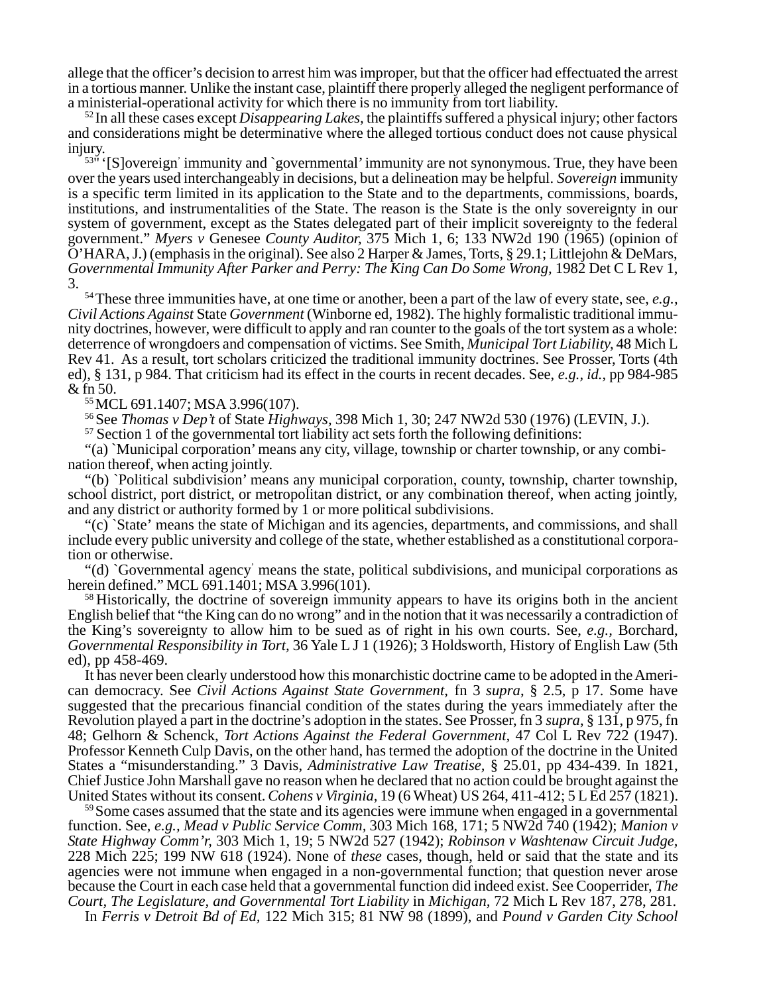allege that the officer's decision to arrest him was improper, but that the officer had effectuated the arrest in a tortious manner. Unlike the instant case, plaintiff there properly alleged the negligent performance of a ministerial-operational activity for which there is no immunity from tort liability.

52 In all these cases except *Disappearing Lakes,* the plaintiffs suffered a physical injury; other factors and considerations might be determinative where the alleged tortious conduct does not cause physical injury.

<sup>53</sup>" '[S]overeign' immunity and `governmental' immunity are not synonymous. True, they have been over the years used interchangeably in decisions, but a delineation may be helpful. *Sovereign* immunity is a specific term limited in its application to the State and to the departments, commissions, boards, institutions, and instrumentalities of the State. The reason is the State is the only sovereignty in our system of government, except as the States delegated part of their implicit sovereignty to the federal government." *Myers v* Genesee *County Auditor,* 375 Mich 1, 6; 133 NW2d 190 (1965) (opinion of O'HARA, J.) (emphasis in the original). See also 2 Harper & James, Torts, § 29.1; Littlejohn & DeMars, *Governmental Immunity After Parker and Perry: The King Can Do Some Wrong,* 1982 Det C L Rev 1, 3.

54 These three immunities have, at one time or another, been a part of the law of every state, see, *e.g., Civil Actions Against* State *Government* (Winborne ed, 1982). The highly formalistic traditional immunity doctrines, however, were difficult to apply and ran counter to the goals of the tort system as a whole: deterrence of wrongdoers and compensation of victims. See Smith, *Municipal Tort Liability,* 48 Mich L Rev 41. As a result, tort scholars criticized the traditional immunity doctrines. See Prosser, Torts (4th ed), § 131, p 984. That criticism had its effect in the courts in recent decades. See, *e.g., id.*, pp 984-985 & fn 50.

55 MCL 691.1407; MSA 3.996(107).

56 See *Thomas v Dep't* of State *Highways,* 398 Mich 1, 30; 247 NW2d 530 (1976) (LEVIN, J.).

<sup>57</sup> Section 1 of the governmental tort liability act sets forth the following definitions:

"(a) `Municipal corporation' means any city, village, township or charter township, or any combination thereof, when acting jointly.

"(b) `Political subdivision' means any municipal corporation, county, township, charter township, school district, port district, or metropolitan district, or any combination thereof, when acting jointly, and any district or authority formed by 1 or more political subdivisions.

"(c) `State' means the state of Michigan and its agencies, departments, and commissions, and shall include every public university and college of the state, whether established as a constitutional corporation or otherwise.

"(d) `Governmental agency' means the state, political subdivisions, and municipal corporations as herein defined." MCL 691.1401; MSA 3.996(101).

<sup>58</sup> Historically, the doctrine of sovereign immunity appears to have its origins both in the ancient English belief that "the King can do no wrong" and in the notion that it was necessarily a contradiction of the King's sovereignty to allow him to be sued as of right in his own courts. See, *e.g.,* Borchard, *Governmental Responsibility in Tort,* 36 Yale L J 1 (1926); 3 Holdsworth, History of English Law (5th ed), pp 458-469.

It has never been clearly understood how this monarchistic doctrine came to be adopted in the American democracy. See *Civil Actions Against State Government,* fn 3 *supra*, § 2.5, p 17. Some have suggested that the precarious financial condition of the states during the years immediately after the Revolution played a part in the doctrine's adoption in the states. See Prosser, fn 3 *supra*, § 131, p 975, fn 48; Gelhorn & Schenck, *Tort Actions Against the Federal Government,* 47 Col L Rev 722 (1947). Professor Kenneth Culp Davis, on the other hand, has termed the adoption of the doctrine in the United States a "misunderstanding." 3 Davis, *Administrative Law Treatise,* § 25.01, pp 434-439. In 1821, Chief Justice John Marshall gave no reason when he declared that no action could be brought against the United States without its consent. *Cohens v Virginia,* 19 (6 Wheat) US 264, 411-412; 5 L Ed 257 (1821).

<sup>59</sup> Some cases assumed that the state and its agencies were immune when engaged in a governmental function. See, *e.g., Mead v Public Service Comm,* 303 Mich 168, 171; 5 NW2d 740 (1942); *Manion v State Highway Comm'r,* 303 Mich 1, 19; 5 NW2d 527 (1942); *Robinson v Washtenaw Circuit Judge,* 228 Mich 225; 199 NW 618 (1924). None of *these* cases, though, held or said that the state and its agencies were not immune when engaged in a non-governmental function; that question never arose because the Court in each case held that a governmental function did indeed exist. See Cooperrider, *The Court, The Legislature, and Governmental Tort Liability* in *Michigan,* 72 Mich L Rev 187, 278, 281.

In *Ferris v Detroit Bd of Ed,* 122 Mich 315; 81 NW 98 (1899), and *Pound v Garden City School*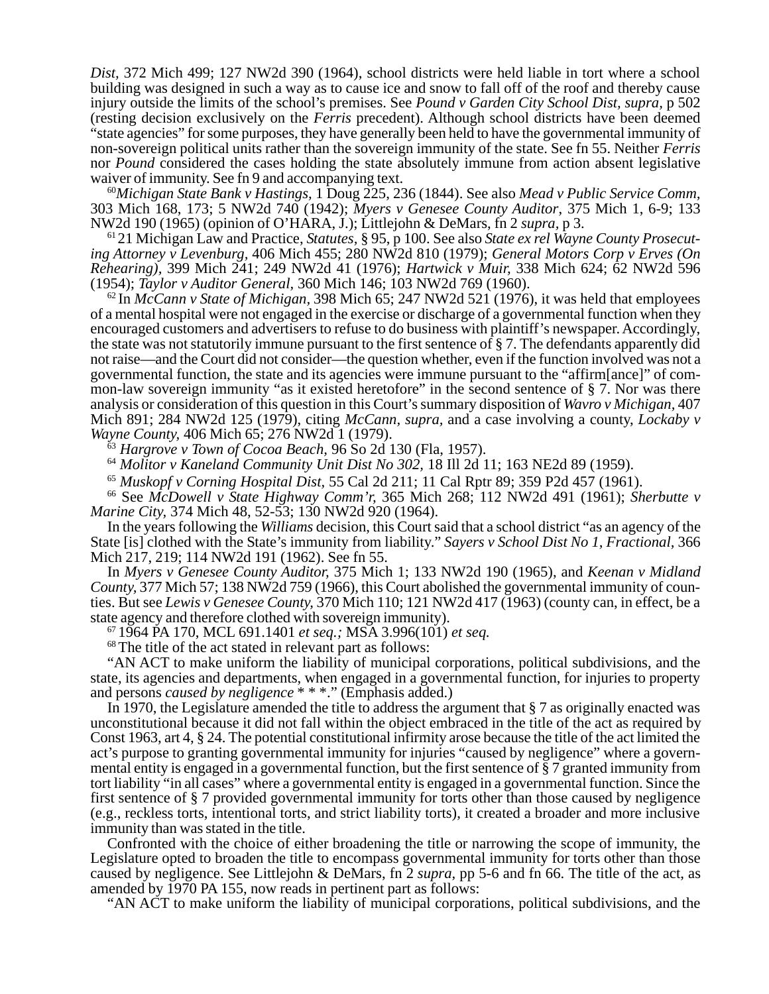*Dist,* 372 Mich 499; 127 NW2d 390 (1964), school districts were held liable in tort where a school building was designed in such a way as to cause ice and snow to fall off of the roof and thereby cause injury outside the limits of the school's premises. See *Pound v Garden City School Dist, supra,* p 502 (resting decision exclusively on the *Ferris* precedent). Although school districts have been deemed "state agencies" for some purposes, they have generally been held to have the governmental immunity of non-sovereign political units rather than the sovereign immunity of the state. See fn 55. Neither *Ferris* nor *Pound* considered the cases holding the state absolutely immune from action absent legislative waiver of immunity. See fn 9 and accompanying text.

<sup>60</sup>*Michigan State Bank v Hastings,* 1 Doug 225, 236 (1844). See also *Mead v Public Service Comm,* 303 Mich 168, 173; 5 NW2d 740 (1942); *Myers v Genesee County Auditor*, 375 Mich 1, 6-9; 133 NW2d 190 (1965) (opinion of O'HARA, J.); Littlejohn & DeMars, fn 2 *supra,* p 3.

61 21 Michigan Law and Practice, *Statutes,* § 95, p 100. See also *State ex rel Wayne County Prosecuting Attorney v Levenburg,* 406 Mich 455; 280 NW2d 810 (1979); *General Motors Corp v Erves (On Rehearing),* 399 Mich 241; 249 NW2d 41 (1976); *Hartwick v Muir,* 338 Mich 624; 62 NW2d 596 (1954); *Taylor v Auditor General,* 360 Mich 146; 103 NW2d 769 (1960).

62 In *McCann v State of Michigan,* 398 Mich 65; 247 NW2d 521 (1976), it was held that employees of a mental hospital were not engaged in the exercise or discharge of a governmental function when they encouraged customers and advertisers to refuse to do business with plaintiff's newspaper. Accordingly, the state was not statutorily immune pursuant to the first sentence of § 7. The defendants apparently did not raise—and the Court did not consider—the question whether, even if the function involved was not a governmental function, the state and its agencies were immune pursuant to the "affirm[ance]" of common-law sovereign immunity "as it existed heretofore" in the second sentence of § 7. Nor was there analysis or consideration of this question in this Court's summary disposition of *Wavro v Michigan,* 407 Mich 891; 284 NW2d 125 (1979), citing *McCann, supra,* and a case involving a county, *Lockaby v Wayne County,* 406 Mich 65; 276 NW2d 1 (1979).

<sup>63</sup> *Hargrove v Town of Cocoa Beach,* 96 So 2d 130 (Fla, 1957).

<sup>64</sup> *Molitor v Kaneland Community Unit Dist No 302,* 18 Ill 2d 11; 163 NE2d 89 (1959).

<sup>65</sup> *Muskopf v Corning Hospital Dist,* 55 Cal 2d 211; 11 Cal Rptr 89; 359 P2d 457 (1961).

66 See *McDowell v State Highway Comm'r,* 365 Mich 268; 112 NW2d 491 (1961); *Sherbutte v Marine City,* 374 Mich 48, 52-53; 130 NW2d 920 (1964).

In the years following the *Williams* decision, this Court said that a school district "as an agency of the State [is] clothed with the State's immunity from liability." *Sayers v School Dist No 1, Fractional,* 366 Mich 217, 219; 114 NW2d 191 (1962). See fn 55.

In *Myers v Genesee County Auditor,* 375 Mich 1; 133 NW2d 190 (1965), and *Keenan v Midland County,* 377 Mich 57; 138 NW2d 759 (1966), this Court abolished the governmental immunity of counties. But see *Lewis v Genesee County,* 370 Mich 110; 121 NW2d 417 (1963) (county can, in effect, be a state agency and therefore clothed with sovereign immunity).

67 1964 PA 170, MCL 691.1401 *et seq.;* MSA 3.996(101) *et seq.*

68 The title of the act stated in relevant part as follows:

"AN ACT to make uniform the liability of municipal corporations, political subdivisions, and the state, its agencies and departments, when engaged in a governmental function, for injuries to property and persons *caused by negligence* \* \* \*." (Emphasis added.)

In 1970, the Legislature amended the title to address the argument that § 7 as originally enacted was unconstitutional because it did not fall within the object embraced in the title of the act as required by Const 1963, art 4, § 24. The potential constitutional infirmity arose because the title of the act limited the act's purpose to granting governmental immunity for injuries "caused by negligence" where a governmental entity is engaged in a governmental function, but the first sentence of § 7 granted immunity from tort liability "in all cases" where a governmental entity is engaged in a governmental function. Since the first sentence of § 7 provided governmental immunity for torts other than those caused by negligence (e.g., reckless torts, intentional torts, and strict liability torts), it created a broader and more inclusive immunity than was stated in the title.

Confronted with the choice of either broadening the title or narrowing the scope of immunity, the Legislature opted to broaden the title to encompass governmental immunity for torts other than those caused by negligence. See Littlejohn & DeMars, fn 2 *supra,* pp 5-6 and fn 66. The title of the act, as amended by 1970 PA 155, now reads in pertinent part as follows:

"AN ACT to make uniform the liability of municipal corporations, political subdivisions, and the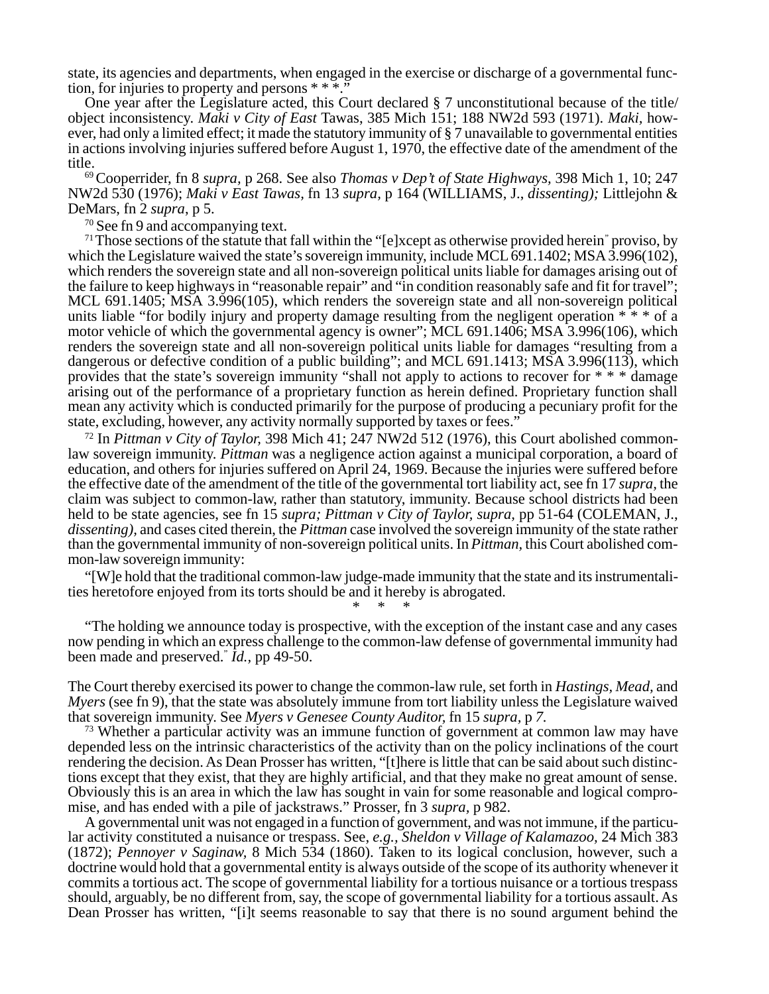state, its agencies and departments, when engaged in the exercise or discharge of a governmental function, for injuries to property and persons  $***$ ."

One year after the Legislature acted, this Court declared § 7 unconstitutional because of the title/ object inconsistency. *Maki v City of East* Tawas, 385 Mich 151; 188 NW2d 593 (1971). *Maki,* however, had only a limited effect; it made the statutory immunity of § 7 unavailable to governmental entities in actions involving injuries suffered before August 1, 1970, the effective date of the amendment of the title.

69 Cooperrider, fn 8 *supra,* p 268. See also *Thomas v Dep't of State Highways,* 398 Mich 1, 10; 247 NW2d 530 (1976); *Maki v East Tawas,* fn 13 *supra,* p 164 (WILLIAMS, J., *dissenting);* Littlejohn & DeMars, fn 2 *supra*, p 5.

<sup>70</sup> See fn 9 and accompanying text.

 $71$  Those sections of the statute that fall within the "[e]xcept as otherwise provided herein" proviso, by which the Legislature waived the state's sovereign immunity, include MCL 691.1402; MSA 3.996(102), which renders the sovereign state and all non-sovereign political units liable for damages arising out of the failure to keep highways in "reasonable repair" and "in condition reasonably safe and fit for travel"; MCL 691.1405; MSA 3.996(105), which renders the sovereign state and all non-sovereign political units liable "for bodily injury and property damage resulting from the negligent operation \* \* \* of a motor vehicle of which the governmental agency is owner"; MCL 691.1406; MSA 3.996(106), which renders the sovereign state and all non-sovereign political units liable for damages "resulting from a dangerous or defective condition of a public building"; and MCL 691.1413; MSA 3.996(113), which provides that the state's sovereign immunity "shall not apply to actions to recover for \* \* \* damage arising out of the performance of a proprietary function as herein defined. Proprietary function shall mean any activity which is conducted primarily for the purpose of producing a pecuniary profit for the state, excluding, however, any activity normally supported by taxes or fees."

72 In *Pittman v City of Taylor,* 398 Mich 41; 247 NW2d 512 (1976), this Court abolished commonlaw sovereign immunity. *Pittman* was a negligence action against a municipal corporation, a board of education, and others for injuries suffered on April 24, 1969. Because the injuries were suffered before the effective date of the amendment of the title of the governmental tort liability act, see fn 17 *supra,* the claim was subject to common-law, rather than statutory, immunity. Because school districts had been held to be state agencies, see fn 15 *supra; Pittman v City of Taylor, supra,* pp 51-64 (COLEMAN, J., *dissenting),* and cases cited therein, the *Pittman* case involved the sovereign immunity of the state rather than the governmental immunity of non-sovereign political units. In *Pittman,* this Court abolished common-law sovereign immunity:

"[W]e hold that the traditional common-law judge-made immunity that the state and its instrumentalities heretofore enjoyed from its torts should be and it hereby is abrogated.

"The holding we announce today is prospective, with the exception of the instant case and any cases now pending in which an express challenge to the common-law defense of governmental immunity had been made and preserved." *Id.,* pp 49-50.

\* \* \*

The Court thereby exercised its power to change the common-law rule, set forth in *Hastings, Mead,* and *Myers* (see fn 9), that the state was absolutely immune from tort liability unless the Legislature waived that sovereign immunity. See *Myers v Genesee County Auditor,* fn 15 *supra,* p *7.*

<sup>73</sup> Whether a particular activity was an immune function of government at common law may have depended less on the intrinsic characteristics of the activity than on the policy inclinations of the court rendering the decision. As Dean Prosser has written, "[t]here is little that can be said about such distinctions except that they exist, that they are highly artificial, and that they make no great amount of sense. Obviously this is an area in which the law has sought in vain for some reasonable and logical compromise, and has ended with a pile of jackstraws." Prosser, fn 3 *supra,* p 982.

A governmental unit was not engaged in a function of government, and was not immune, if the particular activity constituted a nuisance or trespass. See, *e.g., Sheldon v Village of Kalamazoo,* 24 Mich 383 (1872); *Pennoyer v Saginaw,* 8 Mich 534 (1860). Taken to its logical conclusion, however, such a doctrine would hold that a governmental entity is always outside of the scope of its authority whenever it commits a tortious act. The scope of governmental liability for a tortious nuisance or a tortious trespass should, arguably, be no different from, say, the scope of governmental liability for a tortious assault. As Dean Prosser has written, "[i]t seems reasonable to say that there is no sound argument behind the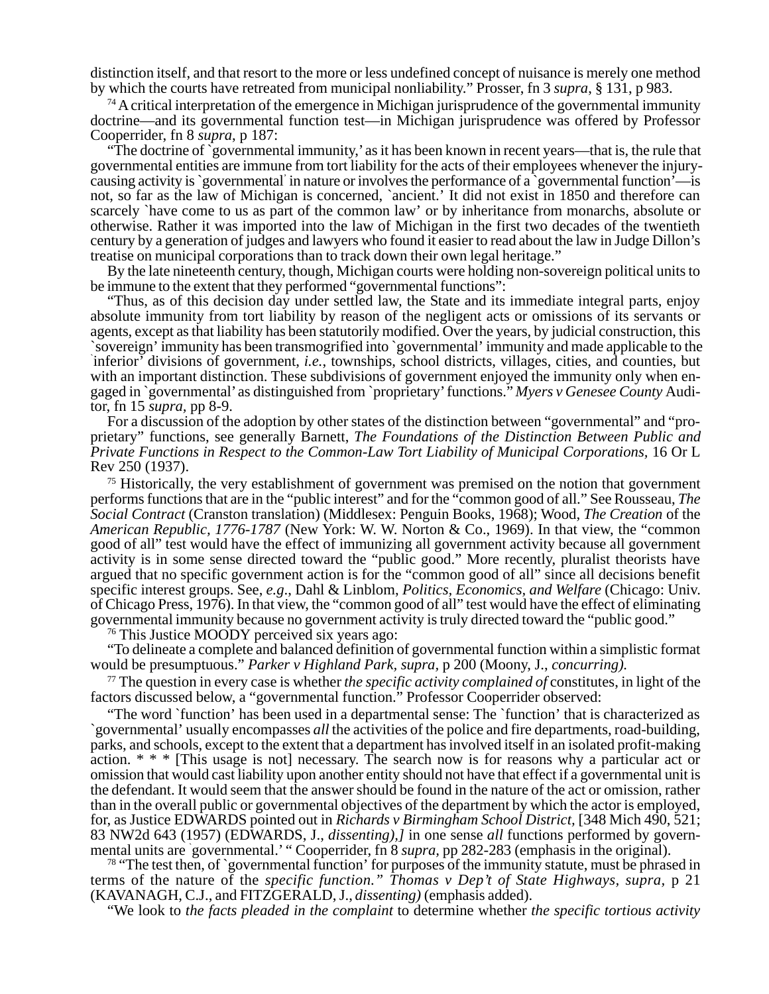distinction itself, and that resort to the more or less undefined concept of nuisance is merely one method by which the courts have retreated from municipal nonliability." Prosser, fn 3 *supra*, § 131, p 983.

 $74$  A critical interpretation of the emergence in Michigan jurisprudence of the governmental immunity doctrine—and its governmental function test—in Michigan jurisprudence was offered by Professor Cooperrider, fn 8 *supra*, p 187:

"The doctrine of `governmental immunity,' as it has been known in recent years—that is, the rule that governmental entities are immune from tort liability for the acts of their employees whenever the injurycausing activity is `governmental' in nature or involves the performance of a `governmental function'—is not, so far as the law of Michigan is concerned, `ancient.' It did not exist in 1850 and therefore can scarcely `have come to us as part of the common law' or by inheritance from monarchs, absolute or otherwise. Rather it was imported into the law of Michigan in the first two decades of the twentieth century by a generation of judges and lawyers who found it easier to read about the law in Judge Dillon's treatise on municipal corporations than to track down their own legal heritage."

By the late nineteenth century, though, Michigan courts were holding non-sovereign political units to be immune to the extent that they performed "governmental functions":

"Thus, as of this decision day under settled law, the State and its immediate integral parts, enjoy absolute immunity from tort liability by reason of the negligent acts or omissions of its servants or agents, except as that liability has been statutorily modified. Over the years, by judicial construction, this `sovereign' immunity has been transmogrified into `governmental' immunity and made applicable to the ` inferior' divisions of government, *i.e.*, townships, school districts, villages, cities, and counties, but with an important distinction. These subdivisions of government enjoyed the immunity only when engaged in `governmental' as distinguished from `proprietary' functions." *Myers v Genesee County* Auditor, fn 15 *supra,* pp 8-9.

For a discussion of the adoption by other states of the distinction between "governmental" and "proprietary" functions, see generally Barnett, *The Foundations of the Distinction Between Public and Private Functions in Respect to the Common-Law Tort Liability of Municipal Corporations,* 16 Or L Rev 250 (1937).

 $75$  Historically, the very establishment of government was premised on the notion that government performs functions that are in the "public interest" and for the "common good of all." See Rousseau, *The Social Contract* (Cranston translation) (Middlesex: Penguin Books, 1968); Wood, *The Creation* of the *American Republic, 1776-1787* (New York: W. W. Norton & Co., 1969). In that view, the "common good of all" test would have the effect of immunizing all government activity because all government activity is in some sense directed toward the "public good." More recently, pluralist theorists have argued that no specific government action is for the "common good of all" since all decisions benefit specific interest groups. See, *e.g*., Dahl & Linblom, *Politics, Economics, and Welfare* (Chicago: Univ. of Chicago Press, 1976). In that view, the "common good of all" test would have the effect of eliminating governmental immunity because no government activity is truly directed toward the "public good."

<sup>76</sup> This Justice MOODY perceived six years ago:

"To delineate a complete and balanced definition of governmental function within a simplistic format would be presumptuous." *Parker v Highland Park, supra,* p 200 (Moony, J., *concurring).*

77 The question in every case is whether *the specific activity complained of* constitutes, in light of the factors discussed below, a "governmental function." Professor Cooperrider observed:

"The word `function' has been used in a departmental sense: The `function' that is characterized as `governmental' usually encompasses *all* the activities of the police and fire departments, road-building, parks, and schools, except to the extent that a department has involved itself in an isolated profit-making action. \* \* \* [This usage is not] necessary. The search now is for reasons why a particular act or omission that would cast liability upon another entity should not have that effect if a governmental unit is the defendant. It would seem that the answer should be found in the nature of the act or omission, rather than in the overall public or governmental objectives of the department by which the actor is employed, for, as Justice EDWARDS pointed out in *Richards v Birmingham School District,* [348 Mich 490, 521; 83 NW2d 643 (1957) (EDWARDS, J., *dissenting),]* in one sense *all* functions performed by governmental units are ` governmental.' " Cooperrider, fn 8 *supra,* pp 282-283 (emphasis in the original).

<sup>78</sup> "The test then, of `governmental function' for purposes of the immunity statute, must be phrased in terms of the nature of the *specific function." Thomas v Dep't of State Highways, supra,* p 21 (KAVANAGH, C.J., and FITZGERALD, J., *dissenting)* (emphasis added).

"We look to *the facts pleaded in the complaint* to determine whether *the specific tortious activity*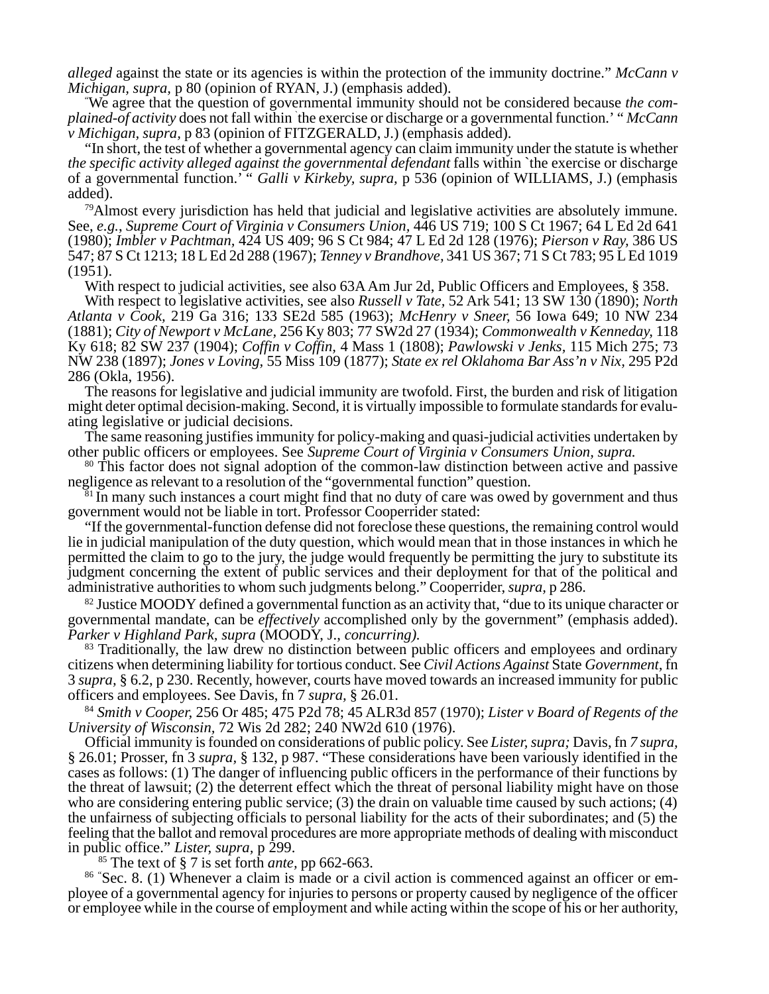*alleged* against the state or its agencies is within the protection of the immunity doctrine." *McCann v Michigan, supra, p* 80 (opinion of RYAN, J.) (emphasis added).

We agree that the question of governmental immunity should not be considered because *the complained-of activity* does not fall within ` the exercise or discharge or a governmental function.' " *McCann v Michigan, supra,* p 83 (opinion of FITZGERALD, J.) (emphasis added).

"In short, the test of whether a governmental agency can claim immunity under the statute is whether *the specific activity alleged against the governmental defendant* falls within `the exercise or discharge of a governmental function.' " *Galli v Kirkeby, supra,* p 536 (opinion of WILLIAMS, J.) (emphasis added).

 $79$ Almost every jurisdiction has held that judicial and legislative activities are absolutely immune. See, *e.g.*, *Supreme Court of Virginia v Consumers Union,* 446 US 719; 100 S Ct 1967; 64 L Ed 2d 641 (1980); *Imbler v Pachtman,* 424 US 409; 96 S Ct 984; 47 L Ed 2d 128 (1976); *Pierson v Ray,* 386 US 547; 87 S Ct 1213; 18 L Ed 2d 288 (1967); *Tenney v Brandhove,* 341 US 367; 71 S Ct 783; 95 L Ed 1019 (1951).

With respect to judicial activities, see also 63A Am Jur 2d, Public Officers and Employees, § 358.

With respect to legislative activities, see also *Russell v Tate,* 52 Ark 541; 13 SW 130 (1890); *North Atlanta v Cook,* 219 Ga 316; 133 SE2d 585 (1963); *McHenry v Sneer,* 56 Iowa 649; 10 NW 234 (1881); *City of Newport v McLane,* 256 Ky 803; 77 SW2d 27 (1934); *Commonwealth v Kenneday,* 118 Ky 618; 82 SW 237 (1904); *Coffin v Coffin,* 4 Mass 1 (1808); *Pawlowski v Jenks,* 115 Mich 275; 73 NW 238 (1897); *Jones v Loving,* 55 Miss 109 (1877); *State ex rel Oklahoma Bar Ass'n v Nix,* 295 P2d 286 (Okla, 1956).

The reasons for legislative and judicial immunity are twofold. First, the burden and risk of litigation might deter optimal decision-making. Second, it is virtually impossible to formulate standards for evaluating legislative or judicial decisions.

The same reasoning justifies immunity for policy-making and quasi-judicial activities undertaken by other public officers or employees. See *Supreme Court of Virginia v Consumers Union, supra.*

<sup>80</sup> This factor does not signal adoption of the common-law distinction between active and passive negligence as relevant to a resolution of the "governmental function" question.

 $81$  In many such instances a court might find that no duty of care was owed by government and thus government would not be liable in tort. Professor Cooperrider stated:

"If the governmental-function defense did not foreclose these questions, the remaining control would lie in judicial manipulation of the duty question, which would mean that in those instances in which he permitted the claim to go to the jury, the judge would frequently be permitting the jury to substitute its judgment concerning the extent of public services and their deployment for that of the political and administrative authorities to whom such judgments belong." Cooperrider, *supra,* p 286.

 $82$  Justice MOODY defined a governmental function as an activity that, "due to its unique character or governmental mandate, can be *effectively* accomplished only by the government" (emphasis added). *Parker v Highland Park, supra* (MOODY, J., *concurring).*

<sup>83</sup> Traditionally, the law drew no distinction between public officers and employees and ordinary citizens when determining liability for tortious conduct. See *Civil Actions Against* State *Government,* fn 3 *supra,* § 6.2, p 230. Recently, however, courts have moved towards an increased immunity for public officers and employees. See Davis, fn 7 *supra,* § 26.01.

<sup>84</sup> *Smith v Cooper,* 256 Or 485; 475 P2d 78; 45 ALR3d 857 (1970); *Lister v Board of Regents of the University of Wisconsin,* 72 Wis 2d 282; 240 NW2d 610 (1976).

Official immunity is founded on considerations of public policy. See *Lister, supra;* Davis, fn *7 supra,* § 26.01; Prosser, fn 3 *supra,* § 132, p 987. "These considerations have been variously identified in the cases as follows: (1) The danger of influencing public officers in the performance of their functions by the threat of lawsuit; (2) the deterrent effect which the threat of personal liability might have on those who are considering entering public service; (3) the drain on valuable time caused by such actions; (4) the unfairness of subjecting officials to personal liability for the acts of their subordinates; and (5) the feeling that the ballot and removal procedures are more appropriate methods of dealing with misconduct in public office." *Lister, supra,* p 299.

85 The text of § 7 is set forth *ante,* pp 662-663.

86 " Sec. 8. (1) Whenever a claim is made or a civil action is commenced against an officer or employee of a governmental agency for injuries to persons or property caused by negligence of the officer or employee while in the course of employment and while acting within the scope of his or her authority,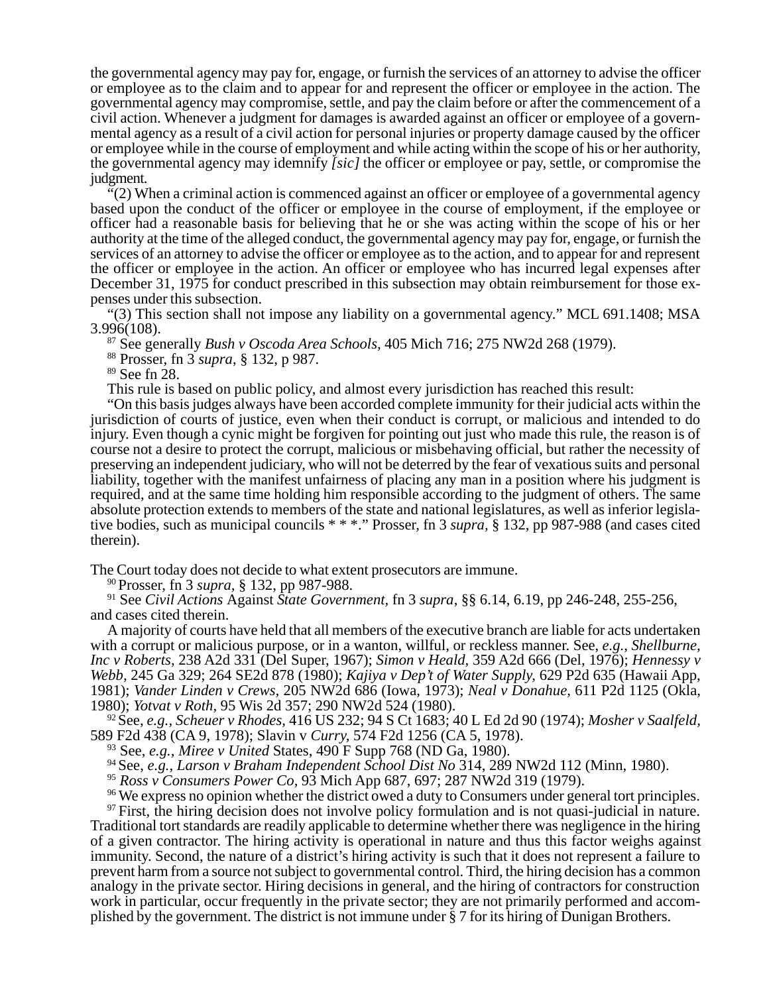the governmental agency may pay for, engage, or furnish the services of an attorney to advise the officer or employee as to the claim and to appear for and represent the officer or employee in the action. The governmental agency may compromise, settle, and pay the claim before or after the commencement of a civil action. Whenever a judgment for damages is awarded against an officer or employee of a governmental agency as a result of a civil action for personal injuries or property damage caused by the officer or employee while in the course of employment and while acting within the scope of his or her authority, the governmental agency may idemnify *[sic]* the officer or employee or pay, settle, or compromise the judgment.

 $f(2)$  When a criminal action is commenced against an officer or employee of a governmental agency based upon the conduct of the officer or employee in the course of employment, if the employee or officer had a reasonable basis for believing that he or she was acting within the scope of his or her authority at the time of the alleged conduct, the governmental agency may pay for, engage, or furnish the services of an attorney to advise the officer or employee as to the action, and to appear for and represent the officer or employee in the action. An officer or employee who has incurred legal expenses after December 31, 1975 for conduct prescribed in this subsection may obtain reimbursement for those expenses under this subsection.

"(3) This section shall not impose any liability on a governmental agency." MCL 691.1408; MSA 3.996(108).

87 See generally *Bush v Oscoda Area Schools,* 405 Mich 716; 275 NW2d 268 (1979).

88 Prosser, fn 3 *supra*, § 132, p 987.

89 See fn 28.

This rule is based on public policy, and almost every jurisdiction has reached this result:

"On this basis judges always have been accorded complete immunity for their judicial acts within the jurisdiction of courts of justice, even when their conduct is corrupt, or malicious and intended to do injury. Even though a cynic might be forgiven for pointing out just who made this rule, the reason is of course not a desire to protect the corrupt, malicious or misbehaving official, but rather the necessity of preserving an independent judiciary, who will not be deterred by the fear of vexatious suits and personal liability, together with the manifest unfairness of placing any man in a position where his judgment is required, and at the same time holding him responsible according to the judgment of others. The same absolute protection extends to members of the state and national legislatures, as well as inferior legislative bodies, such as municipal councils \* \* \*." Prosser, fn 3 *supra,* § 132, pp 987-988 (and cases cited therein).

The Court today does not decide to what extent prosecutors are immune.

90 Prosser, fn 3 *supra,* § 132, pp 987-988.

91 See *Civil Actions* Against *State Government,* fn 3 *supra*, §§ 6.14, 6.19, pp 246-248, 255-256, and cases cited therein.

A majority of courts have held that all members of the executive branch are liable for acts undertaken with a corrupt or malicious purpose, or in a wanton, willful, or reckless manner. See, *e.g.*, *Shellburne, Inc v Roberts,* 238 A2d 331 (Del Super, 1967); *Simon v Heald,* 359 A2d 666 (Del, 1976); *Hennessy v Webb,* 245 Ga 329; 264 SE2d 878 (1980); *Kajiya v Dep't of Water Supply,* 629 P2d 635 (Hawaii App, 1981); *Vander Linden v Crews,* 205 NW2d 686 (Iowa, 1973); *Neal v Donahue,* 611 P2d 1125 (Okla, 1980); *Yotvat v Roth,* 95 Wis 2d 357; 290 NW2d 524 (1980).

92 See, *e.g., Scheuer v Rhodes,* 416 US 232; 94 S Ct 1683; 40 L Ed 2d 90 (1974); *Mosher v Saalfeld,* 589 F2d 438 (CA 9, 1978); Slavin v *Curry,* 574 F2d 1256 (CA 5, 1978).

93 See, *e.g., Miree v United* States, 490 F Supp 768 (ND Ga, 1980).

94 See, *e.g., Larson v Braham Independent School Dist No* 314, 289 NW2d 112 (Minn, 1980).

<sup>95</sup> *Ross v Consumers Power Co,* 93 Mich App 687, 697; 287 NW2d 319 (1979).

<sup>96</sup> We express no opinion whether the district owed a duty to Consumers under general tort principles.

<sup>97</sup> First, the hiring decision does not involve policy formulation and is not quasi-judicial in nature. Traditional tort standards are readily applicable to determine whether there was negligence in the hiring of a given contractor. The hiring activity is operational in nature and thus this factor weighs against immunity. Second, the nature of a district's hiring activity is such that it does not represent a failure to prevent harm from a source not subject to governmental control. Third, the hiring decision has a common analogy in the private sector. Hiring decisions in general, and the hiring of contractors for construction work in particular, occur frequently in the private sector; they are not primarily performed and accomplished by the government. The district is not immune under § 7 for its hiring of Dunigan Brothers.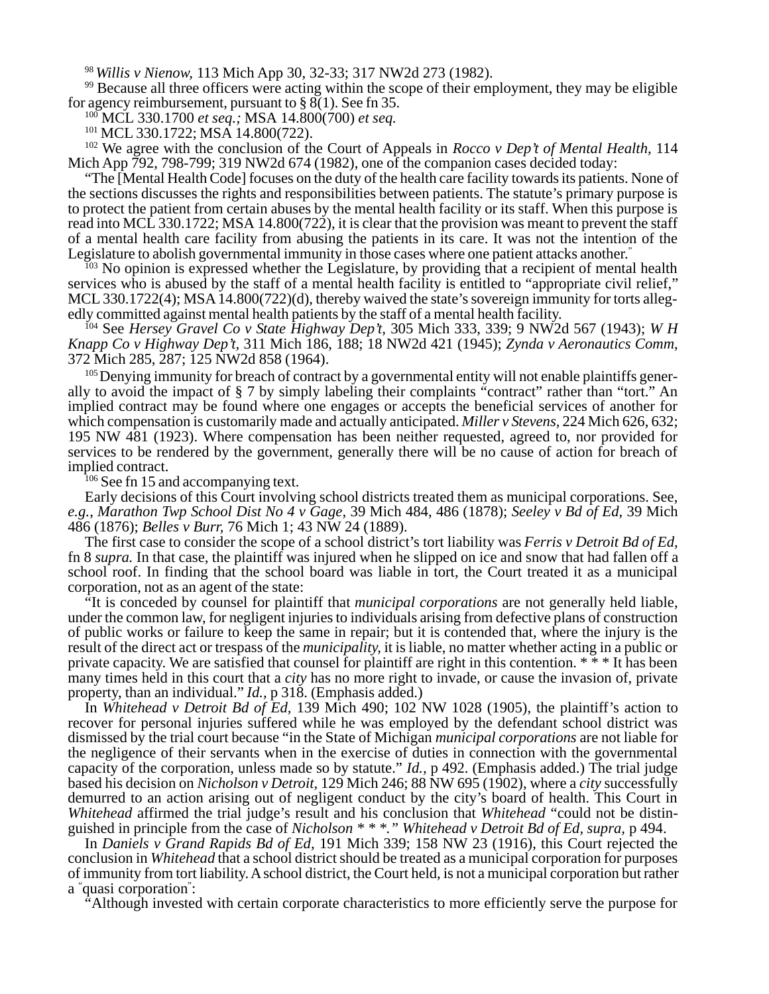<sup>98</sup>*Willis v Nienow,* 113 Mich App 30, 32-33; 317 NW2d 273 (1982).

99 Because all three officers were acting within the scope of their employment, they may be eligible for agency reimbursement, pursuant to § 8(1). See fn 35.

100 MCL 330.1700 *et seq.;* MSA 14.800(700) *et seq.*

<sup>101</sup> MCL 330.1722; MSA 14.800(722).

102 We agree with the conclusion of the Court of Appeals in *Rocco v Dep't of Mental Health,* 114 Mich App 792, 798-799; 319 NW2d 674 (1982), one of the companion cases decided today:

"The [Mental Health Code] focuses on the duty of the health care facility towards its patients. None of the sections discusses the rights and responsibilities between patients. The statute's primary purpose is to protect the patient from certain abuses by the mental health facility or its staff. When this purpose is read into MCL 330.1722; MSA 14.800(722), it is clear that the provision was meant to prevent the staff of a mental health care facility from abusing the patients in its care. It was not the intention of the Legislature to abolish governmental immunity in those cases where one patient attacks another."

<sup>103</sup> No opinion is expressed whether the Legislature, by providing that a recipient of mental health services who is abused by the staff of a mental health facility is entitled to "appropriate civil relief," MCL 330.1722(4); MSA 14.800(722)(d), thereby waived the state's sovereign immunity for torts allegedly committed against mental health patients by the staff of a mental health facility.

104 See *Hersey Gravel Co v State Highway Dep't,* 305 Mich 333, 339; 9 NW2d 567 (1943); *W H Knapp Co v Highway Dep't,* 311 Mich 186, 188; 18 NW2d 421 (1945); *Zynda v Aeronautics Comm*, 372 Mich 285, 287; 125 NW2d 858 (1964).

<sup>105</sup> Denying immunity for breach of contract by a governmental entity will not enable plaintiffs generally to avoid the impact of § 7 by simply labeling their complaints "contract" rather than "tort." An implied contract may be found where one engages or accepts the beneficial services of another for which compensation is customarily made and actually anticipated. *Miller v Stevens,* 224 Mich 626, 632; 195 NW 481 (1923). Where compensation has been neither requested, agreed to, nor provided for services to be rendered by the government, generally there will be no cause of action for breach of implied contract.

 $106$  See fn 15 and accompanying text.

Early decisions of this Court involving school districts treated them as municipal corporations. See, *e.g., Marathon Twp School Dist No 4 v Gage,* 39 Mich 484, 486 (1878); *Seeley v Bd of Ed,* 39 Mich 486 (1876); *Belles v Burr,* 76 Mich 1; 43 NW 24 (1889).

The first case to consider the scope of a school district's tort liability was *Ferris v Detroit Bd of Ed,* fn 8 *supra.* In that case, the plaintiff was injured when he slipped on ice and snow that had fallen off a school roof. In finding that the school board was liable in tort, the Court treated it as a municipal corporation, not as an agent of the state:

"It is conceded by counsel for plaintiff that *municipal corporations* are not generally held liable, under the common law, for negligent injuries to individuals arising from defective plans of construction of public works or failure to keep the same in repair; but it is contended that, where the injury is the result of the direct act or trespass of the *municipality,* it is liable, no matter whether acting in a public or private capacity. We are satisfied that counsel for plaintiff are right in this contention. \* \* \* It has been many times held in this court that a *city* has no more right to invade, or cause the invasion of, private property, than an individual." *Id.,* p 318. (Emphasis added.)

In *Whitehead v Detroit Bd of Ed,* 139 Mich 490; 102 NW 1028 (1905), the plaintiff's action to recover for personal injuries suffered while he was employed by the defendant school district was dismissed by the trial court because "in the State of Michigan *municipal corporations* are not liable for the negligence of their servants when in the exercise of duties in connection with the governmental capacity of the corporation, unless made so by statute." *Id.,* p 492. (Emphasis added.) The trial judge based his decision on *Nicholson v Detroit,* 129 Mich 246; 88 NW 695 (1902), where a *city* successfully demurred to an action arising out of negligent conduct by the city's board of health. This Court in *Whitehead* affirmed the trial judge's result and his conclusion that *Whitehead* "could not be distinguished in principle from the case of *Nicholson \* \* \*." Whitehead v Detroit Bd of Ed, supra,* p 494.

In *Daniels v Grand Rapids Bd of Ed,* 191 Mich 339; 158 NW 23 (1916), this Court rejected the conclusion in *Whitehead* that a school district should be treated as a municipal corporation for purposes of immunity from tort liability. A school district, the Court held, is not a municipal corporation but rather a " quasi corporation" :

"Although invested with certain corporate characteristics to more efficiently serve the purpose for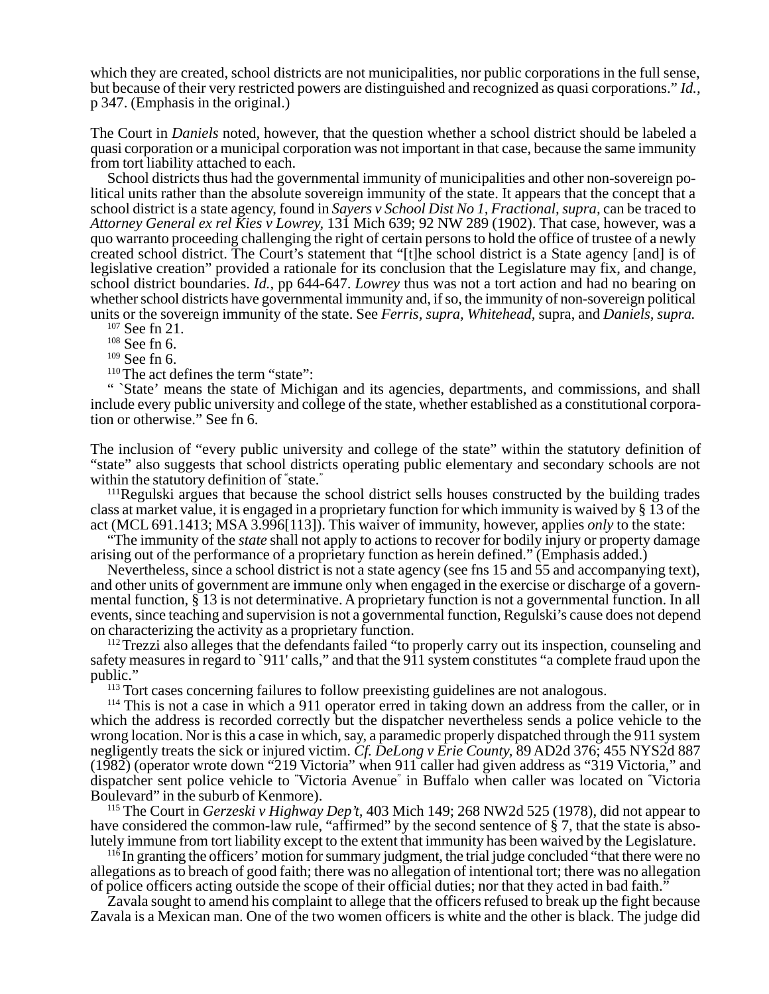which they are created, school districts are not municipalities, nor public corporations in the full sense, but because of their very restricted powers are distinguished and recognized as quasi corporations." *Id.,* p 347. (Emphasis in the original.)

The Court in *Daniels* noted, however, that the question whether a school district should be labeled a quasi corporation or a municipal corporation was not important in that case, because the same immunity from tort liability attached to each.

School districts thus had the governmental immunity of municipalities and other non-sovereign political units rather than the absolute sovereign immunity of the state. It appears that the concept that a school district is a state agency, found in *Sayers v School Dist No 1, Fractional, supra,* can be traced to *Attorney General ex rel Kies v Lowrey,* 131 Mich 639; 92 NW 289 (1902). That case, however, was a quo warranto proceeding challenging the right of certain persons to hold the office of trustee of a newly created school district. The Court's statement that "[t]he school district is a State agency [and] is of legislative creation" provided a rationale for its conclusion that the Legislature may fix, and change, school district boundaries. *Id.,* pp 644-647. *Lowrey* thus was not a tort action and had no bearing on whether school districts have governmental immunity and, if so, the immunity of non-sovereign political units or the sovereign immunity of the state. See *Ferris, supra, Whitehead,* supra, and *Daniels, supra.*

107 See fn 21.

 $^{108}$  See fn 6.

109 See fn 6.

<sup>110</sup> The act defines the term "state":

" `State' means the state of Michigan and its agencies, departments, and commissions, and shall include every public university and college of the state, whether established as a constitutional corporation or otherwise." See fn 6.

The inclusion of "every public university and college of the state" within the statutory definition of "state" also suggests that school districts operating public elementary and secondary schools are not within the statutory definition of " state."

<sup>111</sup>Regulski argues that because the school district sells houses constructed by the building trades class at market value, it is engaged in a proprietary function for which immunity is waived by § 13 of the act (MCL 691.1413; MSA 3.996[113]). This waiver of immunity, however, applies *only* to the state:

"The immunity of the *state* shall not apply to actions to recover for bodily injury or property damage arising out of the performance of a proprietary function as herein defined." (Emphasis added.)

Nevertheless, since a school district is not a state agency (see fns 15 and 55 and accompanying text), and other units of government are immune only when engaged in the exercise or discharge of a governmental function, § 13 is not determinative. A proprietary function is not a governmental function. In all events, since teaching and supervision is not a governmental function, Regulski's cause does not depend on characterizing the activity as a proprietary function.

<sup>112</sup> Trezzi also alleges that the defendants failed "to properly carry out its inspection, counseling and safety measures in regard to `911' calls," and that the 911 system constitutes "a complete fraud upon the public."

<sup>113</sup> Tort cases concerning failures to follow preexisting guidelines are not analogous.

114 This is not a case in which a 911 operator erred in taking down an address from the caller, or in which the address is recorded correctly but the dispatcher nevertheless sends a police vehicle to the wrong location. Nor is this a case in which, say, a paramedic properly dispatched through the 911 system negligently treats the sick or injured victim. *Cf. DeLong v Erie County,* 89 AD2d 376; 455 NYS2d 887 (1982) (operator wrote down "219 Victoria" when 911 caller had given address as "319 Victoria," and dispatcher sent police vehicle to " Victoria Avenue" in Buffalo when caller was located on " Victoria Boulevard" in the suburb of Kenmore).

115 The Court in *Gerzeski v Highway Dep't,* 403 Mich 149; 268 NW2d 525 (1978), did not appear to have considered the common-law rule, "affirmed" by the second sentence of § 7, that the state is absolutely immune from tort liability except to the extent that immunity has been waived by the Legislature.

<sup>116</sup> In granting the officers' motion for summary judgment, the trial judge concluded "that there were no allegations as to breach of good faith; there was no allegation of intentional tort; there was no allegation of police officers acting outside the scope of their official duties; nor that they acted in bad faith."

Zavala sought to amend his complaint to allege that the officers refused to break up the fight because Zavala is a Mexican man. One of the two women officers is white and the other is black. The judge did